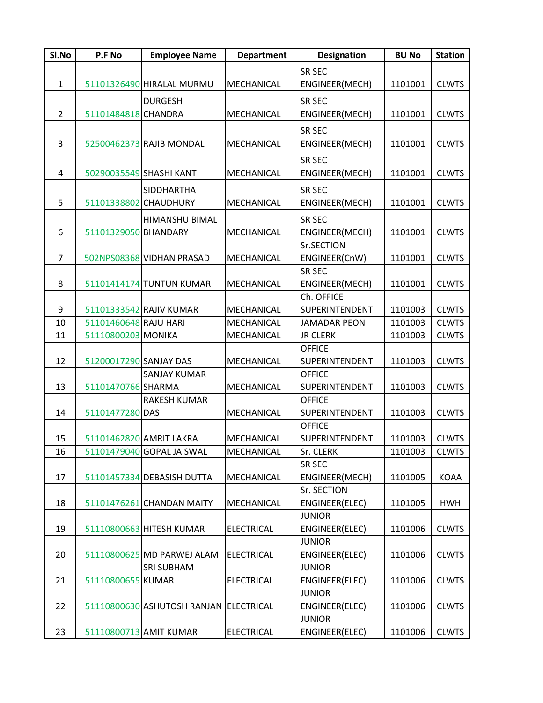| SI.No          | P.F No                 | <b>Employee Name</b>                   | <b>Department</b> | <b>Designation</b>    | <b>BU No</b> | <b>Station</b> |
|----------------|------------------------|----------------------------------------|-------------------|-----------------------|--------------|----------------|
|                |                        |                                        |                   | <b>SR SEC</b>         |              |                |
| $\mathbf{1}$   |                        | 51101326490 HIRALAL MURMU              | MECHANICAL        | ENGINEER(MECH)        | 1101001      | <b>CLWTS</b>   |
|                |                        | <b>DURGESH</b>                         |                   | <b>SR SEC</b>         |              |                |
| $\overline{2}$ | 51101484818 CHANDRA    |                                        | MECHANICAL        | ENGINEER(MECH)        | 1101001      | <b>CLWTS</b>   |
|                |                        |                                        |                   |                       |              |                |
|                |                        |                                        |                   | <b>SR SEC</b>         |              |                |
| 3              |                        | 52500462373 RAJIB MONDAL               | MECHANICAL        | ENGINEER(MECH)        | 1101001      | <b>CLWTS</b>   |
|                |                        |                                        |                   | <b>SR SEC</b>         |              |                |
| 4              |                        | 50290035549 SHASHI KANT                | MECHANICAL        | ENGINEER(MECH)        | 1101001      | <b>CLWTS</b>   |
|                |                        | SIDDHARTHA                             |                   | <b>SR SEC</b>         |              |                |
| 5              | 51101338802 CHAUDHURY  |                                        | MECHANICAL        | ENGINEER(MECH)        | 1101001      | <b>CLWTS</b>   |
|                |                        | <b>HIMANSHU BIMAL</b>                  |                   | <b>SR SEC</b>         |              |                |
| 6              | 51101329050 BHANDARY   |                                        | MECHANICAL        | ENGINEER(MECH)        | 1101001      | <b>CLWTS</b>   |
|                |                        |                                        |                   | Sr.SECTION            |              |                |
| $\overline{7}$ |                        | 502NPS08368 VIDHAN PRASAD              | MECHANICAL        | ENGINEER(CnW)         | 1101001      | <b>CLWTS</b>   |
|                |                        |                                        |                   | <b>SR SEC</b>         |              |                |
| 8              |                        | 51101414174 TUNTUN KUMAR               | MECHANICAL        | ENGINEER(MECH)        | 1101001      | <b>CLWTS</b>   |
|                |                        |                                        |                   | Ch. OFFICE            |              |                |
| 9              |                        | 51101333542 RAJIV KUMAR                | MECHANICAL        | <b>SUPERINTENDENT</b> | 1101003      | <b>CLWTS</b>   |
| 10             | 51101460648 RAJU HARI  |                                        | MECHANICAL        | <b>JAMADAR PEON</b>   | 1101003      | <b>CLWTS</b>   |
| 11             | 51110800203 MONIKA     |                                        | MECHANICAL        | <b>JR CLERK</b>       | 1101003      | <b>CLWTS</b>   |
|                |                        |                                        |                   | <b>OFFICE</b>         |              |                |
| 12             | 51200017290 SANJAY DAS |                                        | MECHANICAL        | SUPERINTENDENT        | 1101003      | <b>CLWTS</b>   |
|                |                        | <b>SANJAY KUMAR</b>                    |                   | <b>OFFICE</b>         |              |                |
| 13             | 51101470766 SHARMA     |                                        | MECHANICAL        | SUPERINTENDENT        | 1101003      | <b>CLWTS</b>   |
|                |                        | <b>RAKESH KUMAR</b>                    |                   | <b>OFFICE</b>         |              |                |
| 14             | 51101477280 DAS        |                                        | MECHANICAL        | <b>SUPERINTENDENT</b> | 1101003      | <b>CLWTS</b>   |
|                |                        |                                        |                   | <b>OFFICE</b>         |              |                |
| 15             |                        | 51101462820 AMRIT LAKRA                | MECHANICAL        | SUPERINTENDENT        | 1101003      | <b>CLWTS</b>   |
| 16             |                        | 51101479040 GOPAL JAISWAL              | MECHANICAL        | Sr. CLERK             | 1101003      | <b>CLWTS</b>   |
|                |                        |                                        |                   | <b>SR SEC</b>         |              |                |
| 17             |                        | 51101457334 DEBASISH DUTTA             | MECHANICAL        | ENGINEER(MECH)        | 1101005      | <b>KOAA</b>    |
|                |                        |                                        |                   | Sr. SECTION           |              |                |
| 18             |                        | 51101476261 CHANDAN MAITY              | MECHANICAL        | ENGINEER(ELEC)        | 1101005      | <b>HWH</b>     |
|                |                        |                                        |                   | <b>JUNIOR</b>         |              |                |
| 19             |                        | 51110800663 HITESH KUMAR               | <b>ELECTRICAL</b> | ENGINEER(ELEC)        | 1101006      | <b>CLWTS</b>   |
|                |                        |                                        |                   | <b>JUNIOR</b>         |              |                |
| 20             |                        | 51110800625 MD PARWEJ ALAM             | <b>ELECTRICAL</b> | ENGINEER(ELEC)        | 1101006      | <b>CLWTS</b>   |
|                |                        | <b>SRI SUBHAM</b>                      |                   | <b>JUNIOR</b>         |              |                |
| 21             | 51110800655 KUMAR      |                                        | <b>ELECTRICAL</b> | ENGINEER(ELEC)        | 1101006      | <b>CLWTS</b>   |
|                |                        |                                        |                   | <b>JUNIOR</b>         |              |                |
| 22             |                        | 51110800630 ASHUTOSH RANJAN ELECTRICAL |                   | ENGINEER(ELEC)        | 1101006      | <b>CLWTS</b>   |
|                |                        |                                        |                   | <b>JUNIOR</b>         |              |                |
| 23             |                        | 51110800713 AMIT KUMAR                 | <b>ELECTRICAL</b> | ENGINEER(ELEC)        | 1101006      | <b>CLWTS</b>   |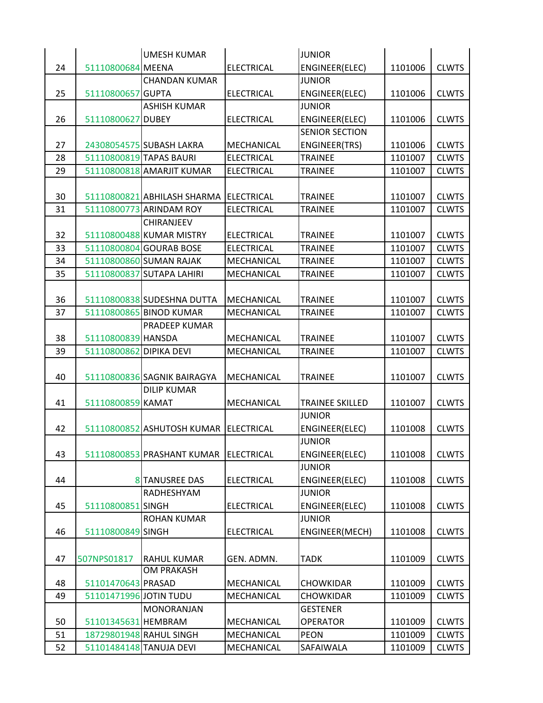|    |                         | <b>UMESH KUMAR</b>          |                   | <b>JUNIOR</b>                           |         |              |
|----|-------------------------|-----------------------------|-------------------|-----------------------------------------|---------|--------------|
| 24 | 51110800684 MEENA       |                             | <b>ELECTRICAL</b> | ENGINEER(ELEC)                          | 1101006 | <b>CLWTS</b> |
|    |                         | <b>CHANDAN KUMAR</b>        |                   | <b>JUNIOR</b>                           |         |              |
| 25 | 51110800657 GUPTA       |                             | <b>ELECTRICAL</b> | ENGINEER(ELEC)                          | 1101006 | <b>CLWTS</b> |
|    |                         | <b>ASHISH KUMAR</b>         |                   | <b>JUNIOR</b>                           |         |              |
| 26 | 51110800627 DUBEY       |                             | <b>ELECTRICAL</b> | ENGINEER(ELEC)                          | 1101006 | <b>CLWTS</b> |
|    |                         |                             |                   | <b>SENIOR SECTION</b>                   |         |              |
| 27 |                         | 24308054575 SUBASH LAKRA    | MECHANICAL        | <b>ENGINEER(TRS)</b>                    | 1101006 | <b>CLWTS</b> |
| 28 |                         | 51110800819 TAPAS BAURI     | <b>ELECTRICAL</b> | <b>TRAINEE</b>                          | 1101007 | <b>CLWTS</b> |
| 29 |                         | 51110800818 AMARJIT KUMAR   | <b>ELECTRICAL</b> | <b>TRAINEE</b>                          | 1101007 | <b>CLWTS</b> |
|    |                         |                             |                   |                                         |         |              |
| 30 |                         | 51110800821 ABHILASH SHARMA | ELECTRICAL        | <b>TRAINEE</b>                          | 1101007 | <b>CLWTS</b> |
| 31 |                         | 51110800773 ARINDAM ROY     | <b>ELECTRICAL</b> | <b>TRAINEE</b>                          | 1101007 | <b>CLWTS</b> |
|    |                         | <b>CHIRANJEEV</b>           |                   |                                         |         |              |
| 32 |                         | 51110800488 KUMAR MISTRY    | <b>ELECTRICAL</b> | <b>TRAINEE</b>                          | 1101007 | <b>CLWTS</b> |
| 33 |                         | 51110800804 GOURAB BOSE     | <b>ELECTRICAL</b> | <b>TRAINEE</b>                          | 1101007 | <b>CLWTS</b> |
| 34 |                         | 51110800860 SUMAN RAJAK     | <b>MECHANICAL</b> | <b>TRAINEE</b>                          | 1101007 | <b>CLWTS</b> |
| 35 |                         | 51110800837 SUTAPA LAHIRI   | MECHANICAL        | <b>TRAINEE</b>                          | 1101007 | <b>CLWTS</b> |
|    |                         |                             |                   |                                         |         |              |
| 36 |                         | 51110800838 SUDESHNA DUTTA  | MECHANICAL        | <b>TRAINEE</b>                          | 1101007 | <b>CLWTS</b> |
| 37 |                         | 51110800865 BINOD KUMAR     | MECHANICAL        | <b>TRAINEE</b>                          | 1101007 | <b>CLWTS</b> |
|    |                         | PRADEEP KUMAR               |                   |                                         |         |              |
| 38 | 51110800839 HANSDA      |                             | MECHANICAL        | <b>TRAINEE</b>                          | 1101007 | <b>CLWTS</b> |
| 39 | 51110800862 DIPIKA DEVI |                             | MECHANICAL        | <b>TRAINEE</b>                          | 1101007 | <b>CLWTS</b> |
|    |                         |                             |                   |                                         |         |              |
| 40 |                         | 51110800836 SAGNIK BAIRAGYA | MECHANICAL        | <b>TRAINEE</b>                          | 1101007 | <b>CLWTS</b> |
|    |                         | <b>DILIP KUMAR</b>          |                   |                                         |         |              |
| 41 | 51110800859 KAMAT       |                             | MECHANICAL        | <b>TRAINEE SKILLED</b><br><b>JUNIOR</b> | 1101007 | <b>CLWTS</b> |
| 42 |                         | 51110800852 ASHUTOSH KUMAR  | ELECTRICAL        | ENGINEER(ELEC)                          | 1101008 | <b>CLWTS</b> |
|    |                         |                             |                   | <b>JUNIOR</b>                           |         |              |
| 43 |                         | 51110800853 PRASHANT KUMAR  | ELECTRICAL        | ENGINEER(ELEC)                          | 1101008 | <b>CLWTS</b> |
|    |                         |                             |                   | <b>JUNIOR</b>                           |         |              |
| 44 |                         | 8 TANUSREE DAS              | <b>ELECTRICAL</b> | ENGINEER(ELEC)                          | 1101008 | <b>CLWTS</b> |
|    |                         | RADHESHYAM                  |                   | <b>JUNIOR</b>                           |         |              |
| 45 | 51110800851 SINGH       |                             | <b>ELECTRICAL</b> | ENGINEER(ELEC)                          | 1101008 | <b>CLWTS</b> |
|    |                         | <b>ROHAN KUMAR</b>          |                   | <b>JUNIOR</b>                           |         |              |
| 46 | 51110800849 SINGH       |                             | <b>ELECTRICAL</b> | ENGINEER(MECH)                          | 1101008 | <b>CLWTS</b> |
|    |                         |                             |                   |                                         |         |              |
| 47 | 507NPS01817             | <b>RAHUL KUMAR</b>          | GEN. ADMN.        | <b>TADK</b>                             | 1101009 | <b>CLWTS</b> |
|    |                         | <b>OM PRAKASH</b>           |                   |                                         |         |              |
| 48 | 51101470643 PRASAD      |                             | MECHANICAL        | <b>CHOWKIDAR</b>                        | 1101009 | <b>CLWTS</b> |
| 49 | 51101471996 JOTIN TUDU  |                             | MECHANICAL        | <b>CHOWKIDAR</b>                        | 1101009 | <b>CLWTS</b> |
|    |                         | <b>MONORANJAN</b>           |                   | <b>GESTENER</b>                         |         |              |
| 50 | 51101345631 HEMBRAM     |                             | MECHANICAL        | <b>OPERATOR</b>                         | 1101009 | <b>CLWTS</b> |
| 51 |                         | 18729801948 RAHUL SINGH     | MECHANICAL        | <b>PEON</b>                             | 1101009 | <b>CLWTS</b> |
| 52 |                         | 51101484148 TANUJA DEVI     | MECHANICAL        | SAFAIWALA                               | 1101009 | <b>CLWTS</b> |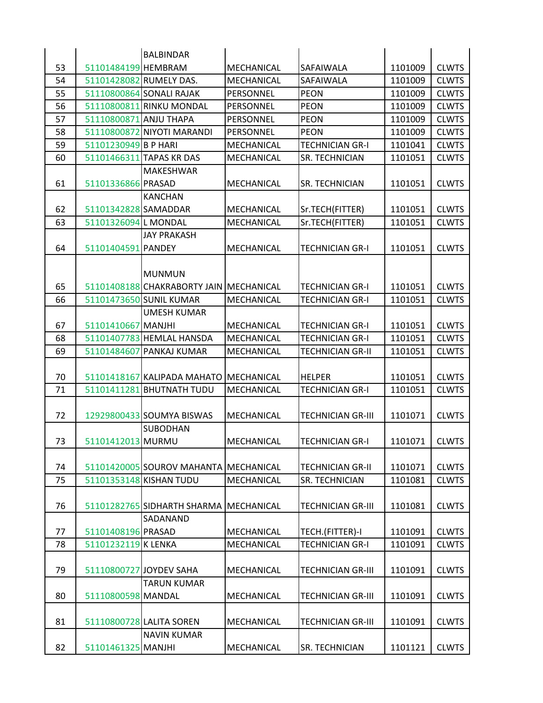|    |                        | <b>BALBINDAR</b>                        |                   |                          |         |              |
|----|------------------------|-----------------------------------------|-------------------|--------------------------|---------|--------------|
| 53 | 51101484199 HEMBRAM    |                                         | MECHANICAL        | SAFAIWALA                | 1101009 | <b>CLWTS</b> |
| 54 |                        | 51101428082 RUMELY DAS.                 | MECHANICAL        | SAFAIWALA                | 1101009 | <b>CLWTS</b> |
| 55 |                        | 51110800864 SONALI RAJAK                | PERSONNEL         | <b>PEON</b>              | 1101009 | <b>CLWTS</b> |
| 56 |                        | 51110800811 RINKU MONDAL                | PERSONNEL         | <b>PEON</b>              | 1101009 | <b>CLWTS</b> |
| 57 | 51110800871 ANJU THAPA |                                         | PERSONNEL         | <b>PEON</b>              | 1101009 | <b>CLWTS</b> |
| 58 |                        | 51110800872 NIYOTI MARANDI              | PERSONNEL         | <b>PEON</b>              | 1101009 | <b>CLWTS</b> |
| 59 | 51101230949 B P HARI   |                                         | <b>MECHANICAL</b> | <b>TECHNICIAN GR-I</b>   | 1101041 | <b>CLWTS</b> |
| 60 |                        | 51101466311 TAPAS KR DAS                | MECHANICAL        | SR. TECHNICIAN           | 1101051 | <b>CLWTS</b> |
|    |                        | MAKESHWAR                               |                   |                          |         |              |
| 61 | 51101336866 PRASAD     |                                         | MECHANICAL        | SR. TECHNICIAN           | 1101051 | <b>CLWTS</b> |
|    |                        | <b>KANCHAN</b>                          |                   |                          |         |              |
| 62 | 51101342828 SAMADDAR   |                                         | MECHANICAL        | Sr.TECH(FITTER)          | 1101051 | <b>CLWTS</b> |
| 63 | 51101326094 L MONDAL   |                                         | MECHANICAL        | Sr.TECH(FITTER)          | 1101051 | <b>CLWTS</b> |
|    |                        | <b>JAY PRAKASH</b>                      |                   |                          |         |              |
| 64 | 51101404591 PANDEY     |                                         | MECHANICAL        | <b>TECHNICIAN GR-I</b>   | 1101051 | <b>CLWTS</b> |
|    |                        |                                         |                   |                          |         |              |
|    |                        | <b>MUNMUN</b>                           |                   |                          |         |              |
| 65 |                        | 51101408188 CHAKRABORTY JAIN MECHANICAL |                   | <b>TECHNICIAN GR-I</b>   | 1101051 | <b>CLWTS</b> |
| 66 |                        | 51101473650 SUNIL KUMAR                 | MECHANICAL        | <b>TECHNICIAN GR-I</b>   | 1101051 | <b>CLWTS</b> |
|    |                        | <b>UMESH KUMAR</b>                      |                   |                          |         |              |
| 67 | 51101410667 MANJHI     |                                         | MECHANICAL        | <b>TECHNICIAN GR-I</b>   | 1101051 | <b>CLWTS</b> |
| 68 |                        | 51101407783 HEMLAL HANSDA               | MECHANICAL        | <b>TECHNICIAN GR-I</b>   | 1101051 | <b>CLWTS</b> |
| 69 |                        | 51101484607 PANKAJ KUMAR                | MECHANICAL        | <b>TECHNICIAN GR-II</b>  | 1101051 | <b>CLWTS</b> |
|    |                        |                                         |                   |                          |         |              |
| 70 |                        | 51101418167 KALIPADA MAHATO             | MECHANICAL        | <b>HELPER</b>            | 1101051 | <b>CLWTS</b> |
| 71 |                        | 51101411281 BHUTNATH TUDU               | MECHANICAL        | <b>TECHNICIAN GR-I</b>   | 1101051 | <b>CLWTS</b> |
|    |                        |                                         |                   |                          |         |              |
| 72 |                        | 12929800433 SOUMYA BISWAS               | MECHANICAL        | <b>TECHNICIAN GR-III</b> | 1101071 | <b>CLWTS</b> |
|    |                        | <b>SUBODHAN</b>                         |                   |                          |         |              |
| 73 | 51101412013 MURMU      |                                         | MECHANICAL        | <b>TECHNICIAN GR-I</b>   | 1101071 | <b>CLWTS</b> |
|    |                        |                                         |                   |                          |         |              |
| 74 |                        | 51101420005 SOUROV MAHANTA MECHANICAL   |                   | <b>TECHNICIAN GR-II</b>  | 1101071 | <b>CLWTS</b> |
| 75 |                        | 51101353148 KISHAN TUDU                 | MECHANICAL        | SR. TECHNICIAN           | 1101081 | <b>CLWTS</b> |
|    |                        |                                         |                   |                          |         |              |
| 76 |                        | 51101282765 SIDHARTH SHARMA MECHANICAL  |                   | <b>TECHNICIAN GR-III</b> | 1101081 | <b>CLWTS</b> |
|    |                        | SADANAND                                |                   |                          |         |              |
| 77 | 51101408196 PRASAD     |                                         | MECHANICAL        | TECH.(FITTER)-I          | 1101091 | <b>CLWTS</b> |
| 78 | 51101232119 K LENKA    |                                         | MECHANICAL        | <b>TECHNICIAN GR-I</b>   | 1101091 | <b>CLWTS</b> |
|    |                        |                                         |                   |                          |         |              |
| 79 |                        | 51110800727 JOYDEV SAHA                 | MECHANICAL        | <b>TECHNICIAN GR-III</b> | 1101091 | <b>CLWTS</b> |
|    |                        | <b>TARUN KUMAR</b>                      |                   |                          |         |              |
| 80 | 51110800598 MANDAL     |                                         | <b>MECHANICAL</b> | <b>TECHNICIAN GR-III</b> | 1101091 | <b>CLWTS</b> |
|    |                        |                                         |                   |                          |         |              |
| 81 |                        | 51110800728 LALITA SOREN                | MECHANICAL        | <b>TECHNICIAN GR-III</b> | 1101091 | <b>CLWTS</b> |
|    |                        | <b>NAVIN KUMAR</b>                      |                   |                          |         |              |
| 82 | 51101461325 MANJHI     |                                         | MECHANICAL        | SR. TECHNICIAN           | 1101121 | <b>CLWTS</b> |
|    |                        |                                         |                   |                          |         |              |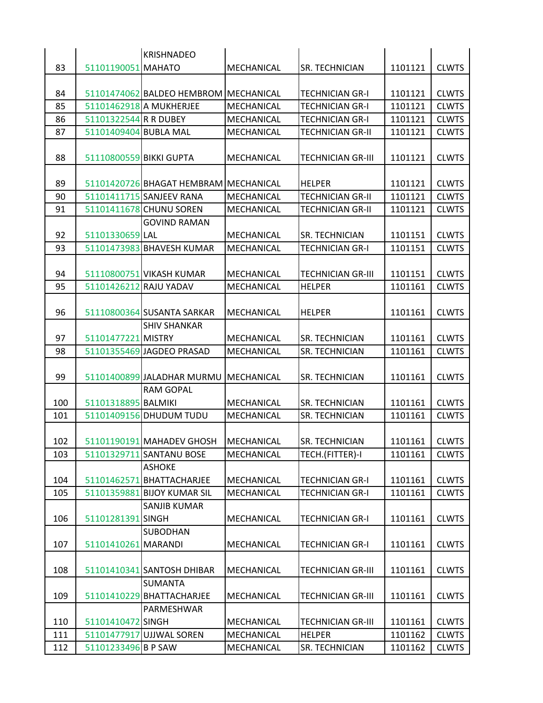|     |                         | <b>KRISHNADEO</b>                     |                   |                          |         |              |
|-----|-------------------------|---------------------------------------|-------------------|--------------------------|---------|--------------|
| 83  | 51101190051 MAHATO      |                                       | MECHANICAL        | SR. TECHNICIAN           | 1101121 | <b>CLWTS</b> |
|     |                         |                                       |                   |                          |         |              |
| 84  |                         | 51101474062 BALDEO HEMBROM MECHANICAL |                   | <b>TECHNICIAN GR-I</b>   | 1101121 | <b>CLWTS</b> |
| 85  |                         | 51101462918 A MUKHERJEE               | MECHANICAL        | <b>TECHNICIAN GR-I</b>   | 1101121 | <b>CLWTS</b> |
| 86  | 51101322544 R R DUBEY   |                                       | MECHANICAL        | <b>TECHNICIAN GR-I</b>   | 1101121 | <b>CLWTS</b> |
| 87  | 51101409404 BUBLA MAL   |                                       | MECHANICAL        | <b>TECHNICIAN GR-II</b>  | 1101121 | <b>CLWTS</b> |
| 88  | 51110800559 BIKKI GUPTA |                                       | MECHANICAL        | <b>TECHNICIAN GR-III</b> | 1101121 | <b>CLWTS</b> |
| 89  |                         | 51101420726 BHAGAT HEMBRAM MECHANICAL |                   | <b>HELPER</b>            | 1101121 | <b>CLWTS</b> |
| 90  |                         | 51101411715 SANJEEV RANA              | MECHANICAL        | <b>TECHNICIAN GR-II</b>  | 1101121 | <b>CLWTS</b> |
| 91  |                         | 51101411678 CHUNU SOREN               | MECHANICAL        | <b>TECHNICIAN GR-II</b>  | 1101121 | <b>CLWTS</b> |
|     |                         | <b>GOVIND RAMAN</b>                   |                   |                          |         |              |
| 92  | 51101330659 LAL         |                                       | MECHANICAL        | SR. TECHNICIAN           | 1101151 | <b>CLWTS</b> |
| 93  |                         | 51101473983 BHAVESH KUMAR             | MECHANICAL        | <b>TECHNICIAN GR-I</b>   | 1101151 | <b>CLWTS</b> |
| 94  |                         | 51110800751 VIKASH KUMAR              | MECHANICAL        | <b>TECHNICIAN GR-III</b> | 1101151 | <b>CLWTS</b> |
| 95  | 51101426212 RAJU YADAV  |                                       | MECHANICAL        | HELPER                   | 1101161 | <b>CLWTS</b> |
| 96  |                         | 51110800364 SUSANTA SARKAR            | MECHANICAL        | <b>HELPER</b>            | 1101161 | <b>CLWTS</b> |
|     |                         | <b>SHIV SHANKAR</b>                   |                   |                          |         |              |
| 97  | 51101477221 MISTRY      |                                       | MECHANICAL        | SR. TECHNICIAN           | 1101161 | <b>CLWTS</b> |
| 98  |                         | 51101355469 JAGDEO PRASAD             | MECHANICAL        | SR. TECHNICIAN           | 1101161 | <b>CLWTS</b> |
| 99  |                         | 51101400899 JALADHAR MURMU            | IMECHANICAL       | SR. TECHNICIAN           | 1101161 | <b>CLWTS</b> |
|     |                         | RAM GOPAL                             |                   |                          |         |              |
| 100 | 51101318895 BALMIKI     |                                       | MECHANICAL        | SR. TECHNICIAN           | 1101161 | <b>CLWTS</b> |
| 101 |                         | 51101409156 DHUDUM TUDU               | MECHANICAL        | SR. TECHNICIAN           | 1101161 | <b>CLWTS</b> |
| 102 |                         | 51101190191 MAHADEV GHOSH             | <b>MECHANICAL</b> | <b>SR. TECHNICIAN</b>    | 1101161 | <b>CLWTS</b> |
| 103 |                         | 51101329711 SANTANU BOSE              | MECHANICAL        | TECH.(FITTER)-I          | 1101161 | <b>CLWTS</b> |
|     |                         | <b>ASHOKE</b>                         |                   |                          |         |              |
| 104 |                         | 51101462571 BHATTACHARJEE             | MECHANICAL        | <b>TECHNICIAN GR-I</b>   | 1101161 | <b>CLWTS</b> |
| 105 |                         | 51101359881 BIJOY KUMAR SIL           | MECHANICAL        | <b>TECHNICIAN GR-I</b>   | 1101161 | <b>CLWTS</b> |
|     |                         | SANJIB KUMAR                          |                   |                          |         |              |
| 106 | 51101281391 SINGH       |                                       | MECHANICAL        | <b>TECHNICIAN GR-I</b>   | 1101161 | <b>CLWTS</b> |
|     |                         | <b>SUBODHAN</b>                       |                   |                          |         |              |
| 107 | 51101410261 MARANDI     |                                       | MECHANICAL        | <b>TECHNICIAN GR-I</b>   | 1101161 | <b>CLWTS</b> |
|     |                         |                                       |                   |                          |         |              |
| 108 |                         | 51101410341 SANTOSH DHIBAR            | MECHANICAL        | <b>TECHNICIAN GR-III</b> | 1101161 | <b>CLWTS</b> |
|     |                         | <b>SUMANTA</b>                        |                   |                          |         |              |
| 109 |                         | 51101410229 BHATTACHARJEE             | MECHANICAL        | <b>TECHNICIAN GR-III</b> | 1101161 | <b>CLWTS</b> |
|     |                         | PARMESHWAR                            |                   |                          |         |              |
| 110 | 51101410472 SINGH       |                                       | MECHANICAL        | <b>TECHNICIAN GR-III</b> | 1101161 | <b>CLWTS</b> |
| 111 |                         | 51101477917 UJJWAL SOREN              | MECHANICAL        | <b>HELPER</b>            | 1101162 | <b>CLWTS</b> |
| 112 | 51101233496 B P SAW     |                                       | MECHANICAL        | SR. TECHNICIAN           | 1101162 | <b>CLWTS</b> |
|     |                         |                                       |                   |                          |         |              |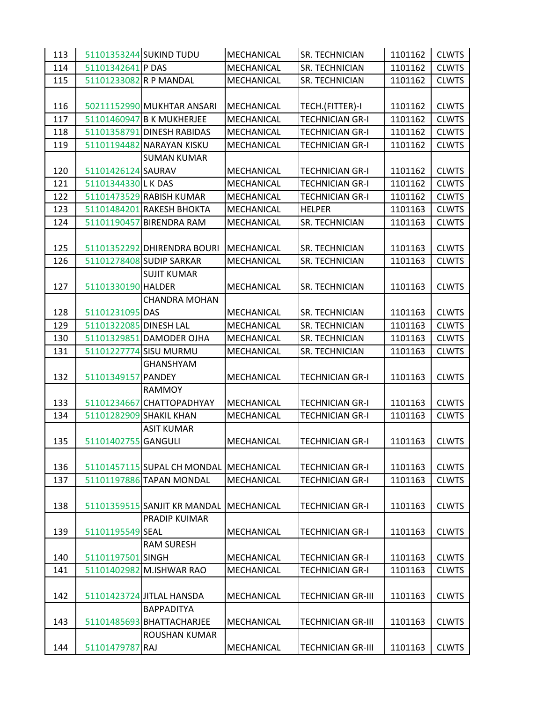| 113 |                        | 51101353244 SUKIND TUDU                | MECHANICAL        | SR. TECHNICIAN           | 1101162 | <b>CLWTS</b> |
|-----|------------------------|----------------------------------------|-------------------|--------------------------|---------|--------------|
| 114 | 51101342641 P DAS      |                                        | MECHANICAL        | SR. TECHNICIAN           | 1101162 | <b>CLWTS</b> |
| 115 | 51101233082 R P MANDAL |                                        | MECHANICAL        | SR. TECHNICIAN           | 1101162 | <b>CLWTS</b> |
|     |                        |                                        |                   |                          |         |              |
| 116 |                        | 50211152990 MUKHTAR ANSARI             | MECHANICAL        | TECH.(FITTER)-I          | 1101162 | <b>CLWTS</b> |
| 117 |                        | 51101460947 B K MUKHERJEE              | MECHANICAL        | <b>TECHNICIAN GR-I</b>   | 1101162 | <b>CLWTS</b> |
| 118 |                        | 51101358791 DINESH RABIDAS             | MECHANICAL        | <b>TECHNICIAN GR-I</b>   | 1101162 | <b>CLWTS</b> |
| 119 |                        | 51101194482 NARAYAN KISKU              | MECHANICAL        | <b>TECHNICIAN GR-I</b>   | 1101162 | <b>CLWTS</b> |
|     |                        | <b>SUMAN KUMAR</b>                     |                   |                          |         |              |
| 120 | 51101426124 SAURAV     |                                        | MECHANICAL        | <b>TECHNICIAN GR-I</b>   | 1101162 | <b>CLWTS</b> |
| 121 | 51101344330 L K DAS    |                                        | MECHANICAL        | <b>TECHNICIAN GR-I</b>   | 1101162 | <b>CLWTS</b> |
| 122 |                        | 51101473529 RABISH KUMAR               | MECHANICAL        | <b>TECHNICIAN GR-I</b>   | 1101162 | <b>CLWTS</b> |
| 123 |                        | 51101484201 RAKESH BHOKTA              | MECHANICAL        | <b>HELPER</b>            | 1101163 | <b>CLWTS</b> |
| 124 |                        | 51101190457 BIRENDRA RAM               | MECHANICAL        | SR. TECHNICIAN           | 1101163 | <b>CLWTS</b> |
| 125 |                        | 51101352292 DHIRENDRA BOURI            | MECHANICAL        | SR. TECHNICIAN           | 1101163 | <b>CLWTS</b> |
| 126 |                        | 51101278408 SUDIP SARKAR               | MECHANICAL        | SR. TECHNICIAN           | 1101163 | <b>CLWTS</b> |
|     |                        | <b>SUJIT KUMAR</b>                     |                   |                          |         |              |
| 127 | 51101330190 HALDER     |                                        | MECHANICAL        | SR. TECHNICIAN           | 1101163 | <b>CLWTS</b> |
|     |                        | <b>CHANDRA MOHAN</b>                   |                   |                          |         |              |
| 128 | 51101231095 DAS        |                                        | MECHANICAL        | SR. TECHNICIAN           | 1101163 | <b>CLWTS</b> |
| 129 | 51101322085 DINESH LAL |                                        | MECHANICAL        | SR. TECHNICIAN           | 1101163 | <b>CLWTS</b> |
| 130 |                        | 51101329851 DAMODER OJHA               | MECHANICAL        | SR. TECHNICIAN           | 1101163 | <b>CLWTS</b> |
| 131 |                        | 51101227774 SISU MURMU                 | MECHANICAL        | SR. TECHNICIAN           | 1101163 | <b>CLWTS</b> |
|     |                        | <b>GHANSHYAM</b>                       |                   |                          |         |              |
| 132 | 51101349157 PANDEY     |                                        | MECHANICAL        | <b>TECHNICIAN GR-I</b>   | 1101163 | <b>CLWTS</b> |
|     |                        | RAMMOY                                 |                   |                          |         |              |
| 133 |                        | 51101234667 CHATTOPADHYAY              | MECHANICAL        | <b>TECHNICIAN GR-I</b>   | 1101163 | <b>CLWTS</b> |
| 134 |                        | 51101282909 SHAKIL KHAN                | MECHANICAL        | <b>TECHNICIAN GR-I</b>   | 1101163 | <b>CLWTS</b> |
|     |                        | <b>ASIT KUMAR</b>                      |                   |                          |         |              |
| 135 | 51101402755 GANGULI    |                                        | MECHANICAL        | <b>TECHNICIAN GR-I</b>   | 1101163 | <b>CLWTS</b> |
|     |                        |                                        |                   |                          |         |              |
| 136 |                        | 51101457115 SUPAL CH MONDAL MECHANICAL |                   | <b>TECHNICIAN GR-I</b>   | 1101163 | <b>CLWTS</b> |
| 137 |                        | 51101197886 TAPAN MONDAL               | <b>MECHANICAL</b> | <b>TECHNICIAN GR-I</b>   | 1101163 | <b>CLWTS</b> |
|     |                        |                                        |                   |                          |         |              |
| 138 |                        | 51101359515 SANJIT KR MANDAL           | MECHANICAL        | <b>TECHNICIAN GR-I</b>   | 1101163 | <b>CLWTS</b> |
| 139 | 51101195549 SEAL       | PRADIP KUIMAR                          |                   |                          | 1101163 | <b>CLWTS</b> |
|     |                        |                                        | MECHANICAL        | <b>TECHNICIAN GR-I</b>   |         |              |
| 140 | 51101197501 SINGH      | <b>RAM SURESH</b>                      | MECHANICAL        | <b>TECHNICIAN GR-I</b>   | 1101163 | <b>CLWTS</b> |
| 141 |                        | 51101402982 M.ISHWAR RAO               | MECHANICAL        | <b>TECHNICIAN GR-I</b>   | 1101163 | <b>CLWTS</b> |
|     |                        |                                        |                   |                          |         |              |
| 142 |                        | 51101423724 JITLAL HANSDA              | <b>MECHANICAL</b> | <b>TECHNICIAN GR-III</b> | 1101163 | <b>CLWTS</b> |
|     |                        | <b>BAPPADITYA</b>                      |                   |                          |         |              |
| 143 |                        | 51101485693 BHATTACHARJEE              | MECHANICAL        | <b>TECHNICIAN GR-III</b> | 1101163 | <b>CLWTS</b> |
|     |                        | ROUSHAN KUMAR                          |                   |                          |         |              |
| 144 | 51101479787 RAJ        |                                        | MECHANICAL        | <b>TECHNICIAN GR-III</b> | 1101163 | <b>CLWTS</b> |
|     |                        |                                        |                   |                          |         |              |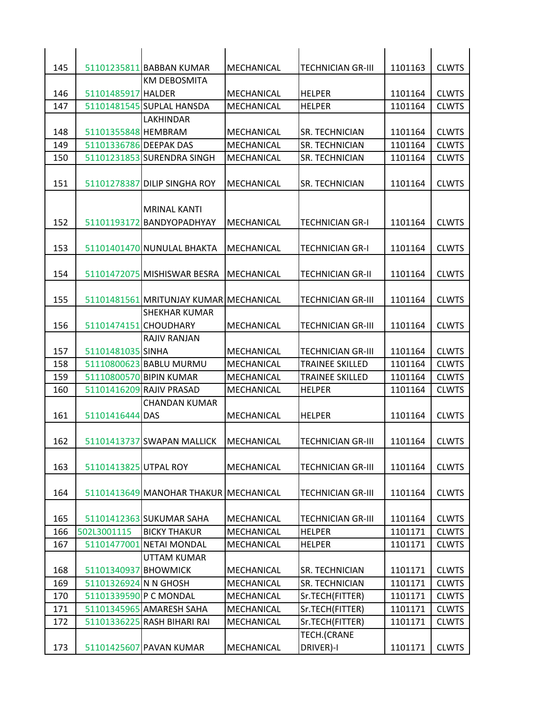| 145        |                        | 51101235811 BABBAN KUMAR                           | <b>MECHANICAL</b>        | <b>TECHNICIAN GR-III</b>                | 1101163            | <b>CLWTS</b>                 |
|------------|------------------------|----------------------------------------------------|--------------------------|-----------------------------------------|--------------------|------------------------------|
|            |                        | <b>KM DEBOSMITA</b>                                |                          |                                         |                    |                              |
| 146        | 51101485917 HALDER     |                                                    | <b>MECHANICAL</b>        | IHELPER                                 | 1101164            | <b>CLWTS</b>                 |
| 147        |                        | 51101481545 SUPLAL HANSDA                          | MECHANICAL               | <b>HFLPFR</b>                           | 1101164            | <b>CLWTS</b>                 |
|            |                        | LAKHINDAR                                          |                          |                                         |                    |                              |
| 148        | 51101355848 HEMBRAM    |                                                    | <b>MECHANICAL</b>        | ISR. TECHNICIAN                         | 1101164            | <b>CLWTS</b>                 |
| 149        | 51101336786 DEEPAK DAS |                                                    | <b>MECHANICAL</b>        | <b>SR. TECHNICIAN</b>                   | 1101164            | <b>CLWTS</b>                 |
| 150        |                        | 51101231853 SURENDRA SINGH                         | MECHANICAL               | <b>SR. TECHNICIAN</b>                   | 1101164            | <b>CLWTS</b>                 |
| 151        |                        | 51101278387 DILIP SINGHA ROY                       | MECHANICAL               | ISR. TECHNICIAN                         | 1101164            | <b>CLWTS</b>                 |
| 152        |                        | <b>MRINAL KANTI</b><br>51101193172 BANDYOPADHYAY   | <b>MFCHANICAL</b>        | TECHNICIAN GR-I                         | 1101164            | <b>CLWTS</b>                 |
| 153        |                        | 51101401470 NUNULAL BHAKTA                         | <b>MECHANICAL</b>        | ITECHNICIAN GR-I                        | 1101164            | <b>CLWTS</b>                 |
| 154        |                        | 51101472075 MISHISWAR BESRA                        | <b>MFCHANICAL</b>        | ITECHNICIAN GR-II                       | 1101164            | <b>CLWTS</b>                 |
| 155        |                        | 51101481561 MRITUNJAY KUMAR MECHANICAL             |                          | <b>TECHNICIAN GR-III</b>                | 1101164            | <b>CLWTS</b>                 |
| 156        | 51101474151 CHOUDHARY  | SHEKHAR KUMAR                                      | <b>MECHANICAL</b>        | <b>TECHNICIAN GR-III</b>                | 1101164            | <b>CLWTS</b>                 |
|            |                        | <b>RAJIV RANJAN</b>                                |                          |                                         |                    |                              |
| 157        | 51101481035 SINHA      |                                                    | MECHANICAL               | TECHNICIAN GR-III                       | 1101164            | <b>CLWTS</b>                 |
| 158        |                        | 51110800623 BABLU MURMU<br>51110800570 BIPIN KUMAR | <b>MECHANICAL</b>        | <b>TRAINEE SKILLED</b>                  | 1101164            | <b>CLWTS</b>                 |
| 159<br>160 |                        | 51101416209 RAJIV PRASAD                           | MECHANICAL<br>MECHANICAL | <b>TRAINEE SKILLED</b><br><b>HELPER</b> | 1101164<br>1101164 | <b>CLWTS</b><br><b>CLWTS</b> |
|            |                        | <b>CHANDAN KUMAR</b>                               |                          |                                         |                    |                              |
| 161        | 51101416444 DAS        |                                                    | <b>MFCHANICAL</b>        | <b>HELPER</b>                           | 1101164            | <b>CLWTS</b>                 |
| 162        |                        | 51101413737 SWAPAN MALLICK                         | <b>MECHANICAL</b>        | <b>TECHNICIAN GR-III</b>                | 1101164            | <b>CLWTS</b>                 |
| 163        | 51101413825 UTPAL ROY  |                                                    | MECHANICAL               | <b>TECHNICIAN GR-III</b>                | 1101164            | <b>CLWTS</b>                 |
| 164        |                        | 51101413649 MANOHAR THAKUR MECHANICAL              |                          | <b>TECHNICIAN GR-III</b>                | 1101164            | <b>CLWTS</b>                 |
| 165        |                        | 51101412363 SUKUMAR SAHA                           | MECHANICAL               | <b>TECHNICIAN GR-III</b>                | 1101164            | <b>CLWTS</b>                 |
| 166        | 502L3001115            | <b>BICKY THAKUR</b>                                | MECHANICAL               | <b>HELPER</b>                           | 1101171            | <b>CLWTS</b>                 |
| 167        |                        | 51101477001 NETAI MONDAL                           | MECHANICAL               | <b>HELPER</b>                           | 1101171            | <b>CLWTS</b>                 |
|            |                        | UTTAM KUMAR                                        |                          |                                         |                    |                              |
| 168        | 51101340937 BHOWMICK   |                                                    | MECHANICAL               | <b>SR. TECHNICIAN</b>                   | 1101171            | <b>CLWTS</b>                 |
| 169        | 51101326924 N N GHOSH  |                                                    | MECHANICAL               | SR. TECHNICIAN                          | 1101171            | <b>CLWTS</b>                 |
| 170        | 51101339590 P C MONDAL |                                                    | MECHANICAL               | Sr.TECH(FITTER)                         | 1101171            | <b>CLWTS</b>                 |
| 171        |                        | 51101345965 AMARESH SAHA                           | MECHANICAL               | Sr.TECH(FITTER)                         | 1101171            | <b>CLWTS</b>                 |
| 172        |                        | 51101336225 RASH BIHARI RAI                        | MECHANICAL               | Sr.TECH(FITTER)                         | 1101171            | <b>CLWTS</b>                 |
| 173        |                        | 51101425607 PAVAN KUMAR                            | MECHANICAL               | TECH.(CRANE<br>DRIVER)-I                | 1101171            | <b>CLWTS</b>                 |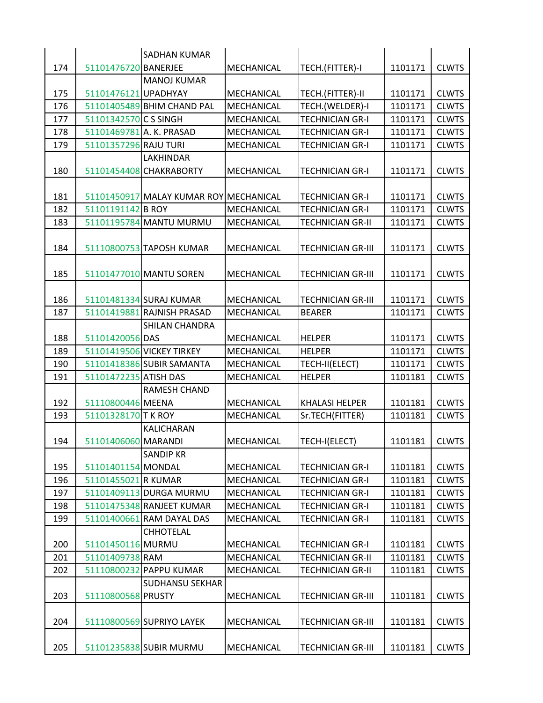|     |                          | <b>SADHAN KUMAR</b>                    |                   |                          |         |              |
|-----|--------------------------|----------------------------------------|-------------------|--------------------------|---------|--------------|
| 174 | 51101476720 BANERJEE     |                                        | MECHANICAL        | TECH.(FITTER)-I          | 1101171 | <b>CLWTS</b> |
|     |                          | <b>MANOJ KUMAR</b>                     |                   |                          |         |              |
| 175 | 51101476121 UPADHYAY     |                                        | MECHANICAL        | TECH.(FITTER)-II         | 1101171 | <b>CLWTS</b> |
| 176 |                          | 51101405489 BHIM CHAND PAL             | MECHANICAL        | TECH.(WELDER)-I          | 1101171 | <b>CLWTS</b> |
| 177 | 51101342570 C S SINGH    |                                        | MECHANICAL        | <b>TECHNICIAN GR-I</b>   | 1101171 | <b>CLWTS</b> |
| 178 | 51101469781 A. K. PRASAD |                                        | MECHANICAL        | <b>TECHNICIAN GR-I</b>   | 1101171 | <b>CLWTS</b> |
| 179 | 51101357296 RAJU TURI    |                                        | MECHANICAL        | <b>TECHNICIAN GR-I</b>   | 1101171 | <b>CLWTS</b> |
|     |                          | LAKHINDAR                              |                   |                          |         |              |
| 180 |                          | 51101454408 CHAKRABORTY                | MECHANICAL        | <b>TECHNICIAN GR-I</b>   | 1101171 | <b>CLWTS</b> |
|     |                          |                                        |                   |                          |         |              |
| 181 |                          | 51101450917 MALAY KUMAR ROY MECHANICAL |                   | <b>TECHNICIAN GR-I</b>   | 1101171 | <b>CLWTS</b> |
| 182 | 51101191142 B ROY        |                                        | MECHANICAL        | <b>TECHNICIAN GR-I</b>   | 1101171 | <b>CLWTS</b> |
| 183 |                          | 51101195784 MANTU MURMU                | MECHANICAL        | <b>TECHNICIAN GR-II</b>  | 1101171 | <b>CLWTS</b> |
|     |                          |                                        |                   |                          |         |              |
| 184 |                          | 51110800753 TAPOSH KUMAR               | MECHANICAL        | <b>TECHNICIAN GR-III</b> | 1101171 | <b>CLWTS</b> |
|     |                          |                                        |                   |                          |         |              |
| 185 |                          | 51101477010 MANTU SOREN                | MECHANICAL        | <b>TECHNICIAN GR-III</b> | 1101171 | <b>CLWTS</b> |
|     |                          |                                        |                   |                          |         |              |
| 186 |                          | 51101481334 SURAJ KUMAR                | MECHANICAL        | <b>TECHNICIAN GR-III</b> | 1101171 | <b>CLWTS</b> |
| 187 |                          | 51101419881 RAJNISH PRASAD             | MECHANICAL        | BEARER                   | 1101171 | <b>CLWTS</b> |
|     |                          | <b>SHILAN CHANDRA</b>                  |                   |                          |         |              |
| 188 | 51101420056 DAS          |                                        | MECHANICAL        | <b>HELPER</b>            | 1101171 | <b>CLWTS</b> |
| 189 |                          | 51101419506 VICKEY TIRKEY              | MECHANICAL        | <b>HELPER</b>            | 1101171 | <b>CLWTS</b> |
| 190 |                          | 51101418386 SUBIR SAMANTA              | MECHANICAL        | TECH-II(ELECT)           | 1101171 | <b>CLWTS</b> |
| 191 | 51101472235 ATISH DAS    |                                        | MECHANICAL        | <b>HELPER</b>            | 1101181 | <b>CLWTS</b> |
|     |                          | RAMESH CHAND                           |                   |                          |         |              |
| 192 | 51110800446 MEENA        |                                        | MECHANICAL        | <b>KHALASI HELPER</b>    | 1101181 | <b>CLWTS</b> |
| 193 | 51101328170 T K ROY      |                                        | MECHANICAL        | Sr.TECH(FITTER)          | 1101181 | <b>CLWTS</b> |
|     |                          | KALICHARAN                             |                   |                          |         |              |
| 194 | 51101406060 MARANDI      |                                        | <b>MECHANICAL</b> | TECH-I(ELECT)            | 1101181 | <b>CLWTS</b> |
|     |                          | <b>SANDIP KR</b>                       |                   |                          |         |              |
| 195 | 51101401154 MONDAL       |                                        | MECHANICAL        | <b>TECHNICIAN GR-I</b>   | 1101181 | <b>CLWTS</b> |
| 196 | 51101455021 R KUMAR      |                                        | MECHANICAL        | <b>TECHNICIAN GR-I</b>   | 1101181 | <b>CLWTS</b> |
| 197 |                          | 51101409113 DURGA MURMU                | <b>MECHANICAL</b> | <b>TECHNICIAN GR-I</b>   | 1101181 | <b>CLWTS</b> |
| 198 |                          | 51101475348 RANJEET KUMAR              | MECHANICAL        | <b>TECHNICIAN GR-I</b>   | 1101181 | <b>CLWTS</b> |
| 199 |                          | 51101400661 RAM DAYAL DAS              | MECHANICAL        | <b>TECHNICIAN GR-I</b>   | 1101181 | <b>CLWTS</b> |
|     |                          | <b>CHHOTELAL</b>                       |                   |                          |         |              |
| 200 | 51101450116 MURMU        |                                        | MECHANICAL        | <b>TECHNICIAN GR-I</b>   | 1101181 | <b>CLWTS</b> |
| 201 | 51101409738 RAM          |                                        | MECHANICAL        | <b>TECHNICIAN GR-II</b>  | 1101181 | <b>CLWTS</b> |
| 202 |                          | 51110800232 PAPPU KUMAR                | MECHANICAL        | <b>TECHNICIAN GR-II</b>  | 1101181 | <b>CLWTS</b> |
|     |                          | <b>SUDHANSU SEKHAR</b>                 |                   |                          |         |              |
| 203 | 51110800568 PRUSTY       |                                        | MECHANICAL        | <b>TECHNICIAN GR-III</b> | 1101181 | <b>CLWTS</b> |
|     |                          |                                        |                   |                          |         |              |
| 204 |                          | 51110800569 SUPRIYO LAYEK              | MECHANICAL        | <b>TECHNICIAN GR-III</b> | 1101181 | <b>CLWTS</b> |
|     |                          |                                        |                   |                          |         |              |
| 205 |                          | 51101235838 SUBIR MURMU                | MECHANICAL        | <b>TECHNICIAN GR-III</b> | 1101181 | <b>CLWTS</b> |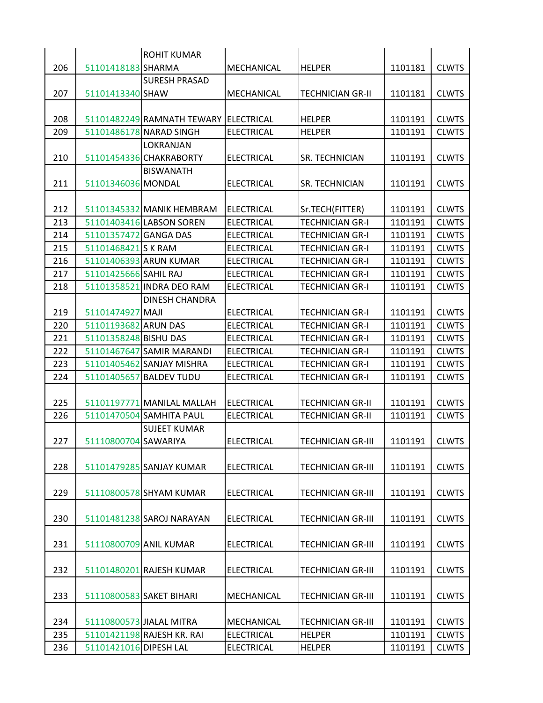| 206<br>51101418183 SHARMA<br>1101181<br><b>CLWTS</b><br>MECHANICAL<br><b>HELPER</b><br><b>SURESH PRASAD</b><br>51101413340 SHAW<br>207<br>MECHANICAL<br><b>TECHNICIAN GR-II</b><br>1101181<br><b>CLWTS</b><br>208<br>51101482249 RAMNATH TEWARY ELECTRICAL<br><b>HELPER</b><br>1101191<br><b>CLWTS</b><br>209<br>51101486178 NARAD SINGH<br><b>ELECTRICAL</b><br><b>HELPER</b><br>1101191<br><b>CLWTS</b><br>LOKRANJAN<br>210<br><b>CLWTS</b><br>51101454336 CHAKRABORTY<br><b>ELECTRICAL</b><br>SR. TECHNICIAN<br>1101191<br><b>BISWANATH</b><br>211<br>51101346036 MONDAL<br>SR. TECHNICIAN<br><b>CLWTS</b><br><b>ELECTRICAL</b><br>1101191<br>212<br>51101345332 MANIK HEMBRAM<br><b>ELECTRICAL</b><br>Sr.TECH(FITTER)<br>1101191<br><b>CLWTS</b><br>213<br>51101403416 LABSON SOREN<br><b>TECHNICIAN GR-I</b><br><b>ELECTRICAL</b><br>1101191<br><b>CLWTS</b><br>214<br>51101357472 GANGA DAS<br><b>ELECTRICAL</b><br><b>TECHNICIAN GR-I</b><br>1101191<br><b>CLWTS</b><br>215<br>51101468421 S K RAM<br><b>ELECTRICAL</b><br><b>TECHNICIAN GR-I</b><br>1101191<br><b>CLWTS</b><br>216<br>51101406393 ARUN KUMAR<br><b>ELECTRICAL</b><br><b>TECHNICIAN GR-I</b><br>1101191<br><b>CLWTS</b><br>217<br>51101425666 SAHIL RAJ<br><b>ELECTRICAL</b><br><b>TECHNICIAN GR-I</b><br>1101191<br><b>CLWTS</b><br>218<br>51101358521 INDRA DEO RAM<br><b>ELECTRICAL</b><br><b>TECHNICIAN GR-I</b><br>1101191<br><b>CLWTS</b><br><b>DINESH CHANDRA</b><br>219<br>51101474927 MAJI<br><b>CLWTS</b><br><b>ELECTRICAL</b><br><b>TECHNICIAN GR-I</b><br>1101191<br>220<br>51101193682 ARUN DAS<br><b>ELECTRICAL</b><br><b>TECHNICIAN GR-I</b><br>1101191<br><b>CLWTS</b><br>51101358248 BISHU DAS<br><b>ELECTRICAL</b><br><b>TECHNICIAN GR-I</b><br>1101191<br><b>CLWTS</b><br>221<br>222<br>51101467647 SAMIR MARANDI<br><b>ELECTRICAL</b><br><b>TECHNICIAN GR-I</b><br>1101191<br><b>CLWTS</b><br>223<br>51101405462 SANJAY MISHRA<br><b>ELECTRICAL</b><br><b>TECHNICIAN GR-I</b><br>1101191<br><b>CLWTS</b><br>224<br>51101405657<br><b>BALDEV TUDU</b><br><b>ELECTRICAL</b><br><b>TECHNICIAN GR-I</b><br>1101191<br><b>CLWTS</b><br>225<br><b>ELECTRICAL</b><br>1101191<br><b>CLWTS</b><br>51101197771 MANILAL MALLAH<br><b>TECHNICIAN GR-II</b><br>226<br>51101470504 SAMHITA PAUL<br><b>ELECTRICAL</b><br><b>TECHNICIAN GR-II</b><br>1101191<br><b>CLWTS</b><br><b>SUJEET KUMAR</b><br>227<br>51110800704 SAWARIYA<br><b>ELECTRICAL</b><br>1101191<br><b>CLWTS</b><br><b>TECHNICIAN GR-III</b><br>228<br>51101479285 SANJAY KUMAR<br>1101191<br><b>CLWTS</b><br><b>ELECTRICAL</b><br><b>TECHNICIAN GR-III</b><br>229<br>51110800578 SHYAM KUMAR<br>1101191<br><b>CLWTS</b><br><b>ELECTRICAL</b><br><b>TECHNICIAN GR-III</b><br><b>CLWTS</b><br>230<br>51101481238 SAROJ NARAYAN<br><b>ELECTRICAL</b><br><b>TECHNICIAN GR-III</b><br>1101191<br>51110800709 ANIL KUMAR<br><b>CLWTS</b><br>231<br><b>ELECTRICAL</b><br><b>TECHNICIAN GR-III</b><br>1101191<br>232<br>51101480201 RAJESH KUMAR<br><b>ELECTRICAL</b><br><b>TECHNICIAN GR-III</b><br>1101191<br><b>CLWTS</b><br>233<br>51110800583 SAKET BIHARI<br><b>TECHNICIAN GR-III</b><br>1101191<br><b>CLWTS</b><br><b>MECHANICAL</b><br>234<br>51110800573 JIALAL MITRA<br><b>TECHNICIAN GR-III</b><br>1101191<br>MECHANICAL<br><b>CLWTS</b><br>51101421198 RAJESH KR. RAI<br>1101191<br>235<br><b>ELECTRICAL</b><br><b>HELPER</b><br><b>CLWTS</b><br>236<br>51101421016 DIPESH LAL<br><b>ELECTRICAL</b><br><b>HELPER</b><br>1101191<br><b>CLWTS</b> |  | <b>ROHIT KUMAR</b> |  |  |
|---------------------------------------------------------------------------------------------------------------------------------------------------------------------------------------------------------------------------------------------------------------------------------------------------------------------------------------------------------------------------------------------------------------------------------------------------------------------------------------------------------------------------------------------------------------------------------------------------------------------------------------------------------------------------------------------------------------------------------------------------------------------------------------------------------------------------------------------------------------------------------------------------------------------------------------------------------------------------------------------------------------------------------------------------------------------------------------------------------------------------------------------------------------------------------------------------------------------------------------------------------------------------------------------------------------------------------------------------------------------------------------------------------------------------------------------------------------------------------------------------------------------------------------------------------------------------------------------------------------------------------------------------------------------------------------------------------------------------------------------------------------------------------------------------------------------------------------------------------------------------------------------------------------------------------------------------------------------------------------------------------------------------------------------------------------------------------------------------------------------------------------------------------------------------------------------------------------------------------------------------------------------------------------------------------------------------------------------------------------------------------------------------------------------------------------------------------------------------------------------------------------------------------------------------------------------------------------------------------------------------------------------------------------------------------------------------------------------------------------------------------------------------------------------------------------------------------------------------------------------------------------------------------------------------------------------------------------------------------------------------------------------------------------------------------------------------------------------------------------------------------------------------------------------------------------------------------------------------------------------------------------------------------------------------------------------------------------------------------------------------------------------------------------------------------------------------------------------------------------------------|--|--------------------|--|--|
|                                                                                                                                                                                                                                                                                                                                                                                                                                                                                                                                                                                                                                                                                                                                                                                                                                                                                                                                                                                                                                                                                                                                                                                                                                                                                                                                                                                                                                                                                                                                                                                                                                                                                                                                                                                                                                                                                                                                                                                                                                                                                                                                                                                                                                                                                                                                                                                                                                                                                                                                                                                                                                                                                                                                                                                                                                                                                                                                                                                                                                                                                                                                                                                                                                                                                                                                                                                                                                                                                                   |  |                    |  |  |
|                                                                                                                                                                                                                                                                                                                                                                                                                                                                                                                                                                                                                                                                                                                                                                                                                                                                                                                                                                                                                                                                                                                                                                                                                                                                                                                                                                                                                                                                                                                                                                                                                                                                                                                                                                                                                                                                                                                                                                                                                                                                                                                                                                                                                                                                                                                                                                                                                                                                                                                                                                                                                                                                                                                                                                                                                                                                                                                                                                                                                                                                                                                                                                                                                                                                                                                                                                                                                                                                                                   |  |                    |  |  |
|                                                                                                                                                                                                                                                                                                                                                                                                                                                                                                                                                                                                                                                                                                                                                                                                                                                                                                                                                                                                                                                                                                                                                                                                                                                                                                                                                                                                                                                                                                                                                                                                                                                                                                                                                                                                                                                                                                                                                                                                                                                                                                                                                                                                                                                                                                                                                                                                                                                                                                                                                                                                                                                                                                                                                                                                                                                                                                                                                                                                                                                                                                                                                                                                                                                                                                                                                                                                                                                                                                   |  |                    |  |  |
|                                                                                                                                                                                                                                                                                                                                                                                                                                                                                                                                                                                                                                                                                                                                                                                                                                                                                                                                                                                                                                                                                                                                                                                                                                                                                                                                                                                                                                                                                                                                                                                                                                                                                                                                                                                                                                                                                                                                                                                                                                                                                                                                                                                                                                                                                                                                                                                                                                                                                                                                                                                                                                                                                                                                                                                                                                                                                                                                                                                                                                                                                                                                                                                                                                                                                                                                                                                                                                                                                                   |  |                    |  |  |
|                                                                                                                                                                                                                                                                                                                                                                                                                                                                                                                                                                                                                                                                                                                                                                                                                                                                                                                                                                                                                                                                                                                                                                                                                                                                                                                                                                                                                                                                                                                                                                                                                                                                                                                                                                                                                                                                                                                                                                                                                                                                                                                                                                                                                                                                                                                                                                                                                                                                                                                                                                                                                                                                                                                                                                                                                                                                                                                                                                                                                                                                                                                                                                                                                                                                                                                                                                                                                                                                                                   |  |                    |  |  |
|                                                                                                                                                                                                                                                                                                                                                                                                                                                                                                                                                                                                                                                                                                                                                                                                                                                                                                                                                                                                                                                                                                                                                                                                                                                                                                                                                                                                                                                                                                                                                                                                                                                                                                                                                                                                                                                                                                                                                                                                                                                                                                                                                                                                                                                                                                                                                                                                                                                                                                                                                                                                                                                                                                                                                                                                                                                                                                                                                                                                                                                                                                                                                                                                                                                                                                                                                                                                                                                                                                   |  |                    |  |  |
|                                                                                                                                                                                                                                                                                                                                                                                                                                                                                                                                                                                                                                                                                                                                                                                                                                                                                                                                                                                                                                                                                                                                                                                                                                                                                                                                                                                                                                                                                                                                                                                                                                                                                                                                                                                                                                                                                                                                                                                                                                                                                                                                                                                                                                                                                                                                                                                                                                                                                                                                                                                                                                                                                                                                                                                                                                                                                                                                                                                                                                                                                                                                                                                                                                                                                                                                                                                                                                                                                                   |  |                    |  |  |
|                                                                                                                                                                                                                                                                                                                                                                                                                                                                                                                                                                                                                                                                                                                                                                                                                                                                                                                                                                                                                                                                                                                                                                                                                                                                                                                                                                                                                                                                                                                                                                                                                                                                                                                                                                                                                                                                                                                                                                                                                                                                                                                                                                                                                                                                                                                                                                                                                                                                                                                                                                                                                                                                                                                                                                                                                                                                                                                                                                                                                                                                                                                                                                                                                                                                                                                                                                                                                                                                                                   |  |                    |  |  |
|                                                                                                                                                                                                                                                                                                                                                                                                                                                                                                                                                                                                                                                                                                                                                                                                                                                                                                                                                                                                                                                                                                                                                                                                                                                                                                                                                                                                                                                                                                                                                                                                                                                                                                                                                                                                                                                                                                                                                                                                                                                                                                                                                                                                                                                                                                                                                                                                                                                                                                                                                                                                                                                                                                                                                                                                                                                                                                                                                                                                                                                                                                                                                                                                                                                                                                                                                                                                                                                                                                   |  |                    |  |  |
|                                                                                                                                                                                                                                                                                                                                                                                                                                                                                                                                                                                                                                                                                                                                                                                                                                                                                                                                                                                                                                                                                                                                                                                                                                                                                                                                                                                                                                                                                                                                                                                                                                                                                                                                                                                                                                                                                                                                                                                                                                                                                                                                                                                                                                                                                                                                                                                                                                                                                                                                                                                                                                                                                                                                                                                                                                                                                                                                                                                                                                                                                                                                                                                                                                                                                                                                                                                                                                                                                                   |  |                    |  |  |
|                                                                                                                                                                                                                                                                                                                                                                                                                                                                                                                                                                                                                                                                                                                                                                                                                                                                                                                                                                                                                                                                                                                                                                                                                                                                                                                                                                                                                                                                                                                                                                                                                                                                                                                                                                                                                                                                                                                                                                                                                                                                                                                                                                                                                                                                                                                                                                                                                                                                                                                                                                                                                                                                                                                                                                                                                                                                                                                                                                                                                                                                                                                                                                                                                                                                                                                                                                                                                                                                                                   |  |                    |  |  |
|                                                                                                                                                                                                                                                                                                                                                                                                                                                                                                                                                                                                                                                                                                                                                                                                                                                                                                                                                                                                                                                                                                                                                                                                                                                                                                                                                                                                                                                                                                                                                                                                                                                                                                                                                                                                                                                                                                                                                                                                                                                                                                                                                                                                                                                                                                                                                                                                                                                                                                                                                                                                                                                                                                                                                                                                                                                                                                                                                                                                                                                                                                                                                                                                                                                                                                                                                                                                                                                                                                   |  |                    |  |  |
|                                                                                                                                                                                                                                                                                                                                                                                                                                                                                                                                                                                                                                                                                                                                                                                                                                                                                                                                                                                                                                                                                                                                                                                                                                                                                                                                                                                                                                                                                                                                                                                                                                                                                                                                                                                                                                                                                                                                                                                                                                                                                                                                                                                                                                                                                                                                                                                                                                                                                                                                                                                                                                                                                                                                                                                                                                                                                                                                                                                                                                                                                                                                                                                                                                                                                                                                                                                                                                                                                                   |  |                    |  |  |
|                                                                                                                                                                                                                                                                                                                                                                                                                                                                                                                                                                                                                                                                                                                                                                                                                                                                                                                                                                                                                                                                                                                                                                                                                                                                                                                                                                                                                                                                                                                                                                                                                                                                                                                                                                                                                                                                                                                                                                                                                                                                                                                                                                                                                                                                                                                                                                                                                                                                                                                                                                                                                                                                                                                                                                                                                                                                                                                                                                                                                                                                                                                                                                                                                                                                                                                                                                                                                                                                                                   |  |                    |  |  |
|                                                                                                                                                                                                                                                                                                                                                                                                                                                                                                                                                                                                                                                                                                                                                                                                                                                                                                                                                                                                                                                                                                                                                                                                                                                                                                                                                                                                                                                                                                                                                                                                                                                                                                                                                                                                                                                                                                                                                                                                                                                                                                                                                                                                                                                                                                                                                                                                                                                                                                                                                                                                                                                                                                                                                                                                                                                                                                                                                                                                                                                                                                                                                                                                                                                                                                                                                                                                                                                                                                   |  |                    |  |  |
|                                                                                                                                                                                                                                                                                                                                                                                                                                                                                                                                                                                                                                                                                                                                                                                                                                                                                                                                                                                                                                                                                                                                                                                                                                                                                                                                                                                                                                                                                                                                                                                                                                                                                                                                                                                                                                                                                                                                                                                                                                                                                                                                                                                                                                                                                                                                                                                                                                                                                                                                                                                                                                                                                                                                                                                                                                                                                                                                                                                                                                                                                                                                                                                                                                                                                                                                                                                                                                                                                                   |  |                    |  |  |
|                                                                                                                                                                                                                                                                                                                                                                                                                                                                                                                                                                                                                                                                                                                                                                                                                                                                                                                                                                                                                                                                                                                                                                                                                                                                                                                                                                                                                                                                                                                                                                                                                                                                                                                                                                                                                                                                                                                                                                                                                                                                                                                                                                                                                                                                                                                                                                                                                                                                                                                                                                                                                                                                                                                                                                                                                                                                                                                                                                                                                                                                                                                                                                                                                                                                                                                                                                                                                                                                                                   |  |                    |  |  |
|                                                                                                                                                                                                                                                                                                                                                                                                                                                                                                                                                                                                                                                                                                                                                                                                                                                                                                                                                                                                                                                                                                                                                                                                                                                                                                                                                                                                                                                                                                                                                                                                                                                                                                                                                                                                                                                                                                                                                                                                                                                                                                                                                                                                                                                                                                                                                                                                                                                                                                                                                                                                                                                                                                                                                                                                                                                                                                                                                                                                                                                                                                                                                                                                                                                                                                                                                                                                                                                                                                   |  |                    |  |  |
|                                                                                                                                                                                                                                                                                                                                                                                                                                                                                                                                                                                                                                                                                                                                                                                                                                                                                                                                                                                                                                                                                                                                                                                                                                                                                                                                                                                                                                                                                                                                                                                                                                                                                                                                                                                                                                                                                                                                                                                                                                                                                                                                                                                                                                                                                                                                                                                                                                                                                                                                                                                                                                                                                                                                                                                                                                                                                                                                                                                                                                                                                                                                                                                                                                                                                                                                                                                                                                                                                                   |  |                    |  |  |
|                                                                                                                                                                                                                                                                                                                                                                                                                                                                                                                                                                                                                                                                                                                                                                                                                                                                                                                                                                                                                                                                                                                                                                                                                                                                                                                                                                                                                                                                                                                                                                                                                                                                                                                                                                                                                                                                                                                                                                                                                                                                                                                                                                                                                                                                                                                                                                                                                                                                                                                                                                                                                                                                                                                                                                                                                                                                                                                                                                                                                                                                                                                                                                                                                                                                                                                                                                                                                                                                                                   |  |                    |  |  |
|                                                                                                                                                                                                                                                                                                                                                                                                                                                                                                                                                                                                                                                                                                                                                                                                                                                                                                                                                                                                                                                                                                                                                                                                                                                                                                                                                                                                                                                                                                                                                                                                                                                                                                                                                                                                                                                                                                                                                                                                                                                                                                                                                                                                                                                                                                                                                                                                                                                                                                                                                                                                                                                                                                                                                                                                                                                                                                                                                                                                                                                                                                                                                                                                                                                                                                                                                                                                                                                                                                   |  |                    |  |  |
|                                                                                                                                                                                                                                                                                                                                                                                                                                                                                                                                                                                                                                                                                                                                                                                                                                                                                                                                                                                                                                                                                                                                                                                                                                                                                                                                                                                                                                                                                                                                                                                                                                                                                                                                                                                                                                                                                                                                                                                                                                                                                                                                                                                                                                                                                                                                                                                                                                                                                                                                                                                                                                                                                                                                                                                                                                                                                                                                                                                                                                                                                                                                                                                                                                                                                                                                                                                                                                                                                                   |  |                    |  |  |
|                                                                                                                                                                                                                                                                                                                                                                                                                                                                                                                                                                                                                                                                                                                                                                                                                                                                                                                                                                                                                                                                                                                                                                                                                                                                                                                                                                                                                                                                                                                                                                                                                                                                                                                                                                                                                                                                                                                                                                                                                                                                                                                                                                                                                                                                                                                                                                                                                                                                                                                                                                                                                                                                                                                                                                                                                                                                                                                                                                                                                                                                                                                                                                                                                                                                                                                                                                                                                                                                                                   |  |                    |  |  |
|                                                                                                                                                                                                                                                                                                                                                                                                                                                                                                                                                                                                                                                                                                                                                                                                                                                                                                                                                                                                                                                                                                                                                                                                                                                                                                                                                                                                                                                                                                                                                                                                                                                                                                                                                                                                                                                                                                                                                                                                                                                                                                                                                                                                                                                                                                                                                                                                                                                                                                                                                                                                                                                                                                                                                                                                                                                                                                                                                                                                                                                                                                                                                                                                                                                                                                                                                                                                                                                                                                   |  |                    |  |  |
|                                                                                                                                                                                                                                                                                                                                                                                                                                                                                                                                                                                                                                                                                                                                                                                                                                                                                                                                                                                                                                                                                                                                                                                                                                                                                                                                                                                                                                                                                                                                                                                                                                                                                                                                                                                                                                                                                                                                                                                                                                                                                                                                                                                                                                                                                                                                                                                                                                                                                                                                                                                                                                                                                                                                                                                                                                                                                                                                                                                                                                                                                                                                                                                                                                                                                                                                                                                                                                                                                                   |  |                    |  |  |
|                                                                                                                                                                                                                                                                                                                                                                                                                                                                                                                                                                                                                                                                                                                                                                                                                                                                                                                                                                                                                                                                                                                                                                                                                                                                                                                                                                                                                                                                                                                                                                                                                                                                                                                                                                                                                                                                                                                                                                                                                                                                                                                                                                                                                                                                                                                                                                                                                                                                                                                                                                                                                                                                                                                                                                                                                                                                                                                                                                                                                                                                                                                                                                                                                                                                                                                                                                                                                                                                                                   |  |                    |  |  |
|                                                                                                                                                                                                                                                                                                                                                                                                                                                                                                                                                                                                                                                                                                                                                                                                                                                                                                                                                                                                                                                                                                                                                                                                                                                                                                                                                                                                                                                                                                                                                                                                                                                                                                                                                                                                                                                                                                                                                                                                                                                                                                                                                                                                                                                                                                                                                                                                                                                                                                                                                                                                                                                                                                                                                                                                                                                                                                                                                                                                                                                                                                                                                                                                                                                                                                                                                                                                                                                                                                   |  |                    |  |  |
|                                                                                                                                                                                                                                                                                                                                                                                                                                                                                                                                                                                                                                                                                                                                                                                                                                                                                                                                                                                                                                                                                                                                                                                                                                                                                                                                                                                                                                                                                                                                                                                                                                                                                                                                                                                                                                                                                                                                                                                                                                                                                                                                                                                                                                                                                                                                                                                                                                                                                                                                                                                                                                                                                                                                                                                                                                                                                                                                                                                                                                                                                                                                                                                                                                                                                                                                                                                                                                                                                                   |  |                    |  |  |
|                                                                                                                                                                                                                                                                                                                                                                                                                                                                                                                                                                                                                                                                                                                                                                                                                                                                                                                                                                                                                                                                                                                                                                                                                                                                                                                                                                                                                                                                                                                                                                                                                                                                                                                                                                                                                                                                                                                                                                                                                                                                                                                                                                                                                                                                                                                                                                                                                                                                                                                                                                                                                                                                                                                                                                                                                                                                                                                                                                                                                                                                                                                                                                                                                                                                                                                                                                                                                                                                                                   |  |                    |  |  |
|                                                                                                                                                                                                                                                                                                                                                                                                                                                                                                                                                                                                                                                                                                                                                                                                                                                                                                                                                                                                                                                                                                                                                                                                                                                                                                                                                                                                                                                                                                                                                                                                                                                                                                                                                                                                                                                                                                                                                                                                                                                                                                                                                                                                                                                                                                                                                                                                                                                                                                                                                                                                                                                                                                                                                                                                                                                                                                                                                                                                                                                                                                                                                                                                                                                                                                                                                                                                                                                                                                   |  |                    |  |  |
|                                                                                                                                                                                                                                                                                                                                                                                                                                                                                                                                                                                                                                                                                                                                                                                                                                                                                                                                                                                                                                                                                                                                                                                                                                                                                                                                                                                                                                                                                                                                                                                                                                                                                                                                                                                                                                                                                                                                                                                                                                                                                                                                                                                                                                                                                                                                                                                                                                                                                                                                                                                                                                                                                                                                                                                                                                                                                                                                                                                                                                                                                                                                                                                                                                                                                                                                                                                                                                                                                                   |  |                    |  |  |
|                                                                                                                                                                                                                                                                                                                                                                                                                                                                                                                                                                                                                                                                                                                                                                                                                                                                                                                                                                                                                                                                                                                                                                                                                                                                                                                                                                                                                                                                                                                                                                                                                                                                                                                                                                                                                                                                                                                                                                                                                                                                                                                                                                                                                                                                                                                                                                                                                                                                                                                                                                                                                                                                                                                                                                                                                                                                                                                                                                                                                                                                                                                                                                                                                                                                                                                                                                                                                                                                                                   |  |                    |  |  |
|                                                                                                                                                                                                                                                                                                                                                                                                                                                                                                                                                                                                                                                                                                                                                                                                                                                                                                                                                                                                                                                                                                                                                                                                                                                                                                                                                                                                                                                                                                                                                                                                                                                                                                                                                                                                                                                                                                                                                                                                                                                                                                                                                                                                                                                                                                                                                                                                                                                                                                                                                                                                                                                                                                                                                                                                                                                                                                                                                                                                                                                                                                                                                                                                                                                                                                                                                                                                                                                                                                   |  |                    |  |  |
|                                                                                                                                                                                                                                                                                                                                                                                                                                                                                                                                                                                                                                                                                                                                                                                                                                                                                                                                                                                                                                                                                                                                                                                                                                                                                                                                                                                                                                                                                                                                                                                                                                                                                                                                                                                                                                                                                                                                                                                                                                                                                                                                                                                                                                                                                                                                                                                                                                                                                                                                                                                                                                                                                                                                                                                                                                                                                                                                                                                                                                                                                                                                                                                                                                                                                                                                                                                                                                                                                                   |  |                    |  |  |
|                                                                                                                                                                                                                                                                                                                                                                                                                                                                                                                                                                                                                                                                                                                                                                                                                                                                                                                                                                                                                                                                                                                                                                                                                                                                                                                                                                                                                                                                                                                                                                                                                                                                                                                                                                                                                                                                                                                                                                                                                                                                                                                                                                                                                                                                                                                                                                                                                                                                                                                                                                                                                                                                                                                                                                                                                                                                                                                                                                                                                                                                                                                                                                                                                                                                                                                                                                                                                                                                                                   |  |                    |  |  |
|                                                                                                                                                                                                                                                                                                                                                                                                                                                                                                                                                                                                                                                                                                                                                                                                                                                                                                                                                                                                                                                                                                                                                                                                                                                                                                                                                                                                                                                                                                                                                                                                                                                                                                                                                                                                                                                                                                                                                                                                                                                                                                                                                                                                                                                                                                                                                                                                                                                                                                                                                                                                                                                                                                                                                                                                                                                                                                                                                                                                                                                                                                                                                                                                                                                                                                                                                                                                                                                                                                   |  |                    |  |  |
|                                                                                                                                                                                                                                                                                                                                                                                                                                                                                                                                                                                                                                                                                                                                                                                                                                                                                                                                                                                                                                                                                                                                                                                                                                                                                                                                                                                                                                                                                                                                                                                                                                                                                                                                                                                                                                                                                                                                                                                                                                                                                                                                                                                                                                                                                                                                                                                                                                                                                                                                                                                                                                                                                                                                                                                                                                                                                                                                                                                                                                                                                                                                                                                                                                                                                                                                                                                                                                                                                                   |  |                    |  |  |
|                                                                                                                                                                                                                                                                                                                                                                                                                                                                                                                                                                                                                                                                                                                                                                                                                                                                                                                                                                                                                                                                                                                                                                                                                                                                                                                                                                                                                                                                                                                                                                                                                                                                                                                                                                                                                                                                                                                                                                                                                                                                                                                                                                                                                                                                                                                                                                                                                                                                                                                                                                                                                                                                                                                                                                                                                                                                                                                                                                                                                                                                                                                                                                                                                                                                                                                                                                                                                                                                                                   |  |                    |  |  |
|                                                                                                                                                                                                                                                                                                                                                                                                                                                                                                                                                                                                                                                                                                                                                                                                                                                                                                                                                                                                                                                                                                                                                                                                                                                                                                                                                                                                                                                                                                                                                                                                                                                                                                                                                                                                                                                                                                                                                                                                                                                                                                                                                                                                                                                                                                                                                                                                                                                                                                                                                                                                                                                                                                                                                                                                                                                                                                                                                                                                                                                                                                                                                                                                                                                                                                                                                                                                                                                                                                   |  |                    |  |  |
|                                                                                                                                                                                                                                                                                                                                                                                                                                                                                                                                                                                                                                                                                                                                                                                                                                                                                                                                                                                                                                                                                                                                                                                                                                                                                                                                                                                                                                                                                                                                                                                                                                                                                                                                                                                                                                                                                                                                                                                                                                                                                                                                                                                                                                                                                                                                                                                                                                                                                                                                                                                                                                                                                                                                                                                                                                                                                                                                                                                                                                                                                                                                                                                                                                                                                                                                                                                                                                                                                                   |  |                    |  |  |
|                                                                                                                                                                                                                                                                                                                                                                                                                                                                                                                                                                                                                                                                                                                                                                                                                                                                                                                                                                                                                                                                                                                                                                                                                                                                                                                                                                                                                                                                                                                                                                                                                                                                                                                                                                                                                                                                                                                                                                                                                                                                                                                                                                                                                                                                                                                                                                                                                                                                                                                                                                                                                                                                                                                                                                                                                                                                                                                                                                                                                                                                                                                                                                                                                                                                                                                                                                                                                                                                                                   |  |                    |  |  |
|                                                                                                                                                                                                                                                                                                                                                                                                                                                                                                                                                                                                                                                                                                                                                                                                                                                                                                                                                                                                                                                                                                                                                                                                                                                                                                                                                                                                                                                                                                                                                                                                                                                                                                                                                                                                                                                                                                                                                                                                                                                                                                                                                                                                                                                                                                                                                                                                                                                                                                                                                                                                                                                                                                                                                                                                                                                                                                                                                                                                                                                                                                                                                                                                                                                                                                                                                                                                                                                                                                   |  |                    |  |  |
|                                                                                                                                                                                                                                                                                                                                                                                                                                                                                                                                                                                                                                                                                                                                                                                                                                                                                                                                                                                                                                                                                                                                                                                                                                                                                                                                                                                                                                                                                                                                                                                                                                                                                                                                                                                                                                                                                                                                                                                                                                                                                                                                                                                                                                                                                                                                                                                                                                                                                                                                                                                                                                                                                                                                                                                                                                                                                                                                                                                                                                                                                                                                                                                                                                                                                                                                                                                                                                                                                                   |  |                    |  |  |
|                                                                                                                                                                                                                                                                                                                                                                                                                                                                                                                                                                                                                                                                                                                                                                                                                                                                                                                                                                                                                                                                                                                                                                                                                                                                                                                                                                                                                                                                                                                                                                                                                                                                                                                                                                                                                                                                                                                                                                                                                                                                                                                                                                                                                                                                                                                                                                                                                                                                                                                                                                                                                                                                                                                                                                                                                                                                                                                                                                                                                                                                                                                                                                                                                                                                                                                                                                                                                                                                                                   |  |                    |  |  |
|                                                                                                                                                                                                                                                                                                                                                                                                                                                                                                                                                                                                                                                                                                                                                                                                                                                                                                                                                                                                                                                                                                                                                                                                                                                                                                                                                                                                                                                                                                                                                                                                                                                                                                                                                                                                                                                                                                                                                                                                                                                                                                                                                                                                                                                                                                                                                                                                                                                                                                                                                                                                                                                                                                                                                                                                                                                                                                                                                                                                                                                                                                                                                                                                                                                                                                                                                                                                                                                                                                   |  |                    |  |  |
|                                                                                                                                                                                                                                                                                                                                                                                                                                                                                                                                                                                                                                                                                                                                                                                                                                                                                                                                                                                                                                                                                                                                                                                                                                                                                                                                                                                                                                                                                                                                                                                                                                                                                                                                                                                                                                                                                                                                                                                                                                                                                                                                                                                                                                                                                                                                                                                                                                                                                                                                                                                                                                                                                                                                                                                                                                                                                                                                                                                                                                                                                                                                                                                                                                                                                                                                                                                                                                                                                                   |  |                    |  |  |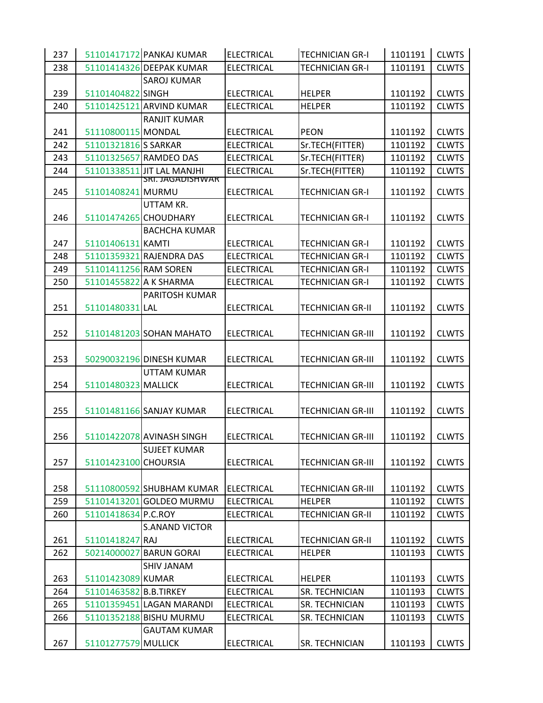| 237 |                        | 51101417172 PANKAJ KUMAR   | <b>ELECTRICAL</b> | <b>TECHNICIAN GR-I</b>   | 1101191 | <b>CLWTS</b> |
|-----|------------------------|----------------------------|-------------------|--------------------------|---------|--------------|
| 238 |                        | 51101414326 DEEPAK KUMAR   | <b>ELECTRICAL</b> | <b>TECHNICIAN GR-I</b>   | 1101191 | <b>CLWTS</b> |
|     |                        | <b>SAROJ KUMAR</b>         |                   |                          |         |              |
| 239 | 51101404822 SINGH      |                            | <b>ELECTRICAL</b> | <b>HELPER</b>            | 1101192 | <b>CLWTS</b> |
| 240 |                        | 51101425121 ARVIND KUMAR   | <b>ELECTRICAL</b> | <b>HELPER</b>            | 1101192 | <b>CLWTS</b> |
|     |                        | <b>RANJIT KUMAR</b>        |                   |                          |         |              |
| 241 | 51110800115 MONDAL     |                            | <b>ELECTRICAL</b> | <b>PEON</b>              | 1101192 | <b>CLWTS</b> |
| 242 | 51101321816 SARKAR     |                            | <b>ELECTRICAL</b> | Sr.TECH(FITTER)          | 1101192 | <b>CLWTS</b> |
| 243 |                        | 51101325657 RAMDEO DAS     | <b>ELECTRICAL</b> | Sr.TECH(FITTER)          | 1101192 | <b>CLWTS</b> |
| 244 |                        | 51101338511 JIT LAL MANJHI | <b>ELECTRICAL</b> | Sr.TECH(FITTER)          | 1101192 | <b>CLWTS</b> |
| 245 | 51101408241 MURMU      | SRI. JAGADISHWAR           | <b>ELECTRICAL</b> | <b>TECHNICIAN GR-I</b>   | 1101192 | <b>CLWTS</b> |
|     |                        | UTTAM KR.                  |                   |                          |         |              |
| 246 | 51101474265 CHOUDHARY  |                            | <b>ELECTRICAL</b> | <b>TECHNICIAN GR-I</b>   | 1101192 | <b>CLWTS</b> |
|     |                        | <b>BACHCHA KUMAR</b>       |                   |                          |         |              |
| 247 | 51101406131 KAMTI      |                            | <b>ELECTRICAL</b> | <b>TECHNICIAN GR-I</b>   | 1101192 | <b>CLWTS</b> |
| 248 |                        | 51101359321 RAJENDRA DAS   | <b>ELECTRICAL</b> | <b>TECHNICIAN GR-I</b>   | 1101192 | <b>CLWTS</b> |
| 249 | 51101411256 RAM SOREN  |                            | <b>ELECTRICAL</b> | <b>TECHNICIAN GR-I</b>   | 1101192 | <b>CLWTS</b> |
| 250 | 51101455822 A K SHARMA |                            | <b>ELECTRICAL</b> | <b>TECHNICIAN GR-I</b>   | 1101192 | <b>CLWTS</b> |
|     |                        | PARITOSH KUMAR             |                   |                          |         |              |
| 251 | 51101480331 LAL        |                            | <b>ELECTRICAL</b> | <b>TECHNICIAN GR-II</b>  | 1101192 | <b>CLWTS</b> |
| 252 |                        | 51101481203 SOHAN MAHATO   | <b>ELECTRICAL</b> | <b>TECHNICIAN GR-III</b> | 1101192 | <b>CLWTS</b> |
| 253 |                        | 50290032196 DINESH KUMAR   | <b>ELECTRICAL</b> | <b>TECHNICIAN GR-III</b> | 1101192 | <b>CLWTS</b> |
|     |                        | UTTAM KUMAR                |                   |                          |         |              |
| 254 | 51101480323 MALLICK    |                            | <b>ELECTRICAL</b> | <b>TECHNICIAN GR-III</b> | 1101192 | <b>CLWTS</b> |
|     |                        |                            |                   |                          |         |              |
| 255 |                        | 51101481166 SANJAY KUMAR   | <b>ELECTRICAL</b> | <b>TECHNICIAN GR-III</b> | 1101192 | <b>CLWTS</b> |
|     |                        |                            |                   |                          |         |              |
| 256 |                        | 51101422078 AVINASH SINGH  | <b>ELECTRICAL</b> | <b>TECHNICIAN GR-III</b> | 1101192 | <b>CLWTS</b> |
|     |                        | <b>SUJEET KUMAR</b>        |                   |                          |         |              |
| 257 | 51101423100 CHOURSIA   |                            | <b>ELECTRICAL</b> | <b>TECHNICIAN GR-III</b> | 1101192 | <b>CLWTS</b> |
|     |                        |                            |                   |                          |         |              |
| 258 |                        | 51110800592 SHUBHAM KUMAR  | <b>ELECTRICAL</b> | <b>TECHNICIAN GR-III</b> | 1101192 | <b>CLWTS</b> |
| 259 |                        | 51101413201 GOLDEO MURMU   | <b>ELECTRICAL</b> | <b>HELPER</b>            | 1101192 | <b>CLWTS</b> |
| 260 | 51101418634 P.C.ROY    |                            | <b>ELECTRICAL</b> | <b>TECHNICIAN GR-II</b>  | 1101192 | <b>CLWTS</b> |
|     |                        | <b>S.ANAND VICTOR</b>      |                   |                          |         |              |
| 261 | 51101418247 RAJ        |                            | <b>ELECTRICAL</b> | <b>TECHNICIAN GR-II</b>  | 1101192 | <b>CLWTS</b> |
| 262 |                        | 50214000027 BARUN GORAI    | <b>ELECTRICAL</b> | <b>HELPER</b>            | 1101193 | <b>CLWTS</b> |
|     |                        | SHIV JANAM                 |                   |                          |         |              |
| 263 | 51101423089 KUMAR      |                            | <b>ELECTRICAL</b> | <b>HELPER</b>            | 1101193 | <b>CLWTS</b> |
| 264 | 51101463582 B.B.TIRKEY |                            | <b>ELECTRICAL</b> | SR. TECHNICIAN           | 1101193 | <b>CLWTS</b> |
| 265 |                        | 51101359451 LAGAN MARANDI  | <b>ELECTRICAL</b> | SR. TECHNICIAN           | 1101193 | <b>CLWTS</b> |
| 266 |                        | 51101352188 BISHU MURMU    | <b>ELECTRICAL</b> | SR. TECHNICIAN           | 1101193 | <b>CLWTS</b> |
|     |                        | <b>GAUTAM KUMAR</b>        |                   |                          |         |              |
| 267 | 51101277579 MULLICK    |                            | <b>ELECTRICAL</b> | SR. TECHNICIAN           | 1101193 | <b>CLWTS</b> |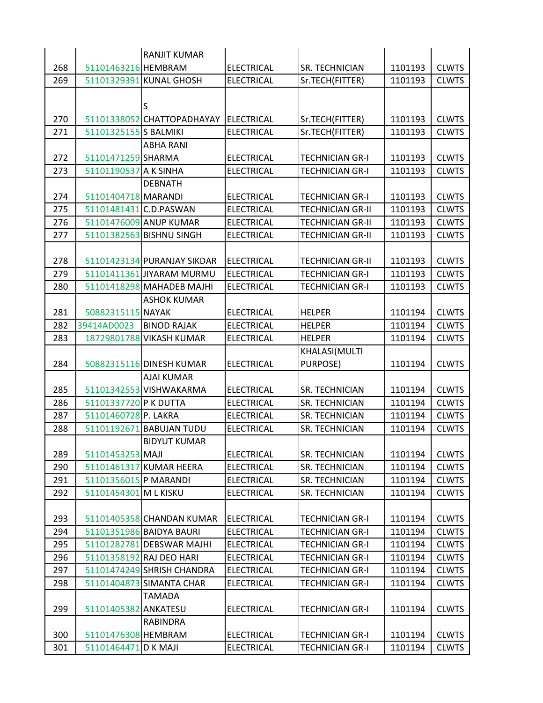|            |                        | <b>RANJIT KUMAR</b>         |                                        |                                                   |         |                              |
|------------|------------------------|-----------------------------|----------------------------------------|---------------------------------------------------|---------|------------------------------|
| 268        | 51101463216 HEMBRAM    |                             | <b>ELECTRICAL</b>                      | <b>SR. TECHNICIAN</b>                             | 1101193 | <b>CLWTS</b>                 |
| 269        |                        | 51101329391 KUNAL GHOSH     | <b>ELECTRICAL</b>                      | Sr.TECH(FITTER)                                   | 1101193 | <b>CLWTS</b>                 |
|            |                        |                             |                                        |                                                   |         |                              |
|            |                        | S                           |                                        |                                                   |         |                              |
| 270        |                        | 51101338052 CHATTOPADHAYAY  | ELECTRICAL                             | Sr.TECH(FITTER)                                   | 1101193 | <b>CLWTS</b>                 |
| 271        | 51101325155 S BALMIKI  |                             | <b>ELECTRICAL</b>                      | Sr.TECH(FITTER)                                   | 1101193 | <b>CLWTS</b>                 |
|            |                        | <b>ABHA RANI</b>            |                                        |                                                   |         |                              |
| 272        | 51101471259 SHARMA     |                             | <b>ELECTRICAL</b>                      | <b>TECHNICIAN GR-I</b>                            | 1101193 | <b>CLWTS</b>                 |
| 273        | 51101190537 A K SINHA  |                             | <b>ELECTRICAL</b>                      | <b>TECHNICIAN GR-I</b>                            | 1101193 | <b>CLWTS</b>                 |
|            |                        | <b>DEBNATH</b>              |                                        |                                                   |         |                              |
| 274        | 51101404718 MARANDI    |                             | <b>ELECTRICAL</b>                      | <b>TECHNICIAN GR-I</b>                            | 1101193 | <b>CLWTS</b>                 |
| 275        | 51101481431 C.D.PASWAN |                             | <b>ELECTRICAL</b>                      | <b>TECHNICIAN GR-II</b>                           | 1101193 | <b>CLWTS</b>                 |
| 276        |                        | 51101476009 ANUP KUMAR      | <b>ELECTRICAL</b>                      | <b>TECHNICIAN GR-II</b>                           | 1101193 | <b>CLWTS</b>                 |
| 277        |                        | 51101382563 BISHNU SINGH    | <b>ELECTRICAL</b>                      | <b>TECHNICIAN GR-II</b>                           | 1101193 | <b>CLWTS</b>                 |
|            |                        | 51101423134 PURANJAY SIKDAR |                                        |                                                   | 1101193 |                              |
| 278<br>279 |                        | 51101411361 JIYARAM MURMU   | <b>ELECTRICAL</b><br><b>ELECTRICAL</b> | <b>TECHNICIAN GR-II</b><br><b>TECHNICIAN GR-I</b> | 1101193 | <b>CLWTS</b><br><b>CLWTS</b> |
| 280        |                        | 51101418298 MAHADEB MAJHI   | <b>ELECTRICAL</b>                      | <b>TECHNICIAN GR-I</b>                            | 1101193 | <b>CLWTS</b>                 |
|            |                        | <b>ASHOK KUMAR</b>          |                                        |                                                   |         |                              |
| 281        | 50882315115 NAYAK      |                             | <b>ELECTRICAL</b>                      | <b>HELPER</b>                                     | 1101194 | <b>CLWTS</b>                 |
| 282        | 39414AD0023            | <b>BINOD RAJAK</b>          | <b>ELECTRICAL</b>                      | <b>HELPER</b>                                     | 1101194 | <b>CLWTS</b>                 |
| 283        | 18729801788            | <b>VIKASH KUMAR</b>         | <b>ELECTRICAL</b>                      | <b>HELPER</b>                                     | 1101194 | <b>CLWTS</b>                 |
|            |                        |                             |                                        | KHALASI(MULTI                                     |         |                              |
| 284        |                        | 50882315116 DINESH KUMAR    | <b>ELECTRICAL</b>                      | PURPOSE)                                          | 1101194 | <b>CLWTS</b>                 |
|            |                        | <b>AJAI KUMAR</b>           |                                        |                                                   |         |                              |
| 285        |                        | 51101342553 VISHWAKARMA     | <b>ELECTRICAL</b>                      | <b>SR. TECHNICIAN</b>                             | 1101194 | <b>CLWTS</b>                 |
| 286        | 51101337720 P K DUTTA  |                             | <b>ELECTRICAL</b>                      | SR. TECHNICIAN                                    | 1101194 | <b>CLWTS</b>                 |
| 287        | 51101460728 P. LAKRA   |                             | <b>ELECTRICAL</b>                      | <b>SR. TECHNICIAN</b>                             | 1101194 | <b>CLWTS</b>                 |
| 288        |                        | 51101192671 BABUJAN TUDU    | <b>ELECTRICAL</b>                      | SR. TECHNICIAN                                    | 1101194 | <b>CLWTS</b>                 |
|            |                        | <b>BIDYUT KUMAR</b>         |                                        |                                                   |         |                              |
| 289        | 51101453253 MAJI       |                             | <b>ELECTRICAL</b>                      | <b>SR. TECHNICIAN</b>                             | 1101194 | <b>CLWTS</b>                 |
| 290        |                        | 51101461317 KUMAR HEERA     | <b>ELECTRICAL</b>                      | <b>SR. TECHNICIAN</b>                             | 1101194 | <b>CLWTS</b>                 |
| 291        | 51101356015 P MARANDI  |                             | <b>ELECTRICAL</b>                      | SR. TECHNICIAN                                    | 1101194 | <b>CLWTS</b>                 |
| 292        | 51101454301 M L KISKU  |                             | <b>ELECTRICAL</b>                      | SR. TECHNICIAN                                    | 1101194 | <b>CLWTS</b>                 |
|            |                        |                             |                                        |                                                   |         |                              |
| 293        |                        | 51101405358 CHANDAN KUMAR   | ELECTRICAL                             | <b>TECHNICIAN GR-I</b>                            | 1101194 | <b>CLWTS</b>                 |
| 294        |                        | 51101351986 BAIDYA BAURI    | <b>ELECTRICAL</b>                      | <b>TECHNICIAN GR-I</b>                            | 1101194 | <b>CLWTS</b>                 |
| 295        |                        | 51101282781 DEBSWAR MAJHI   | <b>ELECTRICAL</b>                      | <b>TECHNICIAN GR-I</b>                            | 1101194 | <b>CLWTS</b>                 |
| 296        |                        | 51101358192 RAJ DEO HARI    | <b>ELECTRICAL</b>                      | <b>TECHNICIAN GR-I</b>                            | 1101194 | <b>CLWTS</b>                 |
| 297        |                        | 51101474249 SHRISH CHANDRA  | <b>ELECTRICAL</b>                      | <b>TECHNICIAN GR-I</b>                            | 1101194 | <b>CLWTS</b>                 |
| 298        |                        | 51101404873 SIMANTA CHAR    | <b>ELECTRICAL</b>                      | <b>TECHNICIAN GR-I</b>                            | 1101194 | <b>CLWTS</b>                 |
|            |                        | <b>TAMADA</b>               |                                        |                                                   |         |                              |
| 299        | 51101405382 ANKATESU   |                             | <b>ELECTRICAL</b>                      | <b>TECHNICIAN GR-I</b>                            | 1101194 | <b>CLWTS</b>                 |
|            |                        | <b>RABINDRA</b>             |                                        |                                                   |         |                              |
| 300        | 51101476308 HEMBRAM    |                             | <b>ELECTRICAL</b>                      | <b>TECHNICIAN GR-I</b>                            | 1101194 | <b>CLWTS</b>                 |
| 301        | 51101464471 D K MAJI   |                             | <b>ELECTRICAL</b>                      | <b>TECHNICIAN GR-I</b>                            | 1101194 | <b>CLWTS</b>                 |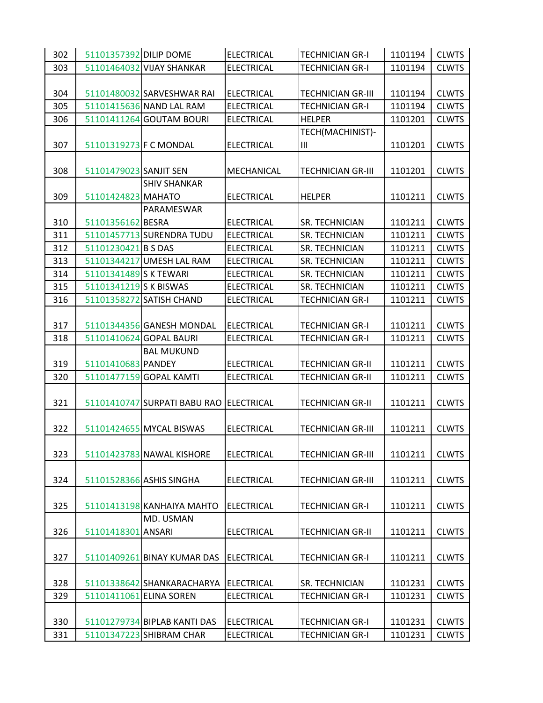| 302                                                                   | <b>CLWTS</b>                                       |
|-----------------------------------------------------------------------|----------------------------------------------------|
| 51101357392 DILIP DOME                                                | <b>TECHNICIAN GR-I</b>                             |
| <b>ELECTRICAL</b>                                                     | 1101194                                            |
| 303                                                                   | <b>CLWTS</b>                                       |
| 51101464032 VIJAY SHANKAR                                             | <b>TECHNICIAN GR-I</b>                             |
| <b>ELECTRICAL</b>                                                     | 1101194                                            |
|                                                                       |                                                    |
| 304                                                                   | 1101194                                            |
| 51101480032 SARVESHWAR RAI                                            | <b>CLWTS</b>                                       |
| <b>ELECTRICAL</b>                                                     | <b>TECHNICIAN GR-III</b>                           |
| 305                                                                   | 1101194                                            |
| 51101415636 NAND LAL RAM                                              | <b>CLWTS</b>                                       |
| <b>ELECTRICAL</b>                                                     | <b>TECHNICIAN GR-I</b>                             |
| 51101411264 GOUTAM BOURI<br><b>ELECTRICAL</b><br><b>HELPER</b><br>306 | <b>CLWTS</b><br>1101201                            |
|                                                                       | TECH(MACHINIST)-                                   |
| 307<br>51101319273 F C MONDAL<br><b>ELECTRICAL</b><br>Ш               | 1101201<br><b>CLWTS</b>                            |
|                                                                       |                                                    |
| 308                                                                   | <b>TECHNICIAN GR-III</b>                           |
| 51101479023 SANJIT SEN                                                | 1101201                                            |
| MECHANICAL                                                            | <b>CLWTS</b>                                       |
| <b>SHIV SHANKAR</b>                                                   |                                                    |
| 309<br>51101424823 MAHATO<br><b>ELECTRICAL</b><br><b>HELPER</b>       | <b>CLWTS</b><br>1101211                            |
| PARAMESWAR                                                            |                                                    |
| 310                                                                   | SR. TECHNICIAN                                     |
| 51101356162 BESRA                                                     | 1101211                                            |
| <b>ELECTRICAL</b>                                                     | <b>CLWTS</b>                                       |
| 51101457713 SURENDRA TUDU                                             | SR. TECHNICIAN                                     |
| 311                                                                   | 1101211                                            |
| <b>ELECTRICAL</b>                                                     | <b>CLWTS</b>                                       |
| 312                                                                   | 1101211                                            |
| 51101230421 B S DAS                                                   | <b>CLWTS</b>                                       |
| <b>ELECTRICAL</b>                                                     | SR. TECHNICIAN                                     |
| 313                                                                   | 1101211                                            |
| 51101344217 UMESH LAL RAM                                             | <b>CLWTS</b>                                       |
| <b>ELECTRICAL</b>                                                     | SR. TECHNICIAN                                     |
| 51101341489 S K TEWARI                                                | <b>SR. TECHNICIAN</b>                              |
| <b>ELECTRICAL</b>                                                     | 1101211                                            |
| 314                                                                   | <b>CLWTS</b>                                       |
| 315                                                                   | <b>CLWTS</b>                                       |
| 51101341219 S K BISWAS                                                | <b>SR. TECHNICIAN</b>                              |
| <b>ELECTRICAL</b>                                                     | 1101211                                            |
| 316                                                                   | <b>TECHNICIAN GR-I</b>                             |
| 51101358272 SATISH CHAND                                              | 1101211                                            |
| <b>ELECTRICAL</b>                                                     | <b>CLWTS</b>                                       |
|                                                                       |                                                    |
| 317                                                                   | 1101211                                            |
| <b>ELECTRICAL</b>                                                     | <b>CLWTS</b>                                       |
| 51101344356 GANESH MONDAL                                             | <b>TECHNICIAN GR-I</b>                             |
| 318                                                                   | <b>TECHNICIAN GR-I</b>                             |
| 51101410624 GOPAL BAURI                                               | 1101211                                            |
| <b>ELECTRICAL</b>                                                     | <b>CLWTS</b>                                       |
| <b>BAL MUKUND</b>                                                     |                                                    |
| 319                                                                   | <b>CLWTS</b>                                       |
| 51101410683 PANDEY                                                    | <b>TECHNICIAN GR-II</b>                            |
| <b>ELECTRICAL</b>                                                     | 1101211                                            |
| 320                                                                   | 1101211                                            |
| 51101477159 GOPAL KAMTI                                               | <b>CLWTS</b>                                       |
| <b>ELECTRICAL</b>                                                     | <b>TECHNICIAN GR-II</b>                            |
|                                                                       |                                                    |
| 321<br>51101410747 SURPATI BABU RAO ELECTRICAL                        | <b>TECHNICIAN GR-II</b><br>1101211<br><b>CLWTS</b> |
|                                                                       |                                                    |
| 322                                                                   | <b>CLWTS</b>                                       |
| 51101424655 MYCAL BISWAS                                              | <b>TECHNICIAN GR-III</b>                           |
| <b>ELECTRICAL</b>                                                     | 1101211                                            |
|                                                                       |                                                    |
| 323                                                                   | 1101211                                            |
| 51101423783 NAWAL KISHORE                                             | <b>CLWTS</b>                                       |
| <b>ELECTRICAL</b>                                                     | <b>TECHNICIAN GR-III</b>                           |
|                                                                       |                                                    |
| 324                                                                   | <b>CLWTS</b>                                       |
| 51101528366 ASHIS SINGHA                                              | <b>TECHNICIAN GR-III</b>                           |
| <b>ELECTRICAL</b>                                                     | 1101211                                            |
|                                                                       |                                                    |
| 325                                                                   | <b>TECHNICIAN GR-I</b>                             |
| 51101413198 KANHAIYA MAHTO                                            | 1101211                                            |
| <b>ELECTRICAL</b>                                                     | <b>CLWTS</b>                                       |
| MD. USMAN                                                             |                                                    |
| 326                                                                   | <b>CLWTS</b>                                       |
| 51101418301 ANSARI                                                    | <b>TECHNICIAN GR-II</b>                            |
| <b>ELECTRICAL</b>                                                     | 1101211                                            |
|                                                                       |                                                    |
| 327                                                                   | <b>CLWTS</b>                                       |
| 51101409261 BINAY KUMAR DAS                                           | <b>TECHNICIAN GR-I</b>                             |
| ELECTRICAL                                                            | 1101211                                            |
|                                                                       |                                                    |
| 328                                                                   | 1101231                                            |
| 51101338642 SHANKARACHARYA                                            | <b>CLWTS</b>                                       |
| ELECTRICAL                                                            | SR. TECHNICIAN                                     |
| 329                                                                   | <b>CLWTS</b>                                       |
| 51101411061 ELINA SOREN                                               | TECHNICIAN GR-I                                    |
| <b>ELECTRICAL</b>                                                     | 1101231                                            |
|                                                                       |                                                    |
|                                                                       |                                                    |
| 330                                                                   | <b>CLWTS</b>                                       |
| 51101279734 BIPLAB KANTI DAS                                          | <b>TECHNICIAN GR-I</b>                             |
| <b>ELECTRICAL</b>                                                     | 1101231                                            |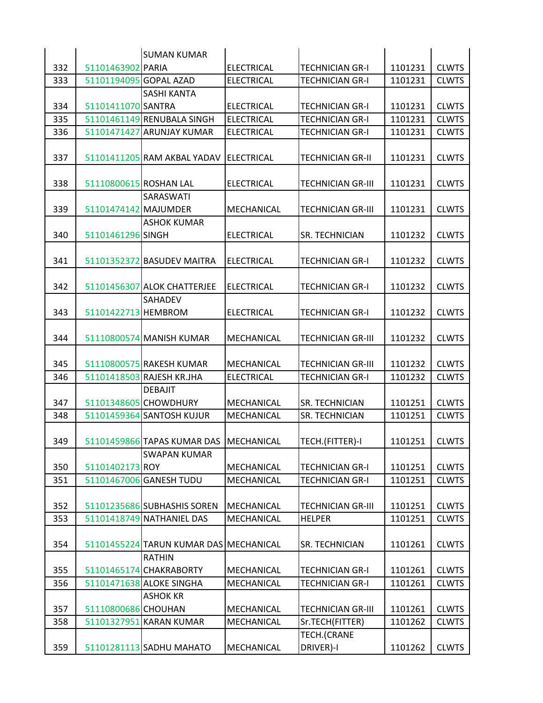|     |                        | <b>SUMAN KUMAR</b>                     |                   |                          |         |              |
|-----|------------------------|----------------------------------------|-------------------|--------------------------|---------|--------------|
| 332 | 51101463902 PARIA      |                                        | <b>ELECTRICAL</b> | <b>TECHNICIAN GR-I</b>   | 1101231 | <b>CLWTS</b> |
| 333 | 51101194095 GOPAL AZAD |                                        | <b>ELECTRICAL</b> | TECHNICIAN GR-I          | 1101231 | <b>CLWTS</b> |
|     |                        | <b>SASHI KANTA</b>                     |                   |                          |         |              |
| 334 | 51101411070 SANTRA     |                                        | <b>ELECTRICAL</b> | <b>TECHNICIAN GR-I</b>   | 1101231 | <b>CLWTS</b> |
| 335 |                        | 51101461149 RENUBALA SINGH             | <b>ELECTRICAL</b> | <b>TECHNICIAN GR-I</b>   | 1101231 | <b>CLWTS</b> |
| 336 |                        | 51101471427 ARUNJAY KUMAR              | <b>ELECTRICAL</b> | <b>TECHNICIAN GR-I</b>   | 1101231 | <b>CLWTS</b> |
|     |                        |                                        |                   |                          |         |              |
| 337 |                        | 51101411205 RAM AKBAL YADAV            | <b>ELECTRICAL</b> | <b>TECHNICIAN GR-II</b>  | 1101231 | <b>CLWTS</b> |
|     |                        |                                        |                   |                          |         |              |
| 338 | 51110800615 ROSHAN LAL |                                        | <b>ELECTRICAL</b> | <b>TECHNICIAN GR-III</b> | 1101231 | <b>CLWTS</b> |
|     |                        | SARASWATI                              |                   |                          |         |              |
| 339 | 51101474142 MAJUMDER   |                                        | MECHANICAL        | <b>TECHNICIAN GR-III</b> | 1101231 | <b>CLWTS</b> |
|     |                        | ASHOK KUMAR                            |                   |                          |         |              |
| 340 | 51101461296 SINGH      |                                        | <b>ELECTRICAL</b> | <b>SR. TECHNICIAN</b>    | 1101232 | <b>CLWTS</b> |
|     |                        |                                        |                   |                          |         |              |
| 341 |                        | 51101352372 BASUDEV MAITRA             | <b>ELECTRICAL</b> | <b>TECHNICIAN GR-I</b>   | 1101232 | <b>CLWTS</b> |
|     |                        |                                        |                   |                          |         |              |
| 342 |                        | 51101456307 ALOK CHATTERJEE            | <b>ELECTRICAL</b> | <b>TECHNICIAN GR-I</b>   | 1101232 | <b>CLWTS</b> |
|     |                        | <b>SAHADEV</b>                         |                   |                          |         |              |
| 343 | 51101422713 HEMBROM    |                                        | <b>ELECTRICAL</b> | <b>TECHNICIAN GR-I</b>   | 1101232 | <b>CLWTS</b> |
|     |                        |                                        |                   |                          |         |              |
| 344 |                        | 51110800574 MANISH KUMAR               | MECHANICAL        | <b>TECHNICIAN GR-III</b> | 1101232 | <b>CLWTS</b> |
|     |                        |                                        |                   |                          |         |              |
| 345 |                        | 51110800575 RAKESH KUMAR               |                   | <b>TECHNICIAN GR-III</b> | 1101232 | <b>CLWTS</b> |
|     |                        |                                        | MECHANICAL        |                          |         |              |
| 346 |                        | 51101418503 RAJESH KR.JHA              | <b>ELECTRICAL</b> | <b>TECHNICIAN GR-I</b>   | 1101232 | <b>CLWTS</b> |
|     |                        | <b>DEBAJIT</b>                         |                   |                          |         |              |
| 347 |                        | 51101348605 CHOWDHURY                  | MECHANICAL        | <b>SR. TECHNICIAN</b>    | 1101251 | <b>CLWTS</b> |
| 348 |                        | 51101459364 SANTOSH KUJUR              | MECHANICAL        | SR. TECHNICIAN           | 1101251 | <b>CLWTS</b> |
|     |                        |                                        |                   |                          |         |              |
| 349 |                        | 51101459866 TAPAS KUMAR DAS MECHANICAL |                   | TECH.(FITTER)-I          | 1101251 | <b>CLWTS</b> |
|     |                        | <b>SWAPAN KUMAR</b>                    |                   |                          |         |              |
| 350 | 51101402173 ROY        |                                        | MECHANICAL        | <b>TECHNICIAN GR-I</b>   | 1101251 | <b>CLWTS</b> |
| 351 |                        | 51101467006 GANESH TUDU                | MECHANICAL        | <b>TECHNICIAN GR-I</b>   | 1101251 | <b>CLWTS</b> |
|     |                        |                                        |                   |                          |         |              |
| 352 |                        | 51101235686 SUBHASHIS SOREN            | MECHANICAL        | <b>TECHNICIAN GR-III</b> | 1101251 | <b>CLWTS</b> |
| 353 |                        | 51101418749 NATHANIEL DAS              | MECHANICAL        | <b>HELPER</b>            | 1101251 | <b>CLWTS</b> |
|     |                        |                                        |                   |                          |         |              |
| 354 |                        | 51101455224 TARUN KUMAR DAS MECHANICAL |                   | <b>SR. TECHNICIAN</b>    | 1101261 | <b>CLWTS</b> |
|     |                        | <b>RATHIN</b>                          |                   |                          |         |              |
| 355 |                        | 51101465174 CHAKRABORTY                | MECHANICAL        | <b>TECHNICIAN GR-I</b>   | 1101261 | <b>CLWTS</b> |
| 356 |                        | 51101471638 ALOKE SINGHA               | MECHANICAL        | <b>TECHNICIAN GR-I</b>   | 1101261 | <b>CLWTS</b> |
|     |                        | <b>ASHOK KR</b>                        |                   |                          |         |              |
| 357 | 51110800686 CHOUHAN    |                                        | MECHANICAL        | <b>TECHNICIAN GR-III</b> | 1101261 | <b>CLWTS</b> |
| 358 |                        | 51101327951 KARAN KUMAR                | MECHANICAL        | Sr.TECH(FITTER)          | 1101262 | <b>CLWTS</b> |
|     |                        |                                        |                   | TECH.(CRANE              |         |              |
| 359 |                        | 51101281113 SADHU MAHATO               | MECHANICAL        | DRIVER)-I                | 1101262 | <b>CLWTS</b> |
|     |                        |                                        |                   |                          |         |              |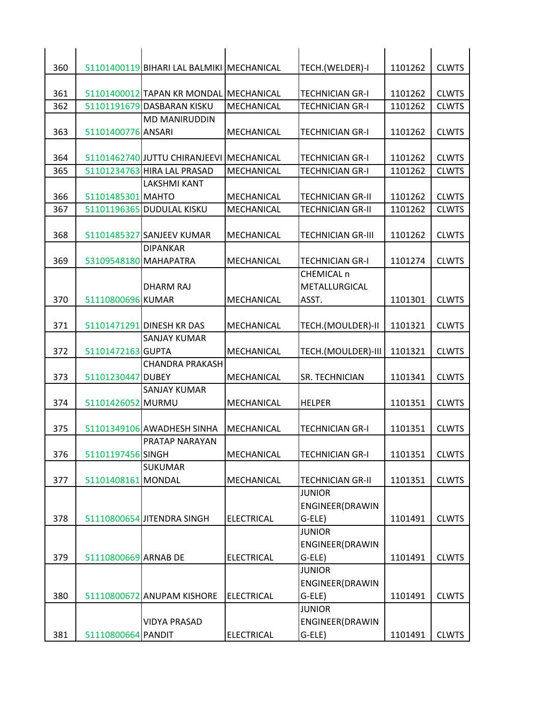| 360 |                       | 51101400119 BIHARI LAL BALMIKI MECHANICAL |                   | TECH.(WELDER)-I           | 1101262 | <b>CLWTS</b> |
|-----|-----------------------|-------------------------------------------|-------------------|---------------------------|---------|--------------|
|     |                       |                                           |                   |                           |         |              |
| 361 |                       | 51101400012 TAPAN KR MONDAL MECHANICAL    |                   | <b>TECHNICIAN GR-I</b>    | 1101262 | <b>CLWTS</b> |
| 362 |                       | 51101191679 DASBARAN KISKU                | MECHANICAL        | <b>TECHNICIAN GR-I</b>    | 1101262 | <b>CLWTS</b> |
|     |                       | <b>MD MANIRUDDIN</b>                      |                   |                           |         |              |
| 363 | 51101400776 ANSARI    |                                           | MECHANICAL        | <b>TECHNICIAN GR-I</b>    | 1101262 | <b>CLWTS</b> |
|     |                       |                                           |                   |                           |         |              |
| 364 |                       | 51101462740 JUTTU CHIRANJEEVI             | <b>MECHANICAL</b> | <b>TECHNICIAN GR-I</b>    | 1101262 | <b>CLWTS</b> |
| 365 |                       | 51101234763 HIRA LAL PRASAD               | MECHANICAL        | <b>TECHNICIAN GR-I</b>    | 1101262 | <b>CLWTS</b> |
|     |                       | LAKSHMI KANT                              |                   |                           |         |              |
| 366 | 51101485301 MAHTO     |                                           | MECHANICAL        | <b>TECHNICIAN GR-II</b>   | 1101262 | <b>CLWTS</b> |
| 367 |                       | 51101196365 DUDULAL KISKU                 | MECHANICAL        | <b>TECHNICIAN GR-II</b>   | 1101262 | <b>CLWTS</b> |
|     |                       |                                           |                   |                           |         |              |
| 368 |                       | 51101485327 SANJEEV KUMAR                 | MECHANICAL        | <b>TECHNICIAN GR-III</b>  | 1101262 | <b>CLWTS</b> |
|     |                       | <b>DIPANKAR</b>                           |                   |                           |         |              |
| 369 | 53109548180 MAHAPATRA |                                           | MECHANICAL        | <b>TECHNICIAN GR-I</b>    | 1101274 | <b>CLWTS</b> |
|     |                       |                                           |                   | CHEMICAL n                |         |              |
|     |                       | <b>DHARM RAJ</b>                          |                   | METALLURGICAL             |         |              |
| 370 | 51110800696 KUMAR     |                                           | MECHANICAL        | ASST.                     | 1101301 | <b>CLWTS</b> |
|     |                       |                                           |                   |                           |         |              |
| 371 |                       | 51101471291 DINESH KR DAS                 | MECHANICAL        | TECH.(MOULDER)-II         | 1101321 | <b>CLWTS</b> |
|     |                       | SANJAY KUMAR                              |                   |                           |         |              |
| 372 | 51101472163 GUPTA     |                                           | MECHANICAL        | TECH.(MOULDER)-III        | 1101321 | <b>CLWTS</b> |
|     |                       | <b>CHANDRA PRAKASH</b>                    |                   |                           |         |              |
| 373 | 51101230447 DUBEY     |                                           | MECHANICAL        | SR. TECHNICIAN            | 1101341 | <b>CLWTS</b> |
|     |                       | SANJAY KUMAR                              |                   |                           |         |              |
| 374 | 51101426052 MURMU     |                                           | MECHANICAL        | <b>HELPER</b>             | 1101351 | <b>CLWTS</b> |
|     |                       |                                           |                   |                           |         |              |
| 375 |                       | 51101349106 AWADHESH SINHA                | MECHANICAL        | <b>TECHNICIAN GR-I</b>    | 1101351 | <b>CLWTS</b> |
|     |                       | PRATAP NARAYAN                            |                   |                           |         |              |
| 376 | 51101197456 SINGH     |                                           | MECHANICAL        | <b>TECHNICIAN GR-I</b>    | 1101351 | <b>CLWTS</b> |
|     |                       | <b>SUKUMAR</b>                            |                   |                           |         |              |
| 377 | 51101408161 MONDAL    |                                           | MECHANICAL        | <b>TECHNICIAN GR-II</b>   | 1101351 | <b>CLWTS</b> |
|     |                       |                                           |                   | <b>JUNIOR</b>             |         |              |
| 378 |                       | 51110800654 JITENDRA SINGH                | <b>ELECTRICAL</b> | ENGINEER(DRAWIN<br>G-ELE) | 1101491 | <b>CLWTS</b> |
|     |                       |                                           |                   | <b>JUNIOR</b>             |         |              |
|     |                       |                                           |                   | ENGINEER(DRAWIN           |         |              |
| 379 | 51110800669 ARNAB DE  |                                           | <b>ELECTRICAL</b> | G-ELE)                    | 1101491 | <b>CLWTS</b> |
|     |                       |                                           |                   | <b>JUNIOR</b>             |         |              |
|     |                       |                                           |                   | ENGINEER(DRAWIN           |         |              |
| 380 |                       | 51110800672 ANUPAM KISHORE                | <b>ELECTRICAL</b> | $G$ -ELE)                 | 1101491 | <b>CLWTS</b> |
|     |                       |                                           |                   | <b>JUNIOR</b>             |         |              |
|     |                       | <b>VIDYA PRASAD</b>                       |                   | ENGINEER(DRAWIN           |         |              |
| 381 | 51110800664 PANDIT    |                                           | <b>ELECTRICAL</b> | $G$ -ELE)                 | 1101491 | <b>CLWTS</b> |
|     |                       |                                           |                   |                           |         |              |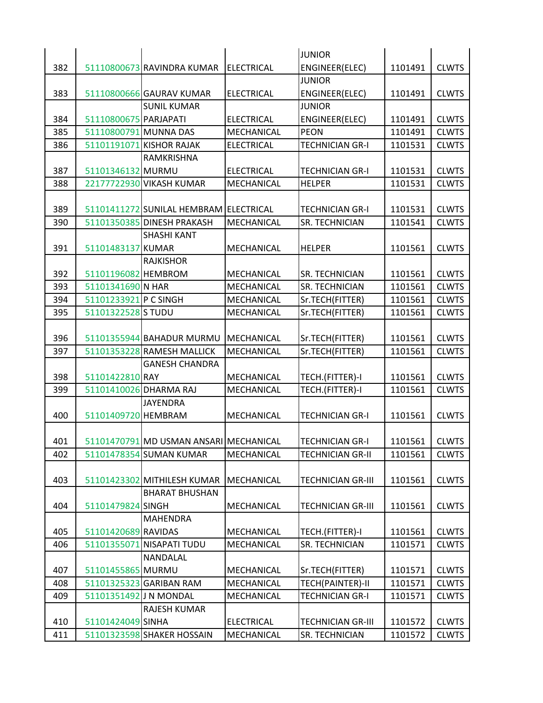|     |                        |                                        |                   | <b>JUNIOR</b>            |         |              |
|-----|------------------------|----------------------------------------|-------------------|--------------------------|---------|--------------|
| 382 |                        | 51110800673 RAVINDRA KUMAR             | ELECTRICAL        | ENGINEER(ELEC)           | 1101491 | <b>CLWTS</b> |
|     |                        |                                        |                   | <b>JUNIOR</b>            |         |              |
| 383 |                        | 51110800666 GAURAV KUMAR               | <b>ELECTRICAL</b> | ENGINEER(ELEC)           | 1101491 | <b>CLWTS</b> |
|     |                        | <b>SUNIL KUMAR</b>                     |                   | <b>JUNIOR</b>            |         |              |
| 384 | 51110800675 PARJAPATI  |                                        | <b>ELECTRICAL</b> | ENGINEER(ELEC)           | 1101491 | <b>CLWTS</b> |
| 385 | 51110800791 MUNNA DAS  |                                        | MECHANICAL        | <b>PEON</b>              | 1101491 | <b>CLWTS</b> |
| 386 |                        | 51101191071 KISHOR RAJAK               | <b>ELECTRICAL</b> | <b>TECHNICIAN GR-I</b>   | 1101531 | <b>CLWTS</b> |
|     |                        | RAMKRISHNA                             |                   |                          |         |              |
| 387 | 51101346132 MURMU      |                                        | <b>ELECTRICAL</b> | <b>TECHNICIAN GR-I</b>   | 1101531 | <b>CLWTS</b> |
| 388 |                        | 22177722930 VIKASH KUMAR               | <b>MECHANICAL</b> | <b>HELPER</b>            | 1101531 | <b>CLWTS</b> |
|     |                        |                                        |                   |                          |         |              |
| 389 |                        | 51101411272 SUNILAL HEMBRAM ELECTRICAL |                   | <b>TECHNICIAN GR-I</b>   | 1101531 | <b>CLWTS</b> |
| 390 |                        | 51101350385 DINESH PRAKASH             | <b>MECHANICAL</b> | <b>SR. TECHNICIAN</b>    | 1101541 | <b>CLWTS</b> |
|     |                        | <b>SHASHI KANT</b>                     |                   |                          |         |              |
| 391 | 51101483137 KUMAR      |                                        | <b>MECHANICAL</b> | <b>HELPER</b>            | 1101561 | <b>CLWTS</b> |
|     |                        | <b>RAJKISHOR</b>                       |                   |                          |         |              |
| 392 | 51101196082 HEMBROM    |                                        | <b>MECHANICAL</b> | <b>SR. TECHNICIAN</b>    | 1101561 | <b>CLWTS</b> |
| 393 | 51101341690 N HAR      |                                        | MECHANICAL        | SR. TECHNICIAN           | 1101561 | <b>CLWTS</b> |
| 394 | 51101233921 P C SINGH  |                                        | MECHANICAL        | Sr.TECH(FITTER)          | 1101561 | <b>CLWTS</b> |
| 395 | 51101322528 S TUDU     |                                        | MECHANICAL        | Sr.TECH(FITTER)          | 1101561 | <b>CLWTS</b> |
|     |                        |                                        |                   |                          |         |              |
| 396 |                        | 51101355944 BAHADUR MURMU              | MECHANICAL        | Sr.TECH(FITTER)          | 1101561 | <b>CLWTS</b> |
| 397 |                        | 51101353228 RAMESH MALLICK             | MECHANICAL        | Sr.TECH(FITTER)          | 1101561 | <b>CLWTS</b> |
|     |                        | <b>GANESH CHANDRA</b>                  |                   |                          |         |              |
| 398 | 51101422810 RAY        |                                        | <b>MECHANICAL</b> | TECH.(FITTER)-I          | 1101561 | <b>CLWTS</b> |
| 399 |                        | 51101410026 DHARMA RAJ                 | MECHANICAL        | TECH.(FITTER)-I          | 1101561 | <b>CLWTS</b> |
|     |                        | <b>JAYENDRA</b>                        |                   |                          |         |              |
| 400 | 51101409720 HEMBRAM    |                                        | MECHANICAL        | <b>TECHNICIAN GR-I</b>   | 1101561 | <b>CLWTS</b> |
|     |                        |                                        |                   |                          |         |              |
| 401 |                        | 51101470791 MD USMAN ANSARI MECHANICAL |                   | <b>TECHNICIAN GR-I</b>   | 1101561 | <b>CLWTS</b> |
| 402 |                        | 51101478354 SUMAN KUMAR                | <b>MECHANICAL</b> | <b>TECHNICIAN GR-II</b>  | 1101561 | <b>CLWTS</b> |
|     |                        |                                        |                   |                          |         |              |
| 403 |                        | 51101423302 MITHILESH KUMAR            | MECHANICAL        | <b>TECHNICIAN GR-III</b> | 1101561 | <b>CLWTS</b> |
|     |                        | <b>BHARAT BHUSHAN</b>                  |                   |                          |         |              |
| 404 | 51101479824 SINGH      |                                        | <b>MECHANICAL</b> | <b>TECHNICIAN GR-III</b> | 1101561 | <b>CLWTS</b> |
|     |                        | <b>MAHENDRA</b>                        |                   |                          |         |              |
| 405 | 51101420689 RAVIDAS    |                                        | MECHANICAL        | TECH.(FITTER)-I          | 1101561 | <b>CLWTS</b> |
| 406 |                        | 51101355071 NISAPATI TUDU              | <b>MECHANICAL</b> | <b>SR. TECHNICIAN</b>    | 1101571 | <b>CLWTS</b> |
|     |                        | NANDALAL                               |                   |                          |         |              |
| 407 | 51101455865 MURMU      |                                        | MECHANICAL        | Sr.TECH(FITTER)          | 1101571 | <b>CLWTS</b> |
| 408 |                        | 51101325323 GARIBAN RAM                | MECHANICAL        | TECH(PAINTER)-II         | 1101571 | <b>CLWTS</b> |
| 409 | 51101351492 J N MONDAL |                                        | MECHANICAL        | <b>TECHNICIAN GR-I</b>   | 1101571 | <b>CLWTS</b> |
|     |                        |                                        |                   |                          |         |              |
|     |                        | RAJESH KUMAR                           |                   |                          |         |              |
| 410 | 51101424049 SINHA      |                                        | <b>ELECTRICAL</b> | <b>TECHNICIAN GR-III</b> | 1101572 | <b>CLWTS</b> |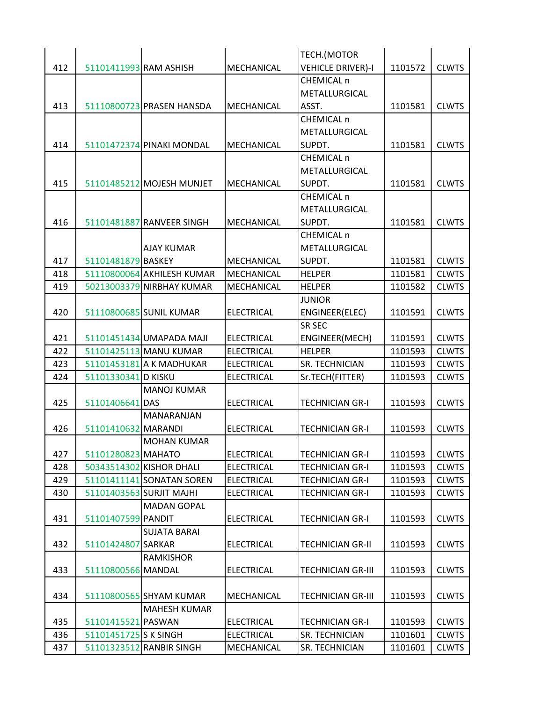|     |                        |                                                |                                        | TECH.(MOTOR                              |         |              |
|-----|------------------------|------------------------------------------------|----------------------------------------|------------------------------------------|---------|--------------|
| 412 | 51101411993 RAM ASHISH |                                                | MECHANICAL                             | <b>VEHICLE DRIVER)-I</b>                 | 1101572 | <b>CLWTS</b> |
|     |                        |                                                |                                        | <b>CHEMICAL n</b>                        |         |              |
|     |                        |                                                |                                        | METALLURGICAL                            |         |              |
| 413 |                        | 51110800723 PRASEN HANSDA                      | MECHANICAL                             | ASST.                                    | 1101581 | <b>CLWTS</b> |
|     |                        |                                                |                                        | <b>CHEMICAL n</b>                        |         |              |
|     |                        |                                                |                                        | METALLURGICAL                            |         |              |
| 414 |                        | 51101472374 PINAKI MONDAL                      | MECHANICAL                             | SUPDT.                                   | 1101581 | <b>CLWTS</b> |
|     |                        |                                                |                                        | <b>CHEMICAL n</b>                        |         |              |
|     |                        |                                                |                                        | METALLURGICAL                            |         |              |
| 415 |                        | 51101485212 MOJESH MUNJET                      | MECHANICAL                             | SUPDT.                                   | 1101581 | <b>CLWTS</b> |
|     |                        |                                                |                                        | CHEMICAL n                               |         |              |
|     |                        |                                                |                                        | METALLURGICAL                            |         |              |
| 416 |                        | 51101481887 RANVEER SINGH                      | MECHANICAL                             | SUPDT.                                   | 1101581 | <b>CLWTS</b> |
|     |                        |                                                |                                        | <b>CHEMICAL n</b>                        |         |              |
|     |                        | <b>AJAY KUMAR</b>                              |                                        | METALLURGICAL                            |         |              |
| 417 | 51101481879 BASKEY     |                                                | MECHANICAL                             | SUPDT.                                   | 1101581 | <b>CLWTS</b> |
| 418 |                        | 51110800064 AKHILESH KUMAR                     | MECHANICAL                             | <b>HELPER</b>                            | 1101581 | <b>CLWTS</b> |
| 419 |                        | 50213003379 NIRBHAY KUMAR                      | MECHANICAL                             | <b>HELPER</b>                            | 1101582 | <b>CLWTS</b> |
|     |                        |                                                |                                        | <b>JUNIOR</b>                            |         |              |
| 420 |                        | 51110800685 SUNIL KUMAR                        | <b>ELECTRICAL</b>                      | ENGINEER(ELEC)                           | 1101591 | <b>CLWTS</b> |
|     |                        |                                                |                                        | <b>SR SEC</b>                            |         |              |
| 421 |                        | 51101451434 UMAPADA MAJI                       | <b>ELECTRICAL</b>                      | <b>ENGINEER(MECH)</b>                    | 1101591 | <b>CLWTS</b> |
| 422 |                        | 51101425113 MANU KUMAR                         | <b>ELECTRICAL</b>                      | <b>HELPER</b>                            | 1101593 | <b>CLWTS</b> |
| 423 |                        | 51101453181 A K MADHUKAR                       | <b>ELECTRICAL</b>                      | <b>SR. TECHNICIAN</b>                    | 1101593 | <b>CLWTS</b> |
| 424 | 51101330341 D KISKU    |                                                | <b>ELECTRICAL</b>                      | Sr.TECH(FITTER)                          | 1101593 | <b>CLWTS</b> |
|     |                        | <b>MANOJ KUMAR</b>                             |                                        |                                          |         |              |
| 425 | 51101406641 DAS        |                                                | <b>ELECTRICAL</b>                      | <b>TECHNICIAN GR-I</b>                   | 1101593 | <b>CLWTS</b> |
|     |                        | MANARANJAN                                     |                                        |                                          |         |              |
| 426 | 51101410632 MARANDI    |                                                | <b>ELECTRICAL</b>                      | <b>TECHNICIAN GR-I</b>                   | 1101593 | <b>CLWTS</b> |
|     |                        | <b>MOHAN KUMAR</b>                             |                                        |                                          |         |              |
| 427 | 51101280823 MAHATO     |                                                | <b>ELECTRICAL</b>                      | <b>TECHNICIAN GR-I</b>                   | 1101593 | <b>CLWTS</b> |
| 428 |                        | 50343514302 KISHOR DHALI                       | <b>ELECTRICAL</b>                      | <b>TECHNICIAN GR-I</b>                   | 1101593 | <b>CLWTS</b> |
| 429 |                        | 51101411141 SONATAN SOREN                      | <b>ELECTRICAL</b>                      | <b>TECHNICIAN GR-I</b>                   | 1101593 | <b>CLWTS</b> |
| 430 |                        | 51101403563 SURJIT MAJHI<br><b>MADAN GOPAL</b> | <b>ELECTRICAL</b>                      | <b>TECHNICIAN GR-I</b>                   | 1101593 | <b>CLWTS</b> |
|     |                        |                                                | <b>ELECTRICAL</b>                      |                                          | 1101593 | <b>CLWTS</b> |
| 431 | 51101407599 PANDIT     |                                                |                                        | <b>TECHNICIAN GR-I</b>                   |         |              |
|     |                        | <b>SUJATA BARAI</b>                            |                                        |                                          |         |              |
| 432 | 51101424807 SARKAR     |                                                | <b>ELECTRICAL</b>                      | <b>TECHNICIAN GR-II</b>                  | 1101593 | <b>CLWTS</b> |
|     |                        | <b>RAMKISHOR</b>                               |                                        |                                          |         |              |
| 433 | 51110800566 MANDAL     |                                                | <b>ELECTRICAL</b>                      | <b>TECHNICIAN GR-III</b>                 | 1101593 | <b>CLWTS</b> |
|     |                        |                                                |                                        |                                          |         |              |
| 434 |                        | 51110800565 SHYAM KUMAR<br><b>MAHESH KUMAR</b> | MECHANICAL                             | <b>TECHNICIAN GR-III</b>                 | 1101593 | <b>CLWTS</b> |
| 435 | 51101415521 PASWAN     |                                                |                                        |                                          |         |              |
|     | 51101451725 S K SINGH  |                                                | <b>ELECTRICAL</b><br><b>ELECTRICAL</b> | <b>TECHNICIAN GR-I</b><br>SR. TECHNICIAN | 1101593 | <b>CLWTS</b> |
| 436 |                        |                                                |                                        |                                          | 1101601 | <b>CLWTS</b> |
| 437 |                        | 51101323512 RANBIR SINGH                       | MECHANICAL                             | SR. TECHNICIAN                           | 1101601 | <b>CLWTS</b> |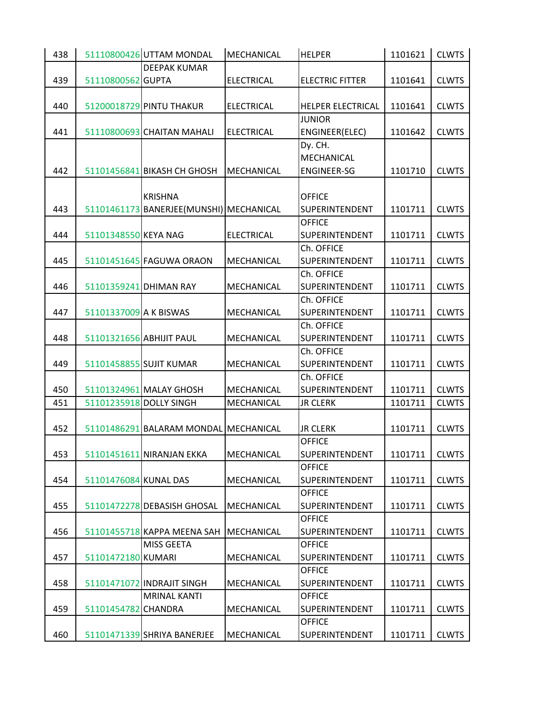| 438 |                        | 51110800426 UTTAM MONDAL                | MECHANICAL        | <b>HELPER</b>                   | 1101621 | <b>CLWTS</b> |
|-----|------------------------|-----------------------------------------|-------------------|---------------------------------|---------|--------------|
|     |                        | <b>DEEPAK KUMAR</b>                     |                   |                                 |         |              |
| 439 | 51110800562 GUPTA      |                                         | <b>ELECTRICAL</b> | <b>ELECTRIC FITTER</b>          | 1101641 | <b>CLWTS</b> |
|     |                        |                                         |                   |                                 |         |              |
| 440 |                        | 51200018729 PINTU THAKUR                | <b>ELECTRICAL</b> | HELPER ELECTRICAL               | 1101641 | <b>CLWTS</b> |
|     |                        |                                         |                   | <b>JUNIOR</b>                   |         |              |
| 441 |                        | 51110800693 CHAITAN MAHALI              | <b>ELECTRICAL</b> | ENGINEER(ELEC)                  | 1101642 | <b>CLWTS</b> |
|     |                        |                                         |                   | Dy. CH.                         |         |              |
|     |                        |                                         |                   | <b>MECHANICAL</b>               |         |              |
| 442 |                        | 51101456841 BIKASH CH GHOSH             | <b>MECHANICAL</b> | <b>ENGINEER-SG</b>              | 1101710 | <b>CLWTS</b> |
|     |                        |                                         |                   |                                 |         |              |
|     |                        | <b>KRISHNA</b>                          |                   | <b>OFFICE</b>                   |         |              |
| 443 |                        | 51101461173 BANERJEE(MUNSHI) MECHANICAL |                   | <b>SUPERINTENDENT</b>           | 1101711 | <b>CLWTS</b> |
|     |                        |                                         |                   | <b>OFFICE</b>                   |         |              |
| 444 | 51101348550 KEYA NAG   |                                         | <b>ELECTRICAL</b> | <b>SUPERINTENDENT</b>           | 1101711 | <b>CLWTS</b> |
|     |                        |                                         |                   | Ch. OFFICE                      |         |              |
| 445 |                        | 51101451645 FAGUWA ORAON                | <b>MECHANICAL</b> | SUPERINTENDENT                  | 1101711 | <b>CLWTS</b> |
|     |                        |                                         |                   | Ch. OFFICE                      |         |              |
| 446 | 51101359241 DHIMAN RAY |                                         | MECHANICAL        | SUPERINTENDENT                  | 1101711 | <b>CLWTS</b> |
|     |                        |                                         |                   | Ch. OFFICE                      |         |              |
| 447 | 51101337009 A K BISWAS |                                         | MECHANICAL        | <b>SUPERINTENDENT</b>           | 1101711 | <b>CLWTS</b> |
|     |                        |                                         |                   | Ch. OFFICE                      |         |              |
| 448 |                        | 51101321656 ABHIJIT PAUL                | <b>MECHANICAL</b> | SUPERINTENDENT                  | 1101711 | <b>CLWTS</b> |
|     |                        |                                         |                   | Ch. OFFICE                      |         |              |
| 449 |                        | 51101458855 SUJIT KUMAR                 | MECHANICAL        | <b>SUPERINTENDENT</b>           | 1101711 | <b>CLWTS</b> |
|     |                        |                                         |                   | Ch. OFFICE                      |         |              |
| 450 |                        | 51101324961 MALAY GHOSH                 | MECHANICAL        | SUPERINTENDENT                  | 1101711 | <b>CLWTS</b> |
| 451 |                        | 51101235918 DOLLY SINGH                 | MECHANICAL        | <b>JR CLERK</b>                 | 1101711 | <b>CLWTS</b> |
|     |                        |                                         |                   |                                 |         |              |
| 452 |                        | 51101486291 BALARAM MONDAL MECHANICAL   |                   | <b>JR CLERK</b>                 | 1101711 | <b>CLWTS</b> |
|     |                        |                                         |                   | <b>OFFICE</b>                   |         |              |
| 453 |                        | 51101451611 NIRANJAN EKKA               | MECHANICAL        | <b>SUPERINTENDENT</b>           | 1101711 | <b>CLWTS</b> |
|     |                        |                                         |                   | <b>OFFICE</b>                   |         |              |
| 454 | 51101476084 KUNAL DAS  |                                         | MECHANICAL        | <b>SUPERINTENDENT</b>           | 1101711 | <b>CLWTS</b> |
|     |                        |                                         |                   | <b>OFFICE</b>                   |         |              |
| 455 |                        | 51101472278 DEBASISH GHOSAL             | <b>MECHANICAL</b> | SUPERINTENDENT<br><b>OFFICE</b> | 1101711 | <b>CLWTS</b> |
| 456 |                        | 51101455718 KAPPA MEENA SAH             | MECHANICAL        | <b>SUPERINTENDENT</b>           | 1101711 | <b>CLWTS</b> |
|     |                        | MISS GEETA                              |                   | <b>OFFICE</b>                   |         |              |
| 457 | 51101472180 KUMARI     |                                         | MECHANICAL        | <b>SUPERINTENDENT</b>           | 1101711 | <b>CLWTS</b> |
|     |                        |                                         |                   | <b>OFFICE</b>                   |         |              |
| 458 |                        | 51101471072 INDRAJIT SINGH              | <b>MECHANICAL</b> | <b>SUPERINTENDENT</b>           | 1101711 | <b>CLWTS</b> |
|     |                        | <b>MRINAL KANTI</b>                     |                   | <b>OFFICE</b>                   |         |              |
| 459 | 51101454782 CHANDRA    |                                         | MECHANICAL        | SUPERINTENDENT                  | 1101711 | <b>CLWTS</b> |
|     |                        |                                         |                   | <b>OFFICE</b>                   |         |              |
| 460 |                        | 51101471339 SHRIYA BANERJEE             | MECHANICAL        | <b>SUPERINTENDENT</b>           | 1101711 | <b>CLWTS</b> |
|     |                        |                                         |                   |                                 |         |              |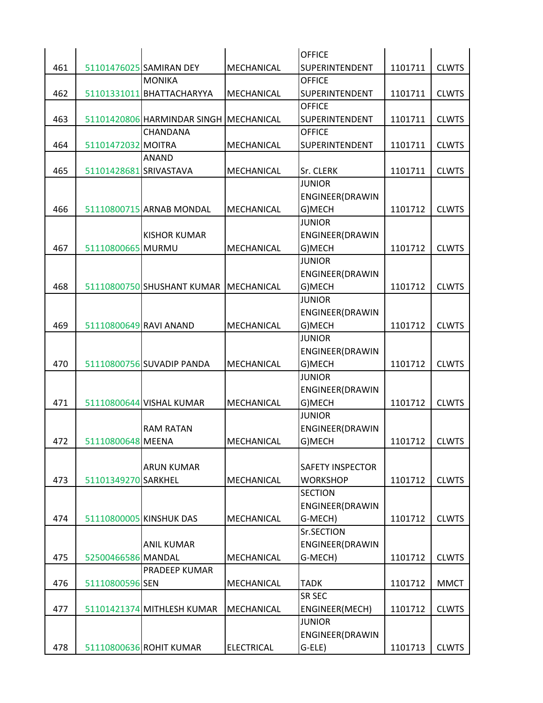|     |                        |                                        |                   | <b>OFFICE</b>           |         |              |
|-----|------------------------|----------------------------------------|-------------------|-------------------------|---------|--------------|
| 461 |                        | 51101476025 SAMIRAN DEY                | MECHANICAL        | <b>SUPERINTENDENT</b>   | 1101711 | <b>CLWTS</b> |
|     |                        | <b>MONIKA</b>                          |                   | <b>OFFICE</b>           |         |              |
| 462 |                        | 51101331011 BHATTACHARYYA              | MECHANICAL        | SUPERINTENDENT          | 1101711 | <b>CLWTS</b> |
|     |                        |                                        |                   | <b>OFFICE</b>           |         |              |
| 463 |                        | 51101420806 HARMINDAR SINGH MECHANICAL |                   | SUPERINTENDENT          | 1101711 | <b>CLWTS</b> |
|     |                        | CHANDANA                               |                   | <b>OFFICE</b>           |         |              |
| 464 | 51101472032 MOITRA     |                                        | MECHANICAL        | <b>SUPERINTENDENT</b>   | 1101711 | <b>CLWTS</b> |
|     |                        | <b>ANAND</b>                           |                   |                         |         |              |
| 465 | 51101428681 SRIVASTAVA |                                        | MECHANICAL        | Sr. CLERK               | 1101711 | <b>CLWTS</b> |
|     |                        |                                        |                   | <b>JUNIOR</b>           |         |              |
|     |                        |                                        |                   | <b>ENGINEER(DRAWIN</b>  |         |              |
| 466 |                        | 51110800715 ARNAB MONDAL               | <b>MECHANICAL</b> | G)MECH                  | 1101712 | <b>CLWTS</b> |
|     |                        |                                        |                   | <b>JUNIOR</b>           |         |              |
|     |                        | <b>KISHOR KUMAR</b>                    |                   | ENGINEER(DRAWIN         |         |              |
| 467 | 51110800665 MURMU      |                                        | MECHANICAL        | G)MECH                  | 1101712 | <b>CLWTS</b> |
|     |                        |                                        |                   | <b>JUNIOR</b>           |         |              |
|     |                        |                                        |                   | <b>ENGINEER(DRAWIN</b>  |         |              |
| 468 |                        | 51110800750 SHUSHANT KUMAR             | MECHANICAL        | G)MECH                  | 1101712 | <b>CLWTS</b> |
|     |                        |                                        |                   | <b>JUNIOR</b>           |         |              |
|     |                        |                                        |                   | <b>ENGINEER(DRAWIN</b>  |         |              |
| 469 | 51110800649 RAVI ANAND |                                        | MECHANICAL        | G)MECH                  | 1101712 | <b>CLWTS</b> |
|     |                        |                                        |                   | <b>JUNIOR</b>           |         |              |
|     |                        |                                        |                   | <b>ENGINEER(DRAWIN</b>  |         |              |
| 470 |                        | 51110800756 SUVADIP PANDA              | MECHANICAL        | G)MECH                  | 1101712 | <b>CLWTS</b> |
|     |                        |                                        |                   | <b>JUNIOR</b>           |         |              |
|     |                        |                                        |                   | ENGINEER(DRAWIN         |         |              |
| 471 |                        | 51110800644 VISHAL KUMAR               | MECHANICAL        | G)MECH                  | 1101712 | <b>CLWTS</b> |
|     |                        |                                        |                   | <b>JUNIOR</b>           |         |              |
|     |                        | <b>RAM RATAN</b>                       |                   | ENGINEER(DRAWIN         |         |              |
| 472 | 51110800648 MEENA      |                                        | MECHANICAL        | G)MECH                  | 1101712 | <b>CLWTS</b> |
|     |                        |                                        |                   |                         |         |              |
|     |                        | <b>ARUN KUMAR</b>                      |                   | <b>SAFETY INSPECTOR</b> |         |              |
| 473 | 51101349270 SARKHEL    |                                        | MECHANICAL        | <b>WORKSHOP</b>         | 1101712 | <b>CLWTS</b> |
|     |                        |                                        |                   | <b>SECTION</b>          |         |              |
|     |                        |                                        |                   | <b>ENGINEER(DRAWIN</b>  |         |              |
| 474 |                        | 51110800005 KINSHUK DAS                | MECHANICAL        | G-MECH)                 | 1101712 | <b>CLWTS</b> |
|     |                        |                                        |                   | Sr.SECTION              |         |              |
|     |                        | <b>ANIL KUMAR</b>                      |                   | <b>ENGINEER(DRAWIN</b>  |         |              |
| 475 | 52500466586 MANDAL     |                                        | MECHANICAL        | G-MECH)                 | 1101712 | <b>CLWTS</b> |
|     |                        |                                        |                   |                         |         |              |
|     |                        | PRADEEP KUMAR                          |                   |                         |         |              |
| 476 | 51110800596 SEN        |                                        | <b>MECHANICAL</b> | <b>TADK</b>             | 1101712 | <b>MMCT</b>  |
|     |                        |                                        |                   | SR SEC                  |         |              |
| 477 |                        | 51101421374 MITHLESH KUMAR             | <b>MECHANICAL</b> | ENGINEER(MECH)          | 1101712 | <b>CLWTS</b> |
|     |                        |                                        |                   | <b>JUNIOR</b>           |         |              |
|     |                        |                                        |                   | <b>ENGINEER(DRAWIN</b>  |         |              |
| 478 |                        | 51110800636 ROHIT KUMAR                | <b>ELECTRICAL</b> | $G$ -ELE)               | 1101713 | <b>CLWTS</b> |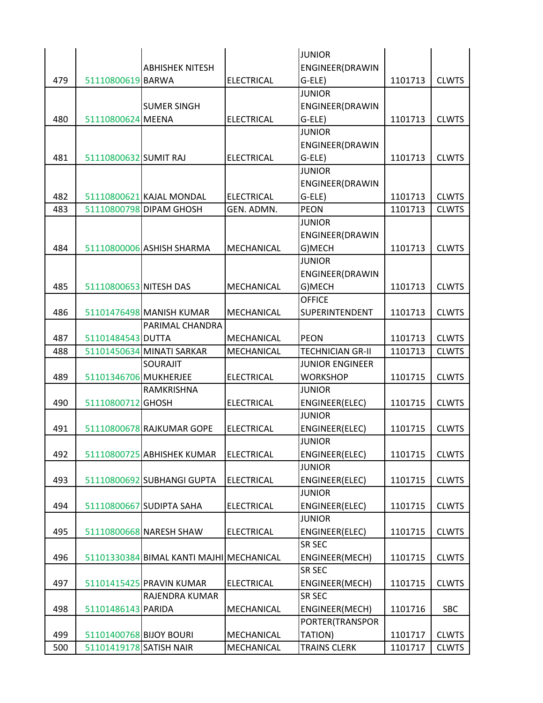|     |                         |                                          |                   | <b>JUNIOR</b>           |         |              |
|-----|-------------------------|------------------------------------------|-------------------|-------------------------|---------|--------------|
|     |                         | <b>ABHISHEK NITESH</b>                   |                   | ENGINEER(DRAWIN         |         |              |
| 479 | 51110800619 BARWA       |                                          | <b>ELECTRICAL</b> | G-ELE)                  | 1101713 | <b>CLWTS</b> |
|     |                         |                                          |                   | <b>JUNIOR</b>           |         |              |
|     |                         | <b>SUMER SINGH</b>                       |                   | ENGINEER(DRAWIN         |         |              |
| 480 | 51110800624 MEENA       |                                          | <b>ELECTRICAL</b> | G-ELE)                  | 1101713 | <b>CLWTS</b> |
|     |                         |                                          |                   | <b>JUNIOR</b>           |         |              |
|     |                         |                                          |                   | ENGINEER(DRAWIN         |         |              |
| 481 | 51110800632 SUMIT RAJ   |                                          | <b>ELECTRICAL</b> | G-ELE)                  | 1101713 | <b>CLWTS</b> |
|     |                         |                                          |                   | <b>JUNIOR</b>           |         |              |
|     |                         |                                          |                   | ENGINEER(DRAWIN         |         |              |
| 482 |                         | 51110800621 KAJAL MONDAL                 | <b>ELECTRICAL</b> | G-ELE)                  | 1101713 | <b>CLWTS</b> |
| 483 |                         | 51110800798 DIPAM GHOSH                  | GEN. ADMN.        | <b>PEON</b>             | 1101713 | <b>CLWTS</b> |
|     |                         |                                          |                   | <b>JUNIOR</b>           |         |              |
|     |                         |                                          |                   | ENGINEER(DRAWIN         |         |              |
| 484 |                         | 51110800006 ASHISH SHARMA                | <b>MECHANICAL</b> | G)MECH                  | 1101713 | <b>CLWTS</b> |
|     |                         |                                          |                   | <b>JUNIOR</b>           |         |              |
|     |                         |                                          |                   | ENGINEER(DRAWIN         |         |              |
| 485 | 51110800653 NITESH DAS  |                                          | MECHANICAL        | G)MECH                  | 1101713 | <b>CLWTS</b> |
|     |                         |                                          |                   | <b>OFFICE</b>           |         |              |
| 486 |                         | 51101476498 MANISH KUMAR                 | MECHANICAL        | SUPERINTENDENT          | 1101713 | <b>CLWTS</b> |
|     |                         | PARIMAL CHANDRA                          |                   |                         |         |              |
| 487 | 51101484543 DUTTA       |                                          | MECHANICAL        | <b>PEON</b>             | 1101713 | <b>CLWTS</b> |
| 488 |                         | 51101450634 MINATI SARKAR                | MECHANICAL        | <b>TECHNICIAN GR-II</b> | 1101713 | <b>CLWTS</b> |
|     |                         | <b>SOURAJIT</b>                          |                   | <b>JUNIOR ENGINEER</b>  |         |              |
| 489 | 51101346706 MUKHERJEE   |                                          | <b>ELECTRICAL</b> | <b>WORKSHOP</b>         | 1101715 | <b>CLWTS</b> |
|     |                         | RAMKRISHNA                               |                   | <b>JUNIOR</b>           |         |              |
| 490 | 51110800712 GHOSH       |                                          | <b>ELECTRICAL</b> | ENGINEER(ELEC)          | 1101715 | <b>CLWTS</b> |
|     |                         |                                          |                   | <b>JUNIOR</b>           |         |              |
| 491 |                         | 51110800678 RAJKUMAR GOPE                | <b>ELECTRICAL</b> | ENGINEER(ELEC)          | 1101715 | <b>CLWTS</b> |
|     |                         |                                          |                   | <b>JUNIOR</b>           |         |              |
| 492 |                         | 51110800725 ABHISHEK KUMAR               | <b>ELECTRICAL</b> | ENGINEER(ELEC)          | 1101715 | <b>CLWTS</b> |
|     |                         |                                          |                   | <b>JUNIOR</b>           |         |              |
| 493 |                         | 51110800692 SUBHANGI GUPTA               | <b>ELECTRICAL</b> | <b>ENGINEER(ELEC)</b>   | 1101715 | <b>CLWTS</b> |
|     |                         |                                          |                   | <b>JUNIOR</b>           |         |              |
| 494 |                         | 51110800667 SUDIPTA SAHA                 | <b>ELECTRICAL</b> | ENGINEER(ELEC)          | 1101715 | <b>CLWTS</b> |
|     |                         |                                          |                   | <b>JUNIOR</b>           |         |              |
| 495 |                         | 51110800668 NARESH SHAW                  | <b>ELECTRICAL</b> | ENGINEER(ELEC)          | 1101715 | <b>CLWTS</b> |
|     |                         |                                          |                   | SR SEC                  |         |              |
| 496 |                         | 51101330384 BIMAL KANTI MAJHI MECHANICAL |                   | ENGINEER(MECH)          | 1101715 | <b>CLWTS</b> |
|     |                         |                                          |                   | SR SEC                  |         |              |
|     |                         |                                          |                   |                         |         |              |
| 497 |                         | 51101415425 PRAVIN KUMAR                 | <b>ELECTRICAL</b> | ENGINEER(MECH)          | 1101715 | <b>CLWTS</b> |
|     |                         | RAJENDRA KUMAR                           |                   | <b>SR SEC</b>           |         |              |
| 498 | 51101486143 PARIDA      |                                          | MECHANICAL        | ENGINEER(MECH)          | 1101716 | <b>SBC</b>   |
|     |                         |                                          |                   | PORTER(TRANSPOR         |         |              |
| 499 | 51101400768 BIJOY BOURI |                                          | MECHANICAL        | TATION)                 | 1101717 | <b>CLWTS</b> |
| 500 | 51101419178 SATISH NAIR |                                          | MECHANICAL        | <b>TRAINS CLERK</b>     | 1101717 | <b>CLWTS</b> |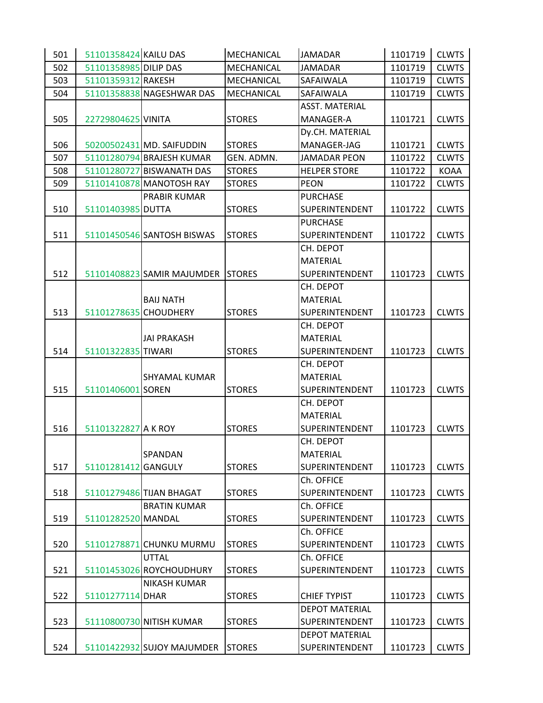| 501 | 51101358424 KAILU DAS |                                   | MECHANICAL    | <b>JAMADAR</b>        | 1101719 | <b>CLWTS</b> |
|-----|-----------------------|-----------------------------------|---------------|-----------------------|---------|--------------|
| 502 | 51101358985 DILIP DAS |                                   | MECHANICAL    | <b>JAMADAR</b>        | 1101719 | <b>CLWTS</b> |
| 503 | 51101359312 RAKESH    |                                   | MECHANICAL    | SAFAIWALA             | 1101719 | <b>CLWTS</b> |
| 504 |                       | 51101358838 NAGESHWAR DAS         | MECHANICAL    | SAFAIWALA             | 1101719 | <b>CLWTS</b> |
|     |                       |                                   |               | <b>ASST. MATERIAL</b> |         |              |
| 505 | 22729804625 VINITA    |                                   | <b>STORES</b> | MANAGER-A             | 1101721 | <b>CLWTS</b> |
|     |                       |                                   |               | Dy.CH. MATERIAL       |         |              |
| 506 |                       | 50200502431 MD. SAIFUDDIN         | <b>STORES</b> | MANAGER-JAG           | 1101721 | <b>CLWTS</b> |
| 507 |                       | 51101280794 BRAJESH KUMAR         | GEN. ADMN.    | <b>JAMADAR PEON</b>   | 1101722 | <b>CLWTS</b> |
| 508 |                       | 51101280727 BISWANATH DAS         | <b>STORES</b> | <b>HELPER STORE</b>   | 1101722 | KOAA         |
| 509 |                       | 51101410878 MANOTOSH RAY          | <b>STORES</b> | <b>PEON</b>           | 1101722 | <b>CLWTS</b> |
|     |                       | <b>PRABIR KUMAR</b>               |               | <b>PURCHASE</b>       |         |              |
| 510 | 51101403985 DUTTA     |                                   | <b>STORES</b> | SUPERINTENDENT        | 1101722 | <b>CLWTS</b> |
|     |                       |                                   |               | <b>PURCHASE</b>       |         |              |
| 511 |                       | 51101450546 SANTOSH BISWAS        | <b>STORES</b> | SUPERINTENDENT        | 1101722 | <b>CLWTS</b> |
|     |                       |                                   |               | CH. DEPOT             |         |              |
|     |                       |                                   |               | <b>MATERIAL</b>       |         |              |
| 512 |                       | 51101408823 SAMIR MAJUMDER STORES |               | <b>SUPERINTENDENT</b> | 1101723 | <b>CLWTS</b> |
|     |                       |                                   |               | CH. DEPOT             |         |              |
|     |                       | <b>BAIJ NATH</b>                  |               | <b>MATERIAL</b>       |         |              |
| 513 | 51101278635 CHOUDHERY |                                   | <b>STORES</b> | SUPERINTENDENT        | 1101723 | <b>CLWTS</b> |
|     |                       |                                   |               | CH. DEPOT             |         |              |
|     |                       | <b>JAI PRAKASH</b>                |               | MATERIAL              |         |              |
| 514 | 51101322835 TIWARI    |                                   | <b>STORES</b> | <b>SUPERINTENDENT</b> | 1101723 | <b>CLWTS</b> |
|     |                       |                                   |               | CH. DEPOT             |         |              |
|     |                       | <b>SHYAMAL KUMAR</b>              |               | <b>MATERIAL</b>       |         |              |
| 515 | 51101406001 SOREN     |                                   | <b>STORES</b> | SUPERINTENDENT        | 1101723 | <b>CLWTS</b> |
|     |                       |                                   |               | CH. DEPOT             |         |              |
|     |                       |                                   |               | <b>MATERIAL</b>       |         |              |
| 516 | 51101322827 A K ROY   |                                   | <b>STORES</b> | SUPERINTENDENT        | 1101723 | <b>CLWTS</b> |
|     |                       |                                   |               | CH. DEPOT             |         |              |
|     |                       | SPANDAN                           |               | <b>MATERIAL</b>       |         |              |
| 517 | 51101281412 GANGULY   |                                   | <b>STORES</b> | SUPERINTENDENT        | 1101723 | <b>CLWTS</b> |
|     |                       |                                   |               | Ch. OFFICE            |         |              |
| 518 |                       | 51101279486 TIJAN BHAGAT          | <b>STORES</b> | SUPERINTENDENT        | 1101723 | <b>CLWTS</b> |
|     |                       | <b>BRATIN KUMAR</b>               |               | Ch. OFFICE            |         |              |
| 519 | 51101282520 MANDAL    |                                   | <b>STORES</b> | <b>SUPERINTENDENT</b> | 1101723 | <b>CLWTS</b> |
|     |                       |                                   |               | Ch. OFFICE            |         |              |
| 520 |                       | 51101278871 CHUNKU MURMU          | <b>STORES</b> | <b>SUPERINTENDENT</b> | 1101723 | <b>CLWTS</b> |
|     |                       | <b>UTTAL</b>                      |               | Ch. OFFICE            |         |              |
| 521 |                       | 51101453026 ROYCHOUDHURY          | <b>STORES</b> | SUPERINTENDENT        | 1101723 | <b>CLWTS</b> |
|     |                       | <b>NIKASH KUMAR</b>               |               |                       |         |              |
| 522 | 51101277114 DHAR      |                                   | <b>STORES</b> | <b>CHIEF TYPIST</b>   | 1101723 | <b>CLWTS</b> |
|     |                       |                                   |               | <b>DEPOT MATERIAL</b> |         |              |
| 523 |                       | 51110800730 NITISH KUMAR          | <b>STORES</b> | SUPERINTENDENT        | 1101723 | <b>CLWTS</b> |
|     |                       |                                   |               | <b>DEPOT MATERIAL</b> |         |              |
| 524 |                       | 51101422932 SUJOY MAJUMDER        | <b>STORES</b> | <b>SUPERINTENDENT</b> | 1101723 | <b>CLWTS</b> |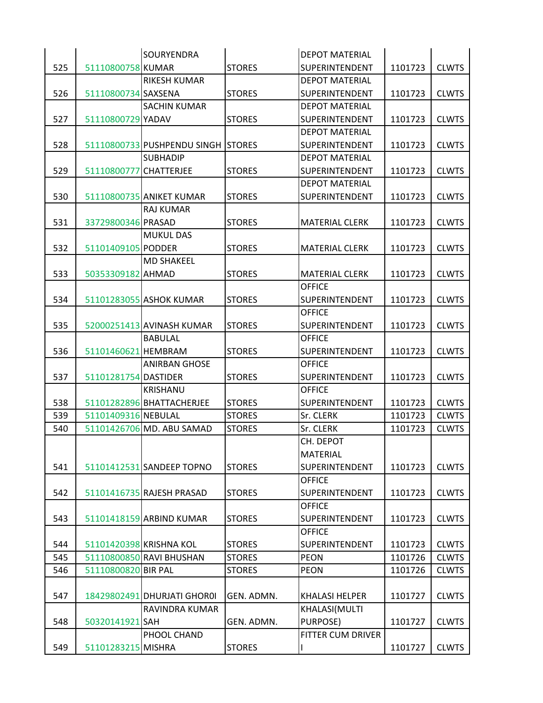|     |                         | <b>SOURYENDRA</b>           |               | <b>DEPOT MATERIAL</b>    |         |              |
|-----|-------------------------|-----------------------------|---------------|--------------------------|---------|--------------|
| 525 | 51110800758 KUMAR       |                             | <b>STORES</b> | <b>SUPERINTENDENT</b>    | 1101723 | <b>CLWTS</b> |
|     |                         | <b>RIKESH KUMAR</b>         |               | <b>DEPOT MATERIAL</b>    |         |              |
| 526 | 51110800734 SAXSENA     |                             | <b>STORES</b> | <b>SUPERINTENDENT</b>    | 1101723 | <b>CLWTS</b> |
|     |                         | <b>SACHIN KUMAR</b>         |               | <b>DEPOT MATERIAL</b>    |         |              |
| 527 | 51110800729 YADAV       |                             | <b>STORES</b> | <b>SUPERINTENDENT</b>    | 1101723 | <b>CLWTS</b> |
|     |                         |                             |               | <b>DEPOT MATERIAL</b>    |         |              |
| 528 |                         | 51110800733 PUSHPENDU SINGH | <b>STORES</b> | <b>SUPERINTENDENT</b>    | 1101723 | <b>CLWTS</b> |
|     |                         | <b>SUBHADIP</b>             |               | <b>DEPOT MATERIAL</b>    |         |              |
| 529 | 51110800777 CHATTERJEE  |                             | <b>STORES</b> | <b>SUPERINTENDENT</b>    | 1101723 | <b>CLWTS</b> |
|     |                         |                             |               | <b>DEPOT MATERIAL</b>    |         |              |
| 530 |                         | 51110800735 ANIKET KUMAR    | <b>STORES</b> | SUPERINTENDENT           | 1101723 | <b>CLWTS</b> |
|     |                         | <b>RAJ KUMAR</b>            |               |                          |         |              |
| 531 | 33729800346 PRASAD      |                             | <b>STORES</b> | <b>MATERIAL CLERK</b>    | 1101723 | <b>CLWTS</b> |
|     |                         | <b>MUKUL DAS</b>            |               |                          |         |              |
| 532 | 51101409105 PODDER      |                             | <b>STORES</b> | <b>MATERIAL CLERK</b>    | 1101723 | <b>CLWTS</b> |
|     |                         | <b>MD SHAKEEL</b>           |               |                          |         |              |
| 533 | 50353309182 AHMAD       |                             | <b>STORES</b> | <b>MATERIAL CLERK</b>    | 1101723 | <b>CLWTS</b> |
|     |                         |                             |               | <b>OFFICE</b>            |         |              |
| 534 |                         | 51101283055 ASHOK KUMAR     | <b>STORES</b> | <b>SUPERINTENDENT</b>    | 1101723 | <b>CLWTS</b> |
|     |                         |                             |               | <b>OFFICE</b>            |         |              |
| 535 |                         | 52000251413 AVINASH KUMAR   | <b>STORES</b> | <b>SUPERINTENDENT</b>    | 1101723 | <b>CLWTS</b> |
|     |                         | <b>BABULAL</b>              |               | <b>OFFICE</b>            |         |              |
| 536 | 51101460621 HEMBRAM     |                             | <b>STORES</b> | <b>SUPERINTENDENT</b>    | 1101723 | <b>CLWTS</b> |
|     |                         | <b>ANIRBAN GHOSE</b>        |               | <b>OFFICE</b>            |         |              |
| 537 | 51101281754 DASTIDER    |                             | <b>STORES</b> | <b>SUPERINTENDENT</b>    | 1101723 | <b>CLWTS</b> |
|     |                         | <b>KRISHANU</b>             |               | <b>OFFICE</b>            |         |              |
| 538 |                         | 51101282896 BHATTACHERJEE   | <b>STORES</b> | <b>SUPERINTENDENT</b>    | 1101723 | <b>CLWTS</b> |
| 539 | 51101409316 NEBULAL     |                             | <b>STORES</b> | Sr. CLERK                | 1101723 | <b>CLWTS</b> |
| 540 |                         | 51101426706 MD. ABU SAMAD   | <b>STORES</b> | Sr. CLERK                | 1101723 | <b>CLWTS</b> |
|     |                         |                             |               | CH. DEPOT                |         |              |
|     |                         |                             |               | <b>MATERIAL</b>          |         |              |
| 541 |                         | 51101412531 SANDEEP TOPNO   | <b>STORES</b> | <b>SUPERINTENDENT</b>    | 1101723 | <b>CLWTS</b> |
|     |                         |                             |               | <b>OFFICE</b>            |         |              |
| 542 |                         | 51101416735 RAJESH PRASAD   | <b>STORES</b> | <b>SUPERINTENDENT</b>    | 1101723 | <b>CLWTS</b> |
|     |                         |                             |               | <b>OFFICE</b>            |         |              |
| 543 |                         | 51101418159 ARBIND KUMAR    | <b>STORES</b> | <b>SUPERINTENDENT</b>    | 1101723 | <b>CLWTS</b> |
|     |                         |                             |               | <b>OFFICE</b>            |         |              |
| 544 | 51101420398 KRISHNA KOL |                             | <b>STORES</b> | <b>SUPERINTENDENT</b>    | 1101723 | <b>CLWTS</b> |
| 545 |                         | 51110800850 RAVI BHUSHAN    | <b>STORES</b> | <b>PEON</b>              | 1101726 | <b>CLWTS</b> |
| 546 | 51110800820 BIR PAL     |                             | <b>STORES</b> | <b>PEON</b>              | 1101726 | <b>CLWTS</b> |
|     |                         |                             |               |                          |         |              |
| 547 |                         | 18429802491 DHURJATI GHOR0I | GEN. ADMN.    | <b>KHALASI HELPER</b>    | 1101727 | <b>CLWTS</b> |
|     |                         | <b>RAVINDRA KUMAR</b>       |               | KHALASI(MULTI            |         |              |
|     |                         |                             | GEN. ADMN.    | PURPOSE)                 | 1101727 | <b>CLWTS</b> |
| 548 | 50320141921 SAH         |                             |               |                          |         |              |
|     |                         | PHOOL CHAND                 |               | <b>FITTER CUM DRIVER</b> |         |              |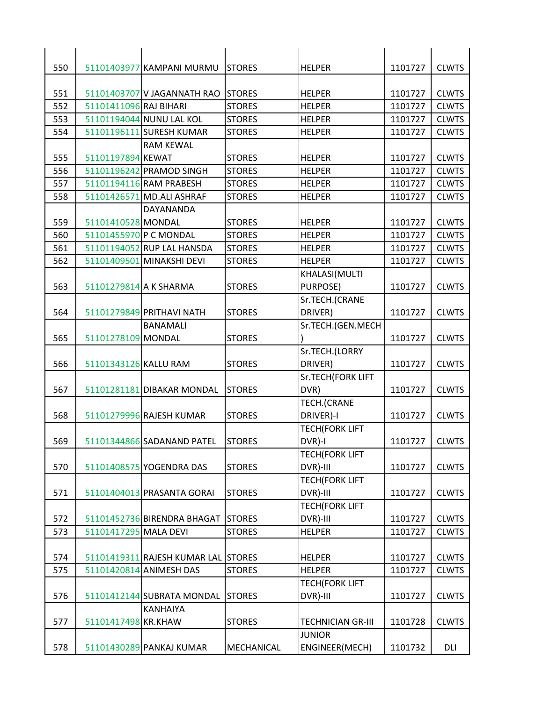| 550 |                        | 51101403977 KAMPANI MURMU           | <b>STORES</b> | <b>HELPER</b>            | 1101727 | <b>CLWTS</b> |
|-----|------------------------|-------------------------------------|---------------|--------------------------|---------|--------------|
|     |                        |                                     |               |                          |         |              |
| 551 |                        | 51101403707 V JAGANNATH RAO         | <b>STORES</b> | <b>HELPER</b>            | 1101727 | <b>CLWTS</b> |
| 552 | 51101411096 RAJ BIHARI |                                     | <b>STORES</b> | <b>HELPER</b>            | 1101727 | <b>CLWTS</b> |
| 553 |                        | 51101194044 NUNU LAL KOL            | <b>STORES</b> | <b>HELPER</b>            | 1101727 | <b>CLWTS</b> |
| 554 |                        | 51101196111 SURESH KUMAR            | <b>STORES</b> | <b>HELPER</b>            | 1101727 | <b>CLWTS</b> |
|     |                        | <b>RAM KEWAL</b>                    |               |                          |         |              |
| 555 | 51101197894 KEWAT      |                                     | <b>STORES</b> | <b>HELPER</b>            | 1101727 | <b>CLWTS</b> |
| 556 |                        | 51101196242 PRAMOD SINGH            | <b>STORES</b> | <b>HELPER</b>            | 1101727 | <b>CLWTS</b> |
| 557 |                        | 51101194116 RAM PRABESH             | <b>STORES</b> | <b>HELPER</b>            | 1101727 | <b>CLWTS</b> |
| 558 |                        | 51101426571 MD.ALI ASHRAF           | <b>STORES</b> | <b>HELPER</b>            | 1101727 | <b>CLWTS</b> |
|     |                        | DAYANANDA                           |               |                          |         |              |
| 559 | 51101410528 MONDAL     |                                     | <b>STORES</b> | <b>HELPER</b>            | 1101727 | <b>CLWTS</b> |
| 560 | 51101455970 P C MONDAL |                                     | <b>STORES</b> | <b>HELPER</b>            | 1101727 | <b>CLWTS</b> |
| 561 |                        | 51101194052 RUP LAL HANSDA          | <b>STORES</b> | <b>HELPER</b>            | 1101727 | <b>CLWTS</b> |
| 562 |                        | 51101409501 MINAKSHI DEVI           | <b>STORES</b> | <b>HELPER</b>            | 1101727 | <b>CLWTS</b> |
|     |                        |                                     |               | KHALASI(MULTI            |         |              |
| 563 | 51101279814 A K SHARMA |                                     | <b>STORES</b> | <b>PURPOSE)</b>          | 1101727 | <b>CLWTS</b> |
|     |                        |                                     |               | Sr.TECH.(CRANE           |         |              |
| 564 |                        | 51101279849 PRITHAVI NATH           | <b>STORES</b> | DRIVER)                  | 1101727 | <b>CLWTS</b> |
|     |                        | <b>BANAMALI</b>                     |               | Sr.TECH.(GEN.MECH        |         |              |
| 565 | 51101278109 MONDAL     |                                     | <b>STORES</b> |                          | 1101727 | <b>CLWTS</b> |
|     |                        |                                     |               | Sr.TECH.(LORRY           |         |              |
| 566 | 51101343126 KALLU RAM  |                                     | <b>STORES</b> | DRIVER)                  | 1101727 | <b>CLWTS</b> |
|     |                        |                                     |               | <b>Sr.TECH(FORK LIFT</b> |         |              |
| 567 |                        | 51101281181 DIBAKAR MONDAL          | <b>STORES</b> | DVR)                     | 1101727 | <b>CLWTS</b> |
|     |                        |                                     |               | TECH.(CRANE              |         |              |
| 568 |                        | 51101279996 RAJESH KUMAR            | <b>STORES</b> | DRIVER)-I                | 1101727 | <b>CLWTS</b> |
|     |                        |                                     |               | <b>TECH(FORK LIFT</b>    |         |              |
| 569 |                        | 51101344866 SADANAND PATEL          | <b>STORES</b> | DVR)-I                   | 1101727 | <b>CLWTS</b> |
|     |                        |                                     |               | <b>TECH(FORK LIFT</b>    |         |              |
| 570 |                        | 51101408575 YOGENDRA DAS            | <b>STORES</b> | DVR)-III                 | 1101727 | <b>CLWTS</b> |
|     |                        |                                     |               | <b>TECH(FORK LIFT</b>    |         |              |
| 571 |                        | 51101404013 PRASANTA GORAI          | <b>STORES</b> | DVR)-III                 | 1101727 | <b>CLWTS</b> |
|     |                        |                                     |               | <b>TECH(FORK LIFT</b>    |         |              |
| 572 |                        | 51101452736 BIRENDRA BHAGAT         | <b>STORES</b> | DVR)-III                 | 1101727 | <b>CLWTS</b> |
| 573 | 51101417295 MALA DEVI  |                                     | <b>STORES</b> | <b>HELPER</b>            | 1101727 | <b>CLWTS</b> |
|     |                        |                                     |               |                          |         |              |
| 574 |                        | 51101419311 RAJESH KUMAR LAL STORES |               | <b>HELPER</b>            | 1101727 | <b>CLWTS</b> |
| 575 |                        | 51101420814 ANIMESH DAS             | <b>STORES</b> | <b>HELPER</b>            | 1101727 | <b>CLWTS</b> |
|     |                        |                                     |               | <b>TECH(FORK LIFT</b>    |         |              |
|     |                        |                                     |               |                          |         | <b>CLWTS</b> |
| 576 |                        | 51101412144 SUBRATA MONDAL          | <b>STORES</b> | DVR)-III                 | 1101727 |              |
|     |                        | KANHAIYA                            |               |                          |         |              |
| 577 | 51101417498 KR.KHAW    |                                     | <b>STORES</b> | <b>TECHNICIAN GR-III</b> | 1101728 | <b>CLWTS</b> |
|     |                        |                                     |               | <b>JUNIOR</b>            |         |              |
| 578 |                        | 51101430289 PANKAJ KUMAR            | MECHANICAL    | ENGINEER(MECH)           | 1101732 | DLI          |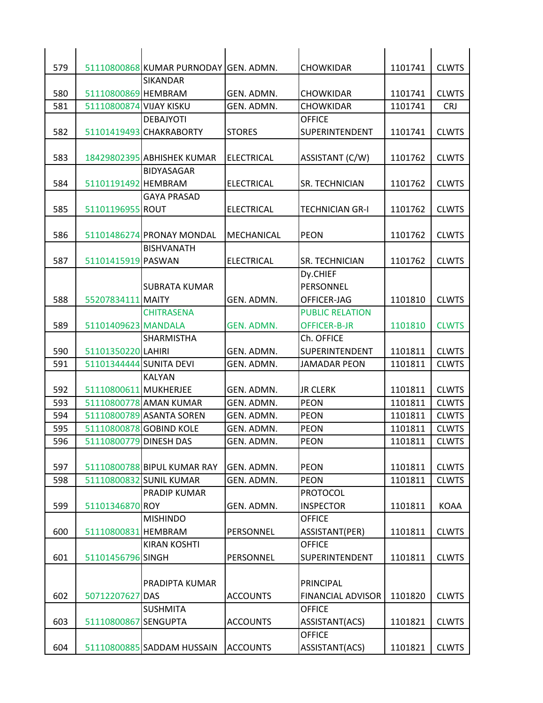| 579 |                         | 51110800868 KUMAR PURNODAY GEN. ADMN.          |                   | <b>CHOWKIDAR</b>         | 1101741 | <b>CLWTS</b> |
|-----|-------------------------|------------------------------------------------|-------------------|--------------------------|---------|--------------|
|     |                         | <b>SIKANDAR</b>                                |                   |                          |         |              |
| 580 | 51110800869 HEMBRAM     |                                                | GEN. ADMN.        | <b>CHOWKIDAR</b>         | 1101741 | <b>CLWTS</b> |
| 581 | 51110800874 VIJAY KISKU |                                                | GEN. ADMN.        | <b>CHOWKIDAR</b>         | 1101741 | <b>CRJ</b>   |
|     |                         | <b>DEBAJYOTI</b>                               |                   | <b>OFFICE</b>            |         |              |
| 582 |                         | 51101419493 CHAKRABORTY                        | <b>STORES</b>     | <b>SUPERINTENDENT</b>    | 1101741 | <b>CLWTS</b> |
|     |                         |                                                |                   |                          |         |              |
| 583 |                         | 18429802395 ABHISHEK KUMAR                     | <b>ELECTRICAL</b> | ASSISTANT (C/W)          | 1101762 | <b>CLWTS</b> |
|     |                         | <b>BIDYASAGAR</b>                              |                   |                          |         |              |
| 584 | 51101191492 HEMBRAM     |                                                | <b>ELECTRICAL</b> | <b>SR. TECHNICIAN</b>    | 1101762 | <b>CLWTS</b> |
|     |                         | <b>GAYA PRASAD</b>                             |                   |                          |         |              |
| 585 | 51101196955 ROUT        |                                                | <b>ELECTRICAL</b> | <b>TECHNICIAN GR-I</b>   | 1101762 | <b>CLWTS</b> |
| 586 |                         |                                                |                   |                          |         |              |
|     |                         | 51101486274 PRONAY MONDAL<br><b>BISHVANATH</b> | MECHANICAL        | <b>PEON</b>              | 1101762 | <b>CLWTS</b> |
| 587 | 51101415919 PASWAN      |                                                | <b>ELECTRICAL</b> | <b>SR. TECHNICIAN</b>    | 1101762 | <b>CLWTS</b> |
|     |                         |                                                |                   | Dy.CHIEF                 |         |              |
|     |                         | <b>SUBRATA KUMAR</b>                           |                   | PERSONNEL                |         |              |
| 588 | 55207834111 MAITY       |                                                | GEN. ADMN.        | OFFICER-JAG              | 1101810 | <b>CLWTS</b> |
|     |                         | <b>CHITRASENA</b>                              |                   | <b>PUBLIC RELATION</b>   |         |              |
| 589 | 51101409623 MANDALA     |                                                | GEN. ADMN.        | OFFICER-B-JR             | 1101810 | <b>CLWTS</b> |
|     |                         | <b>SHARMISTHA</b>                              |                   | Ch. OFFICE               |         |              |
| 590 | 51101350220 LAHIRI      |                                                | GEN. ADMN.        | <b>SUPERINTENDENT</b>    | 1101811 | <b>CLWTS</b> |
| 591 | 51101344444 SUNITA DEVI |                                                | GEN. ADMN.        | <b>JAMADAR PEON</b>      | 1101811 | <b>CLWTS</b> |
|     |                         | <b>KALYAN</b>                                  |                   |                          |         |              |
| 592 | 51110800611 MUKHERJEE   |                                                | GEN. ADMN.        | <b>JR CLERK</b>          | 1101811 | <b>CLWTS</b> |
| 593 |                         | 51110800778 AMAN KUMAR                         | GEN. ADMN.        | <b>PEON</b>              | 1101811 | <b>CLWTS</b> |
| 594 |                         | 51110800789 ASANTA SOREN                       | GEN. ADMN.        | <b>PEON</b>              | 1101811 | <b>CLWTS</b> |
| 595 |                         | 51110800878 GOBIND KOLE                        | GEN. ADMN.        | <b>PEON</b>              | 1101811 | <b>CLWTS</b> |
| 596 | 51110800779 DINESH DAS  |                                                | GEN. ADMN.        | <b>PEON</b>              | 1101811 | <b>CLWTS</b> |
| 597 |                         | 51110800788 BIPUL KUMAR RAY                    | GEN. ADMN.        | <b>PEON</b>              | 1101811 | <b>CLWTS</b> |
| 598 |                         | 51110800832 SUNIL KUMAR                        | GEN. ADMN.        | <b>PEON</b>              | 1101811 | <b>CLWTS</b> |
|     |                         | PRADIP KUMAR                                   |                   | <b>PROTOCOL</b>          |         |              |
| 599 | 51101346870 ROY         |                                                | GEN. ADMN.        | <b>INSPECTOR</b>         | 1101811 | <b>KOAA</b>  |
|     |                         | <b>MISHINDO</b>                                |                   | <b>OFFICE</b>            |         |              |
| 600 | 51110800831 HEMBRAM     |                                                | PERSONNEL         | ASSISTANT(PER)           | 1101811 | <b>CLWTS</b> |
|     |                         | <b>KIRAN KOSHTI</b>                            |                   | <b>OFFICE</b>            |         |              |
| 601 | 51101456796 SINGH       |                                                | PERSONNEL         | SUPERINTENDENT           | 1101811 | <b>CLWTS</b> |
|     |                         |                                                |                   |                          |         |              |
|     |                         | PRADIPTA KUMAR                                 |                   | PRINCIPAL                |         |              |
| 602 | 50712207627             | <b>DAS</b>                                     | <b>ACCOUNTS</b>   | <b>FINANCIAL ADVISOR</b> | 1101820 | <b>CLWTS</b> |
|     |                         | <b>SUSHMITA</b>                                |                   | <b>OFFICE</b>            |         |              |
| 603 | 51110800867 SENGUPTA    |                                                | <b>ACCOUNTS</b>   | ASSISTANT(ACS)           | 1101821 | <b>CLWTS</b> |
|     |                         |                                                |                   | <b>OFFICE</b>            |         |              |
| 604 |                         | 51110800885 SADDAM HUSSAIN                     | <b>ACCOUNTS</b>   | ASSISTANT(ACS)           | 1101821 | <b>CLWTS</b> |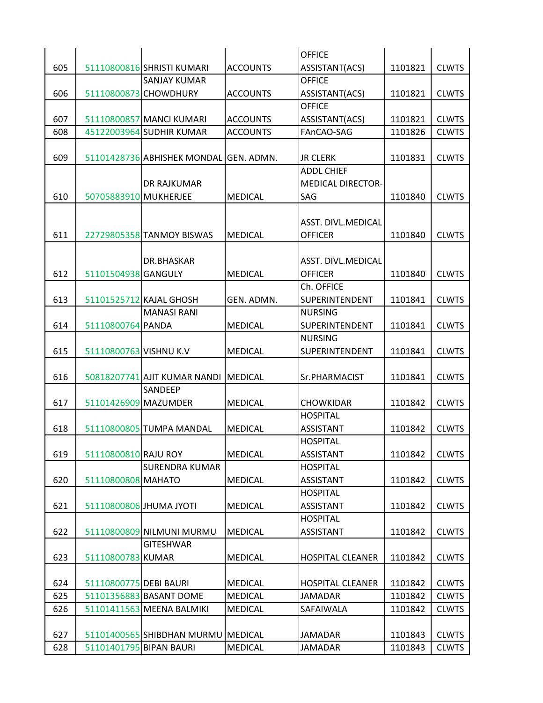|     |                         |                                        |                 | <b>OFFICE</b>             |         |              |
|-----|-------------------------|----------------------------------------|-----------------|---------------------------|---------|--------------|
| 605 |                         | 51110800816 SHRISTI KUMARI             | <b>ACCOUNTS</b> | ASSISTANT(ACS)            | 1101821 | <b>CLWTS</b> |
|     |                         | <b>SANJAY KUMAR</b>                    |                 | <b>OFFICE</b>             |         |              |
| 606 |                         | 51110800873 CHOWDHURY                  | <b>ACCOUNTS</b> | ASSISTANT(ACS)            | 1101821 | <b>CLWTS</b> |
|     |                         |                                        |                 | <b>OFFICE</b>             |         |              |
| 607 |                         | 51110800857 MANCI KUMARI               | <b>ACCOUNTS</b> | ASSISTANT(ACS)            | 1101821 | <b>CLWTS</b> |
| 608 |                         | 45122003964 SUDHIR KUMAR               | <b>ACCOUNTS</b> | FAnCAO-SAG                | 1101826 | <b>CLWTS</b> |
|     |                         |                                        |                 |                           |         |              |
| 609 |                         | 51101428736 ABHISHEK MONDAL GEN. ADMN. |                 | <b>JR CLERK</b>           | 1101831 | <b>CLWTS</b> |
|     |                         |                                        |                 | <b>ADDL CHIEF</b>         |         |              |
|     |                         | DR RAJKUMAR                            |                 | <b>MEDICAL DIRECTOR-</b>  |         |              |
| 610 | 50705883910 MUKHERJEE   |                                        | <b>MEDICAL</b>  | SAG                       | 1101840 | <b>CLWTS</b> |
|     |                         |                                        |                 |                           |         |              |
|     |                         |                                        |                 | ASST. DIVL.MEDICAL        |         |              |
| 611 |                         | 22729805358 TANMOY BISWAS              | <b>MEDICAL</b>  | <b>OFFICER</b>            | 1101840 | <b>CLWTS</b> |
|     |                         |                                        |                 |                           |         |              |
|     |                         | DR.BHASKAR                             |                 | <b>ASST. DIVL.MEDICAL</b> |         |              |
| 612 | 51101504938 GANGULY     |                                        | <b>MEDICAL</b>  | <b>OFFICER</b>            | 1101840 | <b>CLWTS</b> |
|     |                         |                                        |                 | Ch. OFFICE                |         |              |
| 613 |                         | 51101525712 KAJAL GHOSH                | GEN. ADMN.      | <b>SUPERINTENDENT</b>     | 1101841 | <b>CLWTS</b> |
|     |                         | <b>MANASI RANI</b>                     |                 | <b>NURSING</b>            |         |              |
| 614 | 51110800764 PANDA       |                                        | <b>MEDICAL</b>  | <b>SUPERINTENDENT</b>     | 1101841 | <b>CLWTS</b> |
|     |                         |                                        |                 |                           |         |              |
|     |                         |                                        |                 | <b>NURSING</b>            |         |              |
| 615 | 51110800763 VISHNU K.V  |                                        | <b>MEDICAL</b>  | <b>SUPERINTENDENT</b>     | 1101841 | <b>CLWTS</b> |
|     |                         |                                        |                 |                           |         |              |
| 616 |                         | 50818207741 AJIT KUMAR NANDI MEDICAL   |                 | Sr.PHARMACIST             | 1101841 | <b>CLWTS</b> |
|     |                         | SANDEEP                                |                 |                           |         |              |
| 617 | 51101426909 MAZUMDER    |                                        | <b>MEDICAL</b>  | <b>CHOWKIDAR</b>          | 1101842 | <b>CLWTS</b> |
|     |                         |                                        |                 | <b>HOSPITAL</b>           |         |              |
| 618 |                         | 51110800805 TUMPA MANDAL               | <b>MEDICAL</b>  | <b>ASSISTANT</b>          | 1101842 | <b>CLWTS</b> |
|     |                         |                                        |                 | <b>HOSPITAL</b>           |         |              |
| 619 | 51110800810 RAJU ROY    |                                        | <b>MEDICAL</b>  | <b>ASSISTANT</b>          | 1101842 | <b>CLWTS</b> |
|     |                         | <b>SURENDRA KUMAR</b>                  |                 | <b>HOSPITAL</b>           |         |              |
| 620 | 51110800808 MAHATO      |                                        | <b>MEDICAL</b>  | <b>ASSISTANT</b>          | 1101842 | <b>CLWTS</b> |
|     |                         |                                        |                 | <b>HOSPITAL</b>           |         |              |
| 621 |                         | 51110800806 JHUMA JYOTI                | <b>MEDICAL</b>  | <b>ASSISTANT</b>          | 1101842 | <b>CLWTS</b> |
|     |                         |                                        |                 | <b>HOSPITAL</b>           |         |              |
| 622 |                         | 51110800809 NILMUNI MURMU              | <b>MEDICAL</b>  | <b>ASSISTANT</b>          | 1101842 | <b>CLWTS</b> |
|     |                         | <b>GITESHWAR</b>                       |                 |                           |         |              |
| 623 | 51110800783 KUMAR       |                                        | <b>MEDICAL</b>  | <b>HOSPITAL CLEANER</b>   | 1101842 | <b>CLWTS</b> |
|     |                         |                                        |                 |                           |         |              |
| 624 | 51110800775 DEBI BAURI  |                                        | <b>MEDICAL</b>  | <b>HOSPITAL CLEANER</b>   | 1101842 | <b>CLWTS</b> |
| 625 |                         | 51101356883 BASANT DOME                | <b>MEDICAL</b>  | <b>JAMADAR</b>            | 1101842 | <b>CLWTS</b> |
| 626 |                         | 51101411563 MEENA BALMIKI              | <b>MEDICAL</b>  | SAFAIWALA                 | 1101842 | <b>CLWTS</b> |
|     |                         |                                        |                 |                           |         |              |
| 627 |                         | 51101400565 SHIBDHAN MURMU MEDICAL     |                 | <b>JAMADAR</b>            | 1101843 | <b>CLWTS</b> |
| 628 | 51101401795 BIPAN BAURI |                                        | <b>MEDICAL</b>  | <b>JAMADAR</b>            | 1101843 | <b>CLWTS</b> |
|     |                         |                                        |                 |                           |         |              |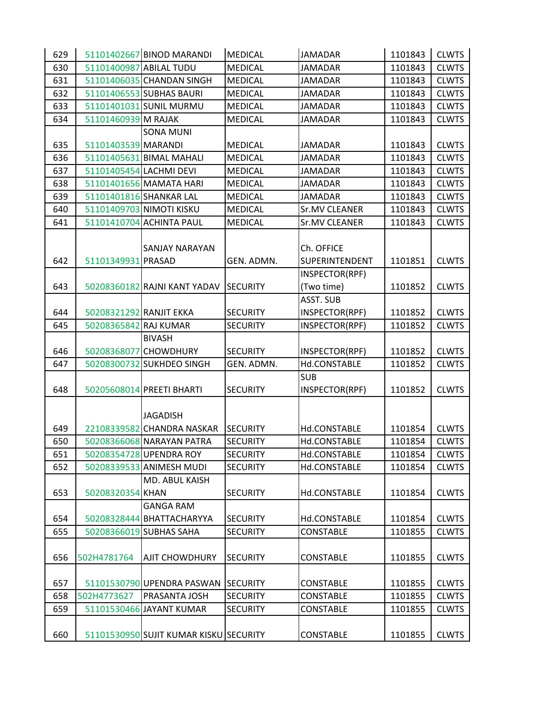| 629 |                         | 51101402667 BINOD MARANDI              | <b>MEDICAL</b>  | <b>JAMADAR</b>   | 1101843 | <b>CLWTS</b> |
|-----|-------------------------|----------------------------------------|-----------------|------------------|---------|--------------|
| 630 |                         | 51101400987 ABILAL TUDU                | <b>MEDICAL</b>  | <b>JAMADAR</b>   | 1101843 | <b>CLWTS</b> |
| 631 |                         | 51101406035 CHANDAN SINGH              | <b>MEDICAL</b>  | <b>JAMADAR</b>   | 1101843 | <b>CLWTS</b> |
| 632 |                         | 51101406553 SUBHAS BAURI               | <b>MEDICAL</b>  | <b>JAMADAR</b>   | 1101843 | <b>CLWTS</b> |
| 633 |                         | 51101401031 SUNIL MURMU                | <b>MEDICAL</b>  | <b>JAMADAR</b>   | 1101843 | <b>CLWTS</b> |
| 634 | 51101460939 M RAJAK     |                                        | <b>MEDICAL</b>  | <b>JAMADAR</b>   | 1101843 | <b>CLWTS</b> |
|     |                         | <b>SONA MUNI</b>                       |                 |                  |         |              |
| 635 | 51101403539 MARANDI     |                                        | <b>MEDICAL</b>  | <b>JAMADAR</b>   | 1101843 | <b>CLWTS</b> |
| 636 |                         | 51101405631 BIMAL MAHALI               | <b>MEDICAL</b>  | <b>JAMADAR</b>   | 1101843 | <b>CLWTS</b> |
| 637 | 51101405454 LACHMI DEVI |                                        | <b>MEDICAL</b>  | <b>JAMADAR</b>   | 1101843 | <b>CLWTS</b> |
| 638 |                         | 51101401656 MAMATA HARI                | <b>MEDICAL</b>  | <b>JAMADAR</b>   | 1101843 | <b>CLWTS</b> |
| 639 |                         | 51101401816 SHANKAR LAL                | <b>MEDICAL</b>  | <b>JAMADAR</b>   | 1101843 | <b>CLWTS</b> |
| 640 |                         | 51101409703 NIMOTI KISKU               | <b>MEDICAL</b>  | Sr.MV CLEANER    | 1101843 | <b>CLWTS</b> |
| 641 |                         | 51101410704 ACHINTA PAUL               | <b>MEDICAL</b>  | Sr.MV CLEANER    | 1101843 | <b>CLWTS</b> |
|     |                         |                                        |                 |                  |         |              |
|     |                         | SANJAY NARAYAN                         |                 | Ch. OFFICE       |         |              |
| 642 | 51101349931 PRASAD      |                                        | GEN. ADMN.      | SUPERINTENDENT   | 1101851 | <b>CLWTS</b> |
|     |                         |                                        |                 | INSPECTOR(RPF)   |         |              |
| 643 |                         | 50208360182 RAJNI KANT YADAV           | <b>SECURITY</b> | (Two time)       | 1101852 | <b>CLWTS</b> |
|     |                         |                                        |                 | ASST. SUB        |         |              |
| 644 | 50208321292 RANJIT EKKA |                                        | <b>SECURITY</b> | INSPECTOR(RPF)   | 1101852 | <b>CLWTS</b> |
| 645 | 50208365842 RAJ KUMAR   |                                        | <b>SECURITY</b> | INSPECTOR(RPF)   | 1101852 | <b>CLWTS</b> |
|     |                         | <b>BIVASH</b>                          |                 |                  |         |              |
| 646 |                         | 50208368077 CHOWDHURY                  | <b>SECURITY</b> | INSPECTOR(RPF)   | 1101852 | <b>CLWTS</b> |
| 647 |                         | 50208300732 SUKHDEO SINGH              | GEN. ADMN.      | Hd.CONSTABLE     | 1101852 | <b>CLWTS</b> |
|     |                         |                                        |                 | <b>SUB</b>       |         |              |
| 648 |                         | 50205608014 PREETI BHARTI              | <b>SECURITY</b> | INSPECTOR(RPF)   | 1101852 | <b>CLWTS</b> |
|     |                         |                                        |                 |                  |         |              |
|     |                         | <b>JAGADISH</b>                        |                 |                  |         |              |
| 649 |                         | 22108339582 CHANDRA NASKAR             | <b>SECURITY</b> | Hd.CONSTABLE     | 1101854 | <b>CLWTS</b> |
| 650 |                         | 50208366068 NARAYAN PATRA              | <b>SECURITY</b> | Hd.CONSTABLE     | 1101854 | <b>CLWTS</b> |
| 651 |                         | 50208354728 UPENDRA ROY                | <b>SECURITY</b> | Hd.CONSTABLE     | 1101854 | <b>CLWTS</b> |
| 652 |                         | 50208339533 ANIMESH MUDI               | <b>SECURITY</b> | Hd.CONSTABLE     | 1101854 | <b>CLWTS</b> |
|     |                         | MD. ABUL KAISH                         |                 |                  |         |              |
| 653 | 50208320354 KHAN        |                                        | <b>SECURITY</b> | Hd.CONSTABLE     | 1101854 | <b>CLWTS</b> |
|     |                         | <b>GANGA RAM</b>                       |                 |                  |         |              |
| 654 |                         | 50208328444 BHATTACHARYYA              | <b>SECURITY</b> | Hd.CONSTABLE     | 1101854 | <b>CLWTS</b> |
| 655 |                         | 50208366019 SUBHAS SAHA                | <b>SECURITY</b> | <b>CONSTABLE</b> | 1101855 | <b>CLWTS</b> |
|     |                         |                                        |                 |                  |         |              |
| 656 | 502H4781764             | <b>AJIT CHOWDHURY</b>                  | <b>SECURITY</b> | <b>CONSTABLE</b> | 1101855 | <b>CLWTS</b> |
|     |                         |                                        |                 |                  |         |              |
| 657 |                         | 51101530790 UPENDRA PASWAN             | <b>SECURITY</b> | <b>CONSTABLE</b> | 1101855 | <b>CLWTS</b> |
| 658 | 502H4773627             | PRASANTA JOSH                          | <b>SECURITY</b> | <b>CONSTABLE</b> | 1101855 | <b>CLWTS</b> |
| 659 |                         | 51101530466 JAYANT KUMAR               | <b>SECURITY</b> | CONSTABLE        | 1101855 | <b>CLWTS</b> |
|     |                         |                                        |                 |                  |         |              |
| 660 |                         | 51101530950 SUJIT KUMAR KISKU SECURITY |                 | <b>CONSTABLE</b> | 1101855 | <b>CLWTS</b> |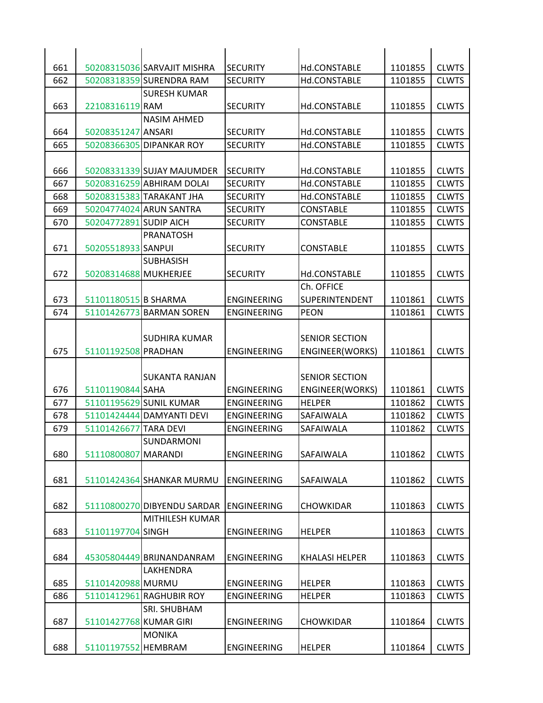| 661        |                        | 50208315036 SARVAJIT MISHRA | <b>SECURITY</b>                          | Hd.CONSTABLE                         | 1101855            | <b>CLWTS</b>                 |
|------------|------------------------|-----------------------------|------------------------------------------|--------------------------------------|--------------------|------------------------------|
| 662        |                        | 50208318359 SURENDRA RAM    | <b>SECURITY</b>                          | Hd.CONSTABLE                         | 1101855            | <b>CLWTS</b>                 |
|            |                        | <b>SURESH KUMAR</b>         |                                          |                                      |                    |                              |
| 663        | 22108316119 RAM        |                             | <b>SECURITY</b>                          | Hd.CONSTABLE                         | 1101855            | <b>CLWTS</b>                 |
|            |                        | <b>NASIM AHMED</b>          |                                          |                                      |                    |                              |
| 664        | 50208351247 ANSARI     |                             | <b>SECURITY</b>                          | Hd.CONSTABLE                         | 1101855            | <b>CLWTS</b>                 |
| 665        |                        | 50208366305 DIPANKAR ROY    | <b>SECURITY</b>                          | Hd.CONSTABLE                         | 1101855            | <b>CLWTS</b>                 |
|            |                        |                             |                                          |                                      |                    |                              |
| 666        |                        | 50208331339 SUJAY MAJUMDER  | <b>SECURITY</b>                          | Hd.CONSTABLE                         | 1101855            | <b>CLWTS</b>                 |
| 667        |                        | 50208316259 ABHIRAM DOLAI   | <b>SECURITY</b>                          | Hd.CONSTABLE                         | 1101855            | <b>CLWTS</b>                 |
| 668        |                        | 50208315383 TARAKANT JHA    | <b>SECURITY</b>                          | Hd.CONSTABLE                         | 1101855            | <b>CLWTS</b>                 |
| 669        |                        | 50204774024 ARUN SANTRA     | <b>SECURITY</b>                          | <b>CONSTABLE</b>                     | 1101855            | <b>CLWTS</b>                 |
| 670        | 50204772891 SUDIP AICH |                             | <b>SECURITY</b>                          | <b>CONSTABLE</b>                     | 1101855            | <b>CLWTS</b>                 |
|            |                        | <b>PRANATOSH</b>            |                                          |                                      |                    |                              |
| 671        | 50205518933 SANPUI     |                             | <b>SECURITY</b>                          | <b>CONSTABLE</b>                     | 1101855            | <b>CLWTS</b>                 |
|            |                        | <b>SUBHASISH</b>            |                                          |                                      |                    |                              |
| 672        | 50208314688 MUKHERJEE  |                             | <b>SECURITY</b>                          | Hd.CONSTABLE                         | 1101855            | <b>CLWTS</b>                 |
|            |                        |                             |                                          | Ch. OFFICE                           |                    |                              |
| 673<br>674 | 51101180515 B SHARMA   | 51101426773 BARMAN SOREN    | <b>ENGINEERING</b><br><b>ENGINEERING</b> | <b>SUPERINTENDENT</b><br><b>PEON</b> | 1101861<br>1101861 | <b>CLWTS</b><br><b>CLWTS</b> |
|            |                        |                             |                                          |                                      |                    |                              |
|            |                        | SUDHIRA KUMAR               |                                          | <b>SENIOR SECTION</b>                |                    |                              |
| 675        | 51101192508 PRADHAN    |                             | <b>ENGINEERING</b>                       | ENGINEER(WORKS)                      | 1101861            | <b>CLWTS</b>                 |
|            |                        |                             |                                          |                                      |                    |                              |
|            |                        | SUKANTA RANJAN              |                                          | <b>SENIOR SECTION</b>                |                    |                              |
| 676        | 51101190844 SAHA       |                             | <b>ENGINEERING</b>                       | ENGINEER(WORKS)                      | 1101861            | <b>CLWTS</b>                 |
| 677        |                        | 51101195629 SUNIL KUMAR     | <b>ENGINEERING</b>                       | <b>HELPER</b>                        | 1101862            | <b>CLWTS</b>                 |
| 678        |                        | 51101424444 DAMYANTI DEVI   | <b>ENGINEERING</b>                       | SAFAIWALA                            | 1101862            | <b>CLWTS</b>                 |
| 679        | 51101426677 TARA DEVI  |                             | <b>ENGINEERING</b>                       | <b>SAFAIWALA</b>                     | 1101862            | <b>CLWTS</b>                 |
|            |                        | SUNDARMONI                  |                                          |                                      |                    |                              |
| 680        | 51110800807            | <b>MARANDI</b>              | ENGINEERING                              | SAFAIWALA                            | 1101862            | <b>CLWTS</b>                 |
|            |                        |                             |                                          |                                      |                    |                              |
| 681        |                        | 51101424364 SHANKAR MURMU   | ENGINEERING                              | <b>SAFAIWALA</b>                     | 1101862            | <b>CLWTS</b>                 |
|            |                        |                             |                                          |                                      |                    |                              |
| 682        |                        | 51110800270 DIBYENDU SARDAR | <b>ENGINEERING</b>                       | <b>CHOWKIDAR</b>                     | 1101863            | <b>CLWTS</b>                 |
|            |                        | <b>MITHILESH KUMAR</b>      |                                          |                                      |                    |                              |
| 683        | 51101197704 SINGH      |                             | <b>ENGINEERING</b>                       | <b>HELPER</b>                        | 1101863            | <b>CLWTS</b>                 |
|            |                        |                             |                                          |                                      |                    |                              |
| 684        |                        | 45305804449 BRIJNANDANRAM   | <b>ENGINEERING</b>                       | <b>KHALASI HELPER</b>                | 1101863            | <b>CLWTS</b>                 |
|            |                        | LAKHENDRA                   |                                          |                                      |                    |                              |
| 685        | 51101420988 MURMU      |                             | ENGINEERING                              | <b>HELPER</b>                        | 1101863            | <b>CLWTS</b>                 |
| 686        |                        | 51101412961 RAGHUBIR ROY    | <b>ENGINEERING</b>                       | <b>HELPER</b>                        | 1101863            | <b>CLWTS</b>                 |
|            |                        | SRI. SHUBHAM                |                                          |                                      |                    |                              |
| 687        | 51101427768 KUMAR GIRI |                             | <b>ENGINEERING</b>                       | <b>CHOWKIDAR</b>                     | 1101864            | <b>CLWTS</b>                 |
|            |                        | <b>MONIKA</b>               |                                          |                                      |                    |                              |
| 688        | 51101197552 HEMBRAM    |                             | ENGINEERING                              | <b>HELPER</b>                        | 1101864            | <b>CLWTS</b>                 |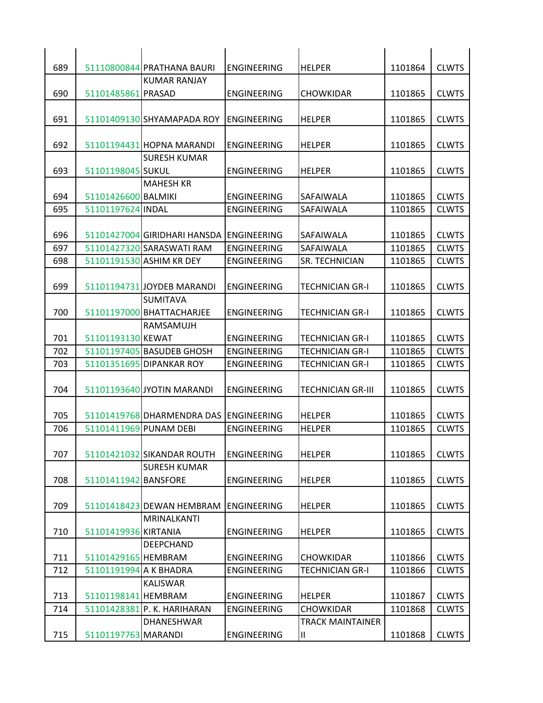| 689 |                        | 51110800844 PRATHANA BAURI                | <b>ENGINEERING</b> | <b>HELPER</b>            | 1101864 | <b>CLWTS</b> |
|-----|------------------------|-------------------------------------------|--------------------|--------------------------|---------|--------------|
|     |                        | KUMAR RANJAY                              |                    |                          |         |              |
| 690 | 51101485861 PRASAD     |                                           | <b>ENGINEERING</b> | <b>CHOWKIDAR</b>         | 1101865 | <b>CLWTS</b> |
|     |                        |                                           |                    |                          |         |              |
| 691 |                        | 51101409130 SHYAMAPADA ROY                | <b>ENGINEERING</b> | <b>HELPER</b>            | 1101865 | <b>CLWTS</b> |
|     |                        |                                           |                    |                          |         |              |
| 692 |                        | 51101194431 HOPNA MARANDI                 | <b>ENGINEERING</b> | <b>HELPER</b>            | 1101865 | <b>CLWTS</b> |
|     |                        | <b>SURESH KUMAR</b>                       |                    |                          |         |              |
| 693 | 51101198045 SUKUL      |                                           | ENGINEERING        | <b>HELPER</b>            | 1101865 | <b>CLWTS</b> |
|     |                        | <b>MAHESH KR</b>                          |                    |                          |         |              |
| 694 | 51101426600 BALMIKI    |                                           | <b>ENGINEERING</b> | <b>SAFAIWALA</b>         | 1101865 | <b>CLWTS</b> |
| 695 | 51101197624 INDAL      |                                           | <b>ENGINEERING</b> | SAFAIWALA                | 1101865 | <b>CLWTS</b> |
|     |                        |                                           |                    |                          |         |              |
| 696 |                        | 51101427004 GIRIDHARI HANSDA LENGINEERING |                    | <b>SAFAIWALA</b>         | 1101865 | <b>CLWTS</b> |
| 697 |                        | 51101427320 SARASWATI RAM                 | <b>ENGINEERING</b> | <b>SAFAIWALA</b>         | 1101865 | <b>CLWTS</b> |
| 698 |                        | 51101191530 ASHIM KR DEY                  | ENGINEERING        | <b>SR. TECHNICIAN</b>    | 1101865 | <b>CLWTS</b> |
|     |                        |                                           |                    |                          |         |              |
| 699 |                        | 51101194731 JOYDEB MARANDI                | <b>ENGINEERING</b> | <b>TECHNICIAN GR-I</b>   | 1101865 | <b>CLWTS</b> |
|     |                        | <b>SUMITAVA</b>                           |                    |                          |         |              |
| 700 |                        | 51101197000 BHATTACHARJEE                 | <b>ENGINEERING</b> | <b>TECHNICIAN GR-I</b>   | 1101865 | <b>CLWTS</b> |
|     |                        | RAMSAMUJH                                 |                    |                          |         |              |
| 701 | 51101193130 KEWAT      |                                           | <b>ENGINEERING</b> | <b>TECHNICIAN GR-I</b>   | 1101865 | <b>CLWTS</b> |
| 702 |                        | 51101197405 BASUDEB GHOSH                 | <b>ENGINEERING</b> | <b>TECHNICIAN GR-I</b>   | 1101865 | <b>CLWTS</b> |
| 703 |                        | 51101351695 DIPANKAR ROY                  | <b>ENGINEERING</b> | <b>TECHNICIAN GR-I</b>   | 1101865 | <b>CLWTS</b> |
|     |                        |                                           |                    |                          |         |              |
| 704 |                        | 51101193640 JYOTIN MARANDI                | <b>ENGINEERING</b> | <b>TECHNICIAN GR-III</b> | 1101865 | <b>CLWTS</b> |
|     |                        |                                           |                    |                          |         |              |
| 705 |                        | 51101419768 DHARMENDRA DAS ENGINEERING    |                    | <b>HELPER</b>            | 1101865 | <b>CLWTS</b> |
| 706 |                        | 51101411969 PUNAM DEBI                    | <b>ENGINEERING</b> | <b>HELPER</b>            | 1101865 | <b>CLWTS</b> |
|     |                        |                                           |                    |                          |         |              |
| 707 |                        | 51101421032 SIKANDAR ROUTH                | <b>ENGINEERING</b> | <b>HELPER</b>            | 1101865 | <b>CLWTS</b> |
|     |                        | <b>SURESH KUMAR</b>                       |                    |                          |         |              |
| 708 | 51101411942 BANSFORE   |                                           | <b>ENGINEERING</b> | <b>HELPER</b>            | 1101865 | <b>CLWTS</b> |
|     |                        |                                           |                    |                          |         |              |
| 709 |                        | 51101418423 DEWAN HEMBRAM                 | <b>ENGINEERING</b> | <b>HELPER</b>            | 1101865 | <b>CLWTS</b> |
|     |                        | MRINALKANTI                               |                    |                          |         |              |
| 710 | 51101419936 KIRTANIA   |                                           | ENGINEERING        | <b>HELPER</b>            | 1101865 | <b>CLWTS</b> |
|     |                        | <b>DEEPCHAND</b>                          |                    |                          |         |              |
| 711 | 51101429165 HEMBRAM    |                                           | <b>ENGINEERING</b> | <b>CHOWKIDAR</b>         | 1101866 | <b>CLWTS</b> |
| 712 | 51101191994 A K BHADRA |                                           | <b>ENGINEERING</b> | TECHNICIAN GR-I          | 1101866 | <b>CLWTS</b> |
|     |                        | <b>KALISWAR</b>                           |                    |                          |         |              |
| 713 |                        |                                           |                    |                          |         | <b>CLWTS</b> |
|     | 51101198141 HEMBRAM    |                                           | <b>ENGINEERING</b> | <b>HELPER</b>            | 1101867 |              |
| 714 |                        | 51101428381 P. K. HARIHARAN               | <b>ENGINEERING</b> | <b>CHOWKIDAR</b>         | 1101868 | <b>CLWTS</b> |
|     |                        | DHANESHWAR                                |                    | <b>TRACK MAINTAINER</b>  |         |              |
| 715 | 51101197763 MARANDI    |                                           | <b>ENGINEERING</b> | Ш.                       | 1101868 | <b>CLWTS</b> |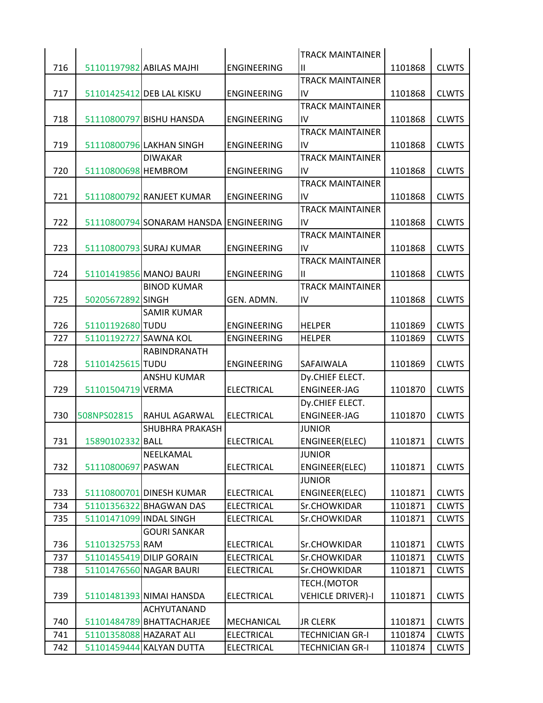|     |                         |                                        |                    | <b>TRACK MAINTAINER</b>  |         |              |
|-----|-------------------------|----------------------------------------|--------------------|--------------------------|---------|--------------|
| 716 |                         | 51101197982 ABILAS MAJHI               | <b>ENGINEERING</b> | Ш                        | 1101868 | <b>CLWTS</b> |
|     |                         |                                        |                    | <b>TRACK MAINTAINER</b>  |         |              |
| 717 |                         | 51101425412 DEB LAL KISKU              | <b>ENGINEERING</b> | IV                       | 1101868 | <b>CLWTS</b> |
|     |                         |                                        |                    | <b>TRACK MAINTAINER</b>  |         |              |
| 718 |                         | 51110800797 BISHU HANSDA               | <b>ENGINEERING</b> | IV                       | 1101868 | <b>CLWTS</b> |
|     |                         |                                        |                    | <b>TRACK MAINTAINER</b>  |         |              |
| 719 |                         | 51110800796 LAKHAN SINGH               | <b>ENGINEERING</b> | IV                       | 1101868 | <b>CLWTS</b> |
|     |                         | <b>DIWAKAR</b>                         |                    | <b>TRACK MAINTAINER</b>  |         |              |
| 720 | 51110800698 HEMBROM     |                                        | <b>ENGINEERING</b> | IV                       | 1101868 | <b>CLWTS</b> |
|     |                         |                                        |                    | <b>TRACK MAINTAINER</b>  |         |              |
| 721 |                         | 51110800792 RANJEET KUMAR              | <b>ENGINEERING</b> | IV                       | 1101868 | <b>CLWTS</b> |
|     |                         |                                        |                    | <b>TRACK MAINTAINER</b>  |         |              |
| 722 |                         | 51110800794 SONARAM HANSDA ENGINEERING |                    | IV                       | 1101868 | <b>CLWTS</b> |
|     |                         |                                        |                    | <b>TRACK MAINTAINER</b>  |         |              |
| 723 |                         | 51110800793 SURAJ KUMAR                | <b>ENGINEERING</b> | IV                       | 1101868 | <b>CLWTS</b> |
|     |                         |                                        |                    | <b>TRACK MAINTAINER</b>  |         |              |
| 724 |                         | 51101419856 MANOJ BAURI                | <b>ENGINEERING</b> | Ш                        | 1101868 | <b>CLWTS</b> |
|     |                         | <b>BINOD KUMAR</b>                     |                    | <b>TRACK MAINTAINER</b>  |         |              |
| 725 | 50205672892 SINGH       |                                        | GEN. ADMN.         | IV                       | 1101868 | <b>CLWTS</b> |
|     |                         | <b>SAMIR KUMAR</b>                     |                    |                          |         |              |
| 726 | 51101192680 TUDU        |                                        | <b>ENGINEERING</b> | <b>HELPER</b>            | 1101869 | <b>CLWTS</b> |
| 727 | 51101192727 SAWNA KOL   |                                        | <b>ENGINEERING</b> | <b>HELPER</b>            | 1101869 | <b>CLWTS</b> |
|     |                         | RABINDRANATH                           |                    |                          |         |              |
| 728 | 51101425615 TUDU        |                                        | <b>ENGINEERING</b> | <b>SAFAIWALA</b>         | 1101869 | <b>CLWTS</b> |
|     |                         | <b>ANSHU KUMAR</b>                     |                    | Dy.CHIEF ELECT.          |         |              |
| 729 | 51101504719 VERMA       |                                        | <b>ELECTRICAL</b>  | <b>ENGINEER-JAG</b>      | 1101870 | <b>CLWTS</b> |
|     |                         |                                        |                    | Dy.CHIEF ELECT.          |         |              |
| 730 | 508NPS02815             | RAHUL AGARWAL                          | <b>ELECTRICAL</b>  | <b>ENGINEER-JAG</b>      | 1101870 | <b>CLWTS</b> |
|     |                         | SHUBHRA PRAKASH                        |                    | <b>JUNIOR</b>            |         |              |
| 731 | 15890102332 BALL        |                                        | <b>ELECTRICAL</b>  | ENGINEER(ELEC)           | 1101871 | <b>CLWTS</b> |
|     |                         | NEELKAMAL                              |                    | <b>JUNIOR</b>            |         |              |
| 732 | 51110800697 PASWAN      |                                        | <b>ELECTRICAL</b>  | ENGINEER(ELEC)           | 1101871 | <b>CLWTS</b> |
|     |                         |                                        |                    | <b>JUNIOR</b>            |         |              |
| 733 |                         | 51110800701 DINESH KUMAR               | <b>ELECTRICAL</b>  | ENGINEER(ELEC)           | 1101871 | <b>CLWTS</b> |
| 734 |                         | 51101356322 BHAGWAN DAS                | <b>ELECTRICAL</b>  | Sr.CHOWKIDAR             | 1101871 | <b>CLWTS</b> |
| 735 | 51101471099 INDAL SINGH |                                        | <b>ELECTRICAL</b>  | Sr.CHOWKIDAR             | 1101871 | <b>CLWTS</b> |
|     |                         | <b>GOURI SANKAR</b>                    |                    |                          |         |              |
| 736 | 51101325753 RAM         |                                        | <b>ELECTRICAL</b>  | Sr.CHOWKIDAR             | 1101871 | <b>CLWTS</b> |
| 737 |                         | 51101455419 DILIP GORAIN               | <b>ELECTRICAL</b>  | Sr.CHOWKIDAR             | 1101871 | <b>CLWTS</b> |
| 738 |                         | 51101476560 NAGAR BAURI                | <b>ELECTRICAL</b>  | Sr.CHOWKIDAR             | 1101871 | <b>CLWTS</b> |
|     |                         |                                        |                    | TECH.(MOTOR              |         |              |
| 739 |                         | 51101481393 NIMAI HANSDA               | <b>ELECTRICAL</b>  | <b>VEHICLE DRIVER)-I</b> | 1101871 | <b>CLWTS</b> |
|     |                         | ACHYUTANAND                            |                    |                          |         |              |
| 740 |                         | 51101484789 BHATTACHARJEE              | MECHANICAL         | <b>JR CLERK</b>          | 1101871 | <b>CLWTS</b> |
|     | 51101358088 HAZARAT ALI |                                        | <b>ELECTRICAL</b>  | <b>TECHNICIAN GR-I</b>   | 1101874 | <b>CLWTS</b> |
| 741 |                         |                                        |                    |                          |         |              |
| 742 |                         | 51101459444 KALYAN DUTTA               | <b>ELECTRICAL</b>  | <b>TECHNICIAN GR-I</b>   | 1101874 | <b>CLWTS</b> |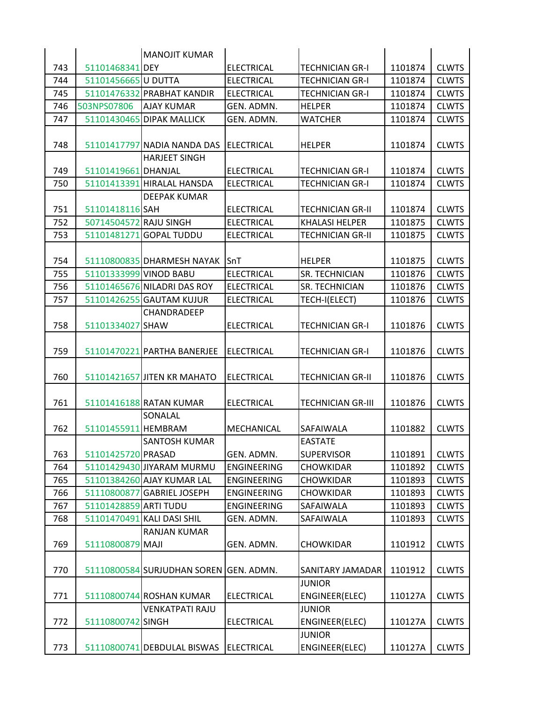|     |                        | <b>MANOJIT KUMAR</b>                   |                    |                          |         |              |
|-----|------------------------|----------------------------------------|--------------------|--------------------------|---------|--------------|
| 743 | 51101468341 DEY        |                                        | <b>ELECTRICAL</b>  | <b>TECHNICIAN GR-I</b>   | 1101874 | <b>CLWTS</b> |
| 744 | 51101456665 U DUTTA    |                                        | <b>ELECTRICAL</b>  | <b>TECHNICIAN GR-I</b>   | 1101874 | <b>CLWTS</b> |
| 745 |                        | 51101476332 PRABHAT KANDIR             | <b>ELECTRICAL</b>  | <b>TECHNICIAN GR-I</b>   | 1101874 | <b>CLWTS</b> |
| 746 | 503NPS07806            | <b>AJAY KUMAR</b>                      | GEN. ADMN.         | <b>HELPER</b>            | 1101874 | <b>CLWTS</b> |
| 747 |                        | 51101430465 DIPAK MALLICK              | GEN. ADMN.         | <b>WATCHER</b>           | 1101874 | <b>CLWTS</b> |
| 748 |                        | 51101417797 NADIA NANDA DAS            | ELECTRICAL         | <b>HELPER</b>            | 1101874 | <b>CLWTS</b> |
|     |                        | <b>HARJEET SINGH</b>                   |                    |                          |         |              |
| 749 | 51101419661 DHANJAL    |                                        | <b>ELECTRICAL</b>  | <b>TECHNICIAN GR-I</b>   | 1101874 | <b>CLWTS</b> |
| 750 |                        | 51101413391 HIRALAL HANSDA             | <b>ELECTRICAL</b>  | <b>TECHNICIAN GR-I</b>   | 1101874 | <b>CLWTS</b> |
|     |                        | <b>DEEPAK KUMAR</b>                    |                    |                          |         |              |
| 751 | 51101418116 SAH        |                                        | <b>ELECTRICAL</b>  | <b>TECHNICIAN GR-II</b>  | 1101874 | <b>CLWTS</b> |
| 752 | 50714504572 RAJU SINGH |                                        | <b>ELECTRICAL</b>  | <b>KHALASI HELPER</b>    | 1101875 | <b>CLWTS</b> |
| 753 |                        | 51101481271 GOPAL TUDDU                | <b>ELECTRICAL</b>  | <b>TECHNICIAN GR-II</b>  | 1101875 | <b>CLWTS</b> |
|     |                        |                                        |                    |                          |         |              |
| 754 |                        | 51110800835 DHARMESH NAYAK             | <b>SnT</b>         | <b>HELPER</b>            | 1101875 | <b>CLWTS</b> |
| 755 | 51101333999 VINOD BABU |                                        | <b>ELECTRICAL</b>  | SR. TECHNICIAN           | 1101876 | <b>CLWTS</b> |
| 756 |                        | 51101465676 NILADRI DAS ROY            | <b>ELECTRICAL</b>  | SR. TECHNICIAN           | 1101876 | <b>CLWTS</b> |
| 757 |                        | 51101426255 GAUTAM KUJUR               | <b>ELECTRICAL</b>  | TECH-I(ELECT)            | 1101876 | <b>CLWTS</b> |
| 758 | 51101334027 SHAW       | CHANDRADEEP                            | <b>ELECTRICAL</b>  | <b>TECHNICIAN GR-I</b>   | 1101876 | <b>CLWTS</b> |
| 759 |                        | 51101470221 PARTHA BANERJEE            | <b>ELECTRICAL</b>  | <b>TECHNICIAN GR-I</b>   | 1101876 | <b>CLWTS</b> |
| 760 |                        | 51101421657 JITEN KR MAHATO            | <b>ELECTRICAL</b>  | <b>TECHNICIAN GR-II</b>  | 1101876 | <b>CLWTS</b> |
| 761 |                        | 51101416188 RATAN KUMAR                | <b>ELECTRICAL</b>  | <b>TECHNICIAN GR-III</b> | 1101876 | <b>CLWTS</b> |
| 762 | 51101455911 HEMBRAM    | SONALAL                                | <b>MECHANICAL</b>  | <b>SAFAIWALA</b>         | 1101882 | <b>CLWTS</b> |
|     |                        | <b>SANTOSH KUMAR</b>                   |                    | <b>EASTATE</b>           |         |              |
| 763 | 51101425720 PRASAD     |                                        | GEN. ADMN.         | <b>SUPERVISOR</b>        | 1101891 | <b>CLWTS</b> |
| 764 |                        | 51101429430 JIYARAM MURMU              | <b>ENGINEERING</b> | <b>CHOWKIDAR</b>         | 1101892 | <b>CLWTS</b> |
| 765 |                        | 51101384260 AJAY KUMAR LAL             | <b>ENGINEERING</b> | <b>CHOWKIDAR</b>         | 1101893 | <b>CLWTS</b> |
| 766 |                        | 51110800877 GABRIEL JOSEPH             | <b>ENGINEERING</b> | CHOWKIDAR                | 1101893 | <b>CLWTS</b> |
| 767 | 51101428859 ARTI TUDU  |                                        | <b>ENGINEERING</b> | SAFAIWALA                | 1101893 | <b>CLWTS</b> |
| 768 |                        | 51101470491 KALI DASI SHIL             | GEN. ADMN.         | SAFAIWALA                | 1101893 | <b>CLWTS</b> |
|     |                        | <b>RANJAN KUMAR</b>                    |                    |                          |         |              |
| 769 | 51110800879 MAJI       |                                        | GEN. ADMN.         | <b>CHOWKIDAR</b>         | 1101912 | <b>CLWTS</b> |
| 770 |                        | 51110800584 SURJUDHAN SOREN GEN. ADMN. |                    | SANITARY JAMADAR         | 1101912 | <b>CLWTS</b> |
|     |                        |                                        |                    | <b>JUNIOR</b>            |         |              |
| 771 |                        | 51110800744 ROSHAN KUMAR               | <b>ELECTRICAL</b>  | ENGINEER(ELEC)           | 110127A | <b>CLWTS</b> |
|     |                        | <b>VENKATPATI RAJU</b>                 |                    | <b>JUNIOR</b>            |         |              |
| 772 | 51110800742 SINGH      |                                        | <b>ELECTRICAL</b>  | ENGINEER(ELEC)           | 110127A | <b>CLWTS</b> |
|     |                        |                                        |                    | <b>JUNIOR</b>            |         |              |
| 773 |                        | 51110800741 DEBDULAL BISWAS            | ELECTRICAL         | ENGINEER(ELEC)           | 110127A | <b>CLWTS</b> |